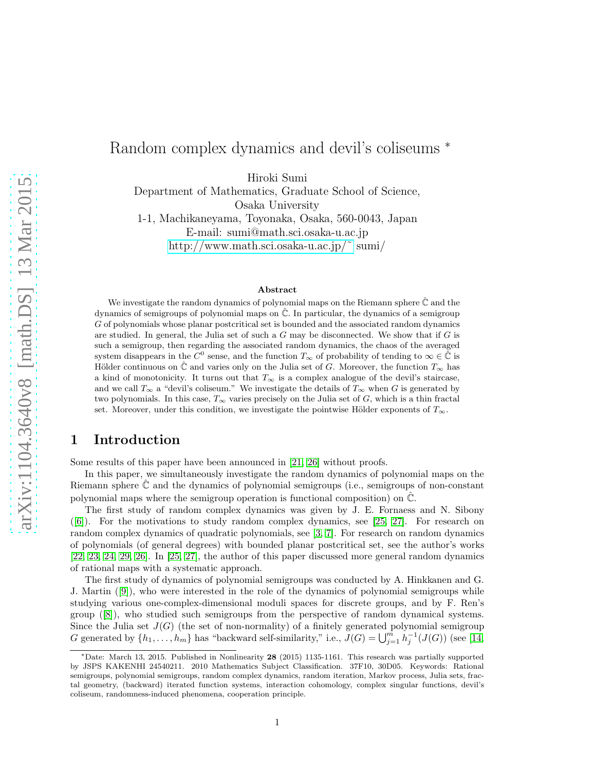# Random complex dynamics and devil's coliseums <sup>∗</sup>

Hiroki Sumi

Department of Mathematics, Graduate School of Science, Osaka University

1-1, Machikaneyama, Toyonaka, Osaka, 560-0043, Japan E-mail: sumi@math.sci.osaka-u.ac.jp http://www.math.sci.osaka-u.ac.jp/ $\tilde{C}$  sumi/

#### Abstract

We investigate the random dynamics of polynomial maps on the Riemann sphere  $\hat{\mathbb{C}}$  and the dynamics of semigroups of polynomial maps on  $\hat{\mathbb{C}}$ . In particular, the dynamics of a semigroup G of polynomials whose planar postcritical set is bounded and the associated random dynamics are studied. In general, the Julia set of such a  $G$  may be disconnected. We show that if  $G$  is such a semigroup, then regarding the associated random dynamics, the chaos of the averaged system disappears in the  $\tilde{C}^0$  sense, and the function  $T_\infty$  of probability of tending to  $\infty \in \tilde{\tilde{C}}$  is Hölder continuous on  $\hat{\mathbb{C}}$  and varies only on the Julia set of G. Moreover, the function  $T_{\infty}$  has a kind of monotonicity. It turns out that  $T_{\infty}$  is a complex analogue of the devil's staircase, and we call  $T_{\infty}$  a "devil's coliseum." We investigate the details of  $T_{\infty}$  when G is generated by two polynomials. In this case,  $T_{\infty}$  varies precisely on the Julia set of G, which is a thin fractal set. Moreover, under this condition, we investigate the pointwise Hölder exponents of  $T_{\infty}$ .

# 1 Introduction

Some results of this paper have been announced in [\[21,](#page-23-0) [26\]](#page-24-0) without proofs.

In this paper, we simultaneously investigate the random dynamics of polynomial maps on the Riemann sphere  $\mathbb C$  and the dynamics of polynomial semigroups (i.e., semigroups of non-constant polynomial maps where the semigroup operation is functional composition) on  $\hat{\mathbb{C}}$ .

The first study of random complex dynamics was given by J. E. Fornaess and N. Sibony ([\[6\]](#page-23-1)). For the motivations to study random complex dynamics, see [\[25,](#page-24-1) [27\]](#page-24-2). For research on random complex dynamics of quadratic polynomials, see [\[3,](#page-23-2) [7\]](#page-23-3). For research on random dynamics of polynomials (of general degrees) with bounded planar postcritical set, see the author's works [\[22,](#page-23-4) [23,](#page-23-5) [24,](#page-24-3) [29,](#page-24-4) [26\]](#page-24-0). In [\[25,](#page-24-1) [27\]](#page-24-2), the author of this paper discussed more general random dynamics of rational maps with a systematic approach.

The first study of dynamics of polynomial semigroups was conducted by A. Hinkkanen and G. J. Martin([\[9\]](#page-23-6)), who were interested in the role of the dynamics of polynomial semigroups while studying various one-complex-dimensional moduli spaces for discrete groups, and by F. Ren's group([\[8\]](#page-23-7)), who studied such semigroups from the perspective of random dynamical systems. Since the Julia set  $J(G)$  (the set of non-normality) of a finitely generated polynomial semigroup G generated by  $\{h_1, \ldots, h_m\}$  has "backward self-similarity," i.e.,  $J(G) = \bigcup_{j=1}^m h_j^{-1}(J(G))$  (see [\[14,](#page-23-8)

<sup>∗</sup>Date: March 13, 2015. Published in Nonlinearity 28 (2015) 1135-1161. This research was partially supported by JSPS KAKENHI 24540211. 2010 Mathematics Subject Classification. 37F10, 30D05. Keywords: Rational semigroups, polynomial semigroups, random complex dynamics, random iteration, Markov process, Julia sets, fractal geometry, (backward) iterated function systems, interaction cohomology, complex singular functions, devil's coliseum, randomness-induced phenomena, cooperation principle.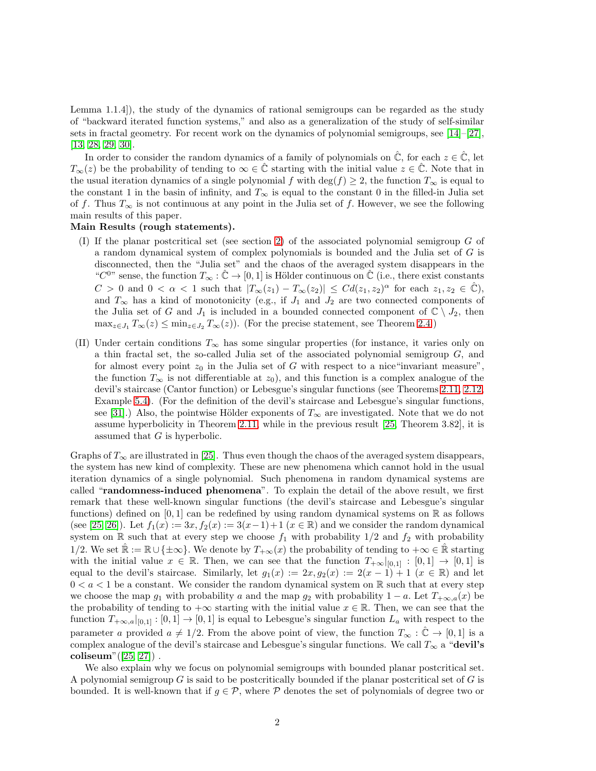Lemma 1.1.4]), the study of the dynamics of rational semigroups can be regarded as the study of "backward iterated function systems," and also as a generalization of the study of self-similar sets in fractal geometry. For recent work on the dynamics of polynomial semigroups, see [\[14\]](#page-23-8)–[\[27\]](#page-24-2), [\[13,](#page-23-9) [28,](#page-24-5) [29,](#page-24-4) [30\]](#page-24-6).

In order to consider the random dynamics of a family of polynomials on  $\hat{\mathbb{C}}$ , for each  $z \in \hat{\mathbb{C}}$ , let  $T_{\infty}(z)$  be the probability of tending to  $\infty \in \mathbb{C}$  starting with the initial value  $z \in \mathbb{C}$ . Note that in the usual iteration dynamics of a single polynomial f with deg(f)  $\geq$  2, the function  $T_{\infty}$  is equal to the constant 1 in the basin of infinity, and  $T_{\infty}$  is equal to the constant 0 in the filled-in Julia set of f. Thus  $T_{\infty}$  is not continuous at any point in the Julia set of f. However, we see the following main results of this paper.

#### Main Results (rough statements).

- (I) If the planar postcritical set (see section [2\)](#page-2-0) of the associated polynomial semigroup  $G$  of a random dynamical system of complex polynomials is bounded and the Julia set of G is disconnected, then the "Julia set" and the chaos of the averaged system disappears in the " $C^{0}$ " sense, the function  $T_{\infty} : \hat{\mathbb{C}} \to [0,1]$  is Hölder continuous on  $\hat{\mathbb{C}}$  (i.e., there exist constants  $C > 0$  and  $0 < \alpha < 1$  such that  $|T_\infty(z_1) - T_\infty(z_2)| \leq C d(z_1, z_2)^\alpha$  for each  $z_1, z_2 \in \hat{\mathbb{C}}$ ), and  $T_{\infty}$  has a kind of monotonicity (e.g., if  $J_1$  and  $J_2$  are two connected components of the Julia set of G and  $J_1$  is included in a bounded connected component of  $\mathbb{C} \setminus J_2$ , then  $\max_{z \in J_1} T_{\infty}(z) \le \min_{z \in J_2} T_{\infty}(z)$ ). (For the precise statement, see Theorem [2.4.](#page-5-0))
- (II) Under certain conditions  $T_{\infty}$  has some singular properties (for instance, it varies only on a thin fractal set, the so-called Julia set of the associated polynomial semigroup  $G$ , and for almost every point  $z_0$  in the Julia set of G with respect to a nice "invariant measure", the function  $T_{\infty}$  is not differentiable at  $z_0$ , and this function is a complex analogue of the devil's staircase (Cantor function) or Lebesgue's singular functions (see Theorems [2.11,](#page-7-0) [2.12,](#page-8-0) Example [5.4\)](#page-22-0). (For the definition of the devil's staircase and Lebesgue's singular functions, see [\[31\]](#page-24-7).) Also, the pointwise Hölder exponents of  $T_{\infty}$  are investigated. Note that we do not assume hyperbolicity in Theorem [2.11,](#page-7-0) while in the previous result [\[25,](#page-24-1) Theorem 3.82], it is assumed that  $G$  is hyperbolic.

Graphs of  $T_{\infty}$  are illustrated in [\[25\]](#page-24-1). Thus even though the chaos of the averaged system disappears, the system has new kind of complexity. These are new phenomena which cannot hold in the usual iteration dynamics of a single polynomial. Such phenomena in random dynamical systems are called "randomness-induced phenomena". To explain the detail of the above result, we first remark that these well-known singular functions (the devil's staircase and Lebesgue's singular functions) defined on [0, 1] can be redefined by using random dynamical systems on  $\mathbb R$  as follows (see [\[25,](#page-24-1) [26\]](#page-24-0)). Let  $f_1(x) := 3x, f_2(x) := 3(x-1)+1$   $(x \in \mathbb{R})$  and we consider the random dynamical system on R such that at every step we choose  $f_1$  with probability  $1/2$  and  $f_2$  with probability 1/2. We set  $\mathbb{R} := \mathbb{R} \cup \{\pm \infty\}$ . We denote by  $T_{+\infty}(x)$  the probability of tending to  $+\infty \in \mathbb{R}$  starting with the initial value  $x \in \mathbb{R}$ . Then, we can see that the function  $T_{+\infty}|_{[0,1]} : [0,1] \to [0,1]$  is equal to the devil's staircase. Similarly, let  $g_1(x) := 2x, g_2(x) := 2(x - 1) + 1$   $(x \in \mathbb{R})$  and let  $0 < a < 1$  be a constant. We consider the random dynamical system on R such that at every step we choose the map  $g_1$  with probability a and the map  $g_2$  with probability  $1 - a$ . Let  $T_{+\infty,a}(x)$  be the probability of tending to  $+\infty$  starting with the initial value  $x \in \mathbb{R}$ . Then, we can see that the function  $T_{+\infty,a}|_{[0,1]}:[0,1]\to[0,1]$  is equal to Lebesgue's singular function  $L_a$  with respect to the parameter a provided  $a \neq 1/2$ . From the above point of view, the function  $T_{\infty} : \mathbb{C} \to [0,1]$  is a complex analogue of the devil's staircase and Lebesgue's singular functions. We call  $T_{\infty}$  a "devil's coliseum"([\[25,](#page-24-1) [27\]](#page-24-2)) .

We also explain why we focus on polynomial semigroups with bounded planar postcritical set. A polynomial semigroup  $G$  is said to be postcritically bounded if the planar postcritical set of  $G$  is bounded. It is well-known that if  $g \in \mathcal{P}$ , where  $\mathcal P$  denotes the set of polynomials of degree two or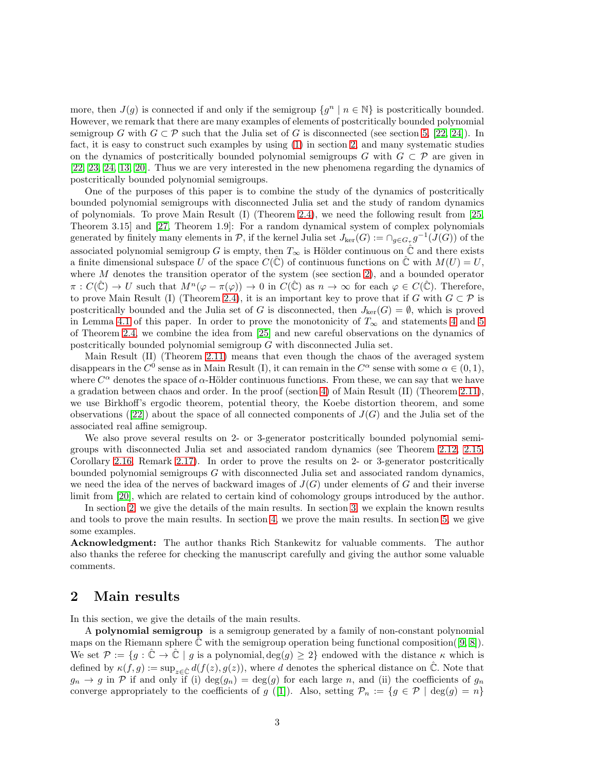more, then  $J(g)$  is connected if and only if the semigroup  $\{g^n \mid n \in \mathbb{N}\}\$  is postcritically bounded. However, we remark that there are many examples of elements of postcritically bounded polynomial semigroup G with  $G \subset \mathcal{P}$  such that the Julia set of G is disconnected (see section [5,](#page-21-0) [\[22,](#page-23-4) [24\]](#page-24-3)). In fact, it is easy to construct such examples by using [\(1\)](#page-3-0) in section [2,](#page-2-0) and many systematic studies on the dynamics of postcritically bounded polynomial semigroups G with  $G \subset \mathcal{P}$  are given in [\[22,](#page-23-4) [23,](#page-23-5) [24,](#page-24-3) [13,](#page-23-9) [20\]](#page-23-10). Thus we are very interested in the new phenomena regarding the dynamics of postcritically bounded polynomial semigroups.

One of the purposes of this paper is to combine the study of the dynamics of postcritically bounded polynomial semigroups with disconnected Julia set and the study of random dynamics of polynomials. To prove Main Result (I) (Theorem [2.4\)](#page-5-0), we need the following result from [\[25,](#page-24-1) Theorem 3.15] and [\[27,](#page-24-2) Theorem 1.9]: For a random dynamical system of complex polynomials generated by finitely many elements in  $P$ , if the kernel Julia set  $J_{\text{ker}}(G) := \bigcap_{g \in G_{\tau}} g^{-1}(J(G))$  of the associated polynomial semigroup G is empty, then  $T_{\infty}$  is Hölder continuous on  $\hat{\mathbb{C}}$  and there exists a finite dimensional subspace U of the space  $C(\hat{C})$  of continuous functions on  $\hat{C}$  with  $M(U) = U$ , where  $M$  denotes the transition operator of the system (see section [2\)](#page-2-0), and a bounded operator  $\pi: C(\hat{\mathbb{C}}) \to U$  such that  $M^n(\varphi - \pi(\varphi)) \to 0$  in  $C(\hat{\mathbb{C}})$  as  $n \to \infty$  for each  $\varphi \in C(\hat{\mathbb{C}})$ . Therefore, to prove Main Result (I) (Theorem [2.4\)](#page-5-0), it is an important key to prove that if G with  $G \subset \mathcal{P}$  is postcritically bounded and the Julia set of G is disconnected, then  $J_{\text{ker}}(G) = \emptyset$ , which is proved in Lemma [4.1](#page-10-0) of this paper. In order to prove the monotonicity of  $T_{\infty}$  and statements [4](#page-5-1) and [5](#page-5-2) of Theorem [2.4,](#page-5-0) we combine the idea from [\[25\]](#page-24-1) and new careful observations on the dynamics of postcritically bounded polynomial semigroup G with disconnected Julia set.

Main Result (II) (Theorem [2.11\)](#page-7-0) means that even though the chaos of the averaged system disappears in the  $C^0$  sense as in Main Result (I), it can remain in the  $C^{\alpha}$  sense with some  $\alpha \in (0,1)$ , where  $C^{\alpha}$  denotes the space of  $\alpha$ -Hölder continuous functions. From these, we can say that we have a gradation between chaos and order. In the proof (section [4\)](#page-10-1) of Main Result (II) (Theorem [2.11\)](#page-7-0), we use Birkhoff's ergodic theorem, potential theory, the Koebe distortion theorem, and some observations([\[22\]](#page-23-4)) about the space of all connected components of  $J(G)$  and the Julia set of the associated real affine semigroup.

We also prove several results on 2- or 3-generator postcritically bounded polynomial semigroups with disconnected Julia set and associated random dynamics (see Theorem [2.12,](#page-8-0) [2.15,](#page-9-0) Corollary [2.16,](#page-9-1) Remark [2.17\)](#page-9-2). In order to prove the results on 2- or 3-generator postcritically bounded polynomial semigroups G with disconnected Julia set and associated random dynamics, we need the idea of the nerves of backward images of  $J(G)$  under elements of G and their inverse limit from [\[20\]](#page-23-10), which are related to certain kind of cohomology groups introduced by the author.

In section [2,](#page-2-0) we give the details of the main results. In section [3,](#page-10-2) we explain the known results and tools to prove the main results. In section [4,](#page-10-1) we prove the main results. In section [5,](#page-21-0) we give some examples.

Acknowledgment: The author thanks Rich Stankewitz for valuable comments. The author also thanks the referee for checking the manuscript carefully and giving the author some valuable comments.

## <span id="page-2-0"></span>2 Main results

In this section, we give the details of the main results.

A polynomial semigroup is a semigroup generated by a family of non-constant polynomial maps on the Riemann sphere  $\tilde{\mathbb{C}}$  with the semigroup operation being functional composition([\[9,](#page-23-6) [8\]](#page-23-7)). We set  $\mathcal{P} := \{g : \mathbb{C} \to \mathbb{C} \mid g \text{ is a polynomial, } \deg(g) \geq 2\}$  endowed with the distance  $\kappa$  which is defined by  $\kappa(f,g) := \sup_{z \in \hat{\mathbb{C}}} d(f(z), g(z))$ , where d denotes the spherical distance on  $\hat{\mathbb{C}}$ . Note that  $g_n \to g$  in P if and only if (i) deg $(g_n) = \deg(g)$  for each large n, and (ii) the coefficients of  $g_n$ converge appropriately to the coefficients of g ([\[1\]](#page-22-1)). Also, setting  $\mathcal{P}_n := \{g \in \mathcal{P} \mid \deg(g) = n\}$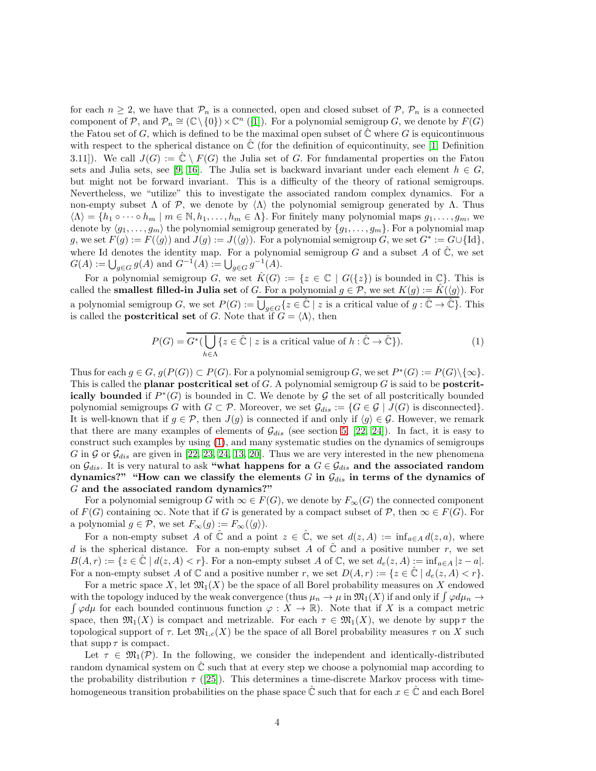for each  $n \geq 2$ , we have that  $\mathcal{P}_n$  is a connected, open and closed subset of  $\mathcal{P}, \mathcal{P}_n$  is a connected component of P, and  $\mathcal{P}_n \cong (\mathbb{C} \setminus \{0\}) \times \mathbb{C}^n$  ([\[1\]](#page-22-1)). For a polynomial semigroup G, we denote by  $F(G)$ the Fatou set of G, which is defined to be the maximal open subset of  $\mathbb C$  where G is equicontinuous with respect to the spherical distance on  $\mathbb C$  (for the definition of equicontinuity, see [\[1,](#page-22-1) Definition 3.11). We call  $J(G) := \hat{\mathbb{C}} \setminus F(G)$  the Julia set of G. For fundamental properties on the Fatou sets and Julia sets, see [\[9,](#page-23-6) [16\]](#page-23-11). The Julia set is backward invariant under each element  $h \in G$ , but might not be forward invariant. This is a difficulty of the theory of rational semigroups. Nevertheless, we "utilize" this to investigate the associated random complex dynamics. For a non-empty subset  $\Lambda$  of P, we denote by  $\langle \Lambda \rangle$  the polynomial semigroup generated by  $\Lambda$ . Thus  $\langle \Lambda \rangle = \{h_1 \circ \cdots \circ h_m \mid m \in \mathbb{N}, h_1, \ldots, h_m \in \Lambda\}.$  For finitely many polynomial maps  $g_1, \ldots, g_m$ , we denote by  $\langle g_1, \ldots, g_m \rangle$  the polynomial semigroup generated by  $\{g_1, \ldots, g_m\}$ . For a polynomial map g, we set  $F(g) := F(\langle g \rangle)$  and  $J(g) := J(\langle g \rangle)$ . For a polynomial semigroup G, we set  $G^* := G \cup \{Id\},$ where Id denotes the identity map. For a polynomial semigroup G and a subset A of  $\hat{\mathbb{C}}$ , we set  $G(A) := \bigcup_{g \in G} g(A)$  and  $G^{-1}(A) := \bigcup_{g \in G} g^{-1}(A)$ .

For a polynomial semigroup G, we set  $\hat{K}(G) := \{z \in \mathbb{C} \mid G(\{z\})\}$  is bounded in  $\mathbb{C}\}$ . This is called the **smallest filled-in Julia set** of G. For a polynomial  $g \in \mathcal{P}$ , we set  $K(g) := K(\langle g \rangle)$ . For a polynomial semigroup G, we set  $P(G) := \bigcup_{g \in G} \{z \in \hat{\mathbb{C}} \mid z \text{ is a critical value of } g : \hat{\mathbb{C}} \to \hat{\mathbb{C}}\}.$  This is called the **postcritical set** of G. Note that if  $G = \langle \Lambda \rangle$ , then

<span id="page-3-0"></span>
$$
P(G) = \overline{G^*(\bigcup_{h \in \Lambda} \{z \in \hat{\mathbb{C}} \mid z \text{ is a critical value of } h : \hat{\mathbb{C}} \to \hat{\mathbb{C}}\})}.
$$
 (1)

Thus for each  $g \in G$ ,  $g(P(G)) \subset P(G)$ . For a polynomial semigroup G, we set  $P^*(G) := P(G) \setminus \{\infty\}$ . This is called the **planar postcritical set** of  $G$ . A polynomial semigroup  $G$  is said to be **postcrit**ically bounded if  $P^*(G)$  is bounded in  $\mathbb C$ . We denote by G the set of all postcritically bounded polynomial semigroups G with  $G \subset \mathcal{P}$ . Moreover, we set  $\mathcal{G}_{dis} := \{G \in \mathcal{G} \mid J(G) \text{ is disconnected}\}.$ It is well-known that if  $g \in \mathcal{P}$ , then  $J(g)$  is connected if and only if  $\langle g \rangle \in \mathcal{G}$ . However, we remark that there are many examples of elements of  $\mathcal{G}_{dis}$  (see section [5,](#page-21-0) [\[22,](#page-23-4) [24\]](#page-24-3)). In fact, it is easy to construct such examples by using [\(1\)](#page-3-0), and many systematic studies on the dynamics of semigroups G in G or  $\mathcal{G}_{dis}$  are given in [\[22,](#page-23-4) [23,](#page-23-5) [24,](#page-24-3) [13,](#page-23-9) [20\]](#page-23-10). Thus we are very interested in the new phenomena on  $\mathcal{G}_{dis}$ . It is very natural to ask "what happens for a  $G \in \mathcal{G}_{dis}$  and the associated random dynamics?" "How can we classify the elements G in  $\mathcal{G}_{dis}$  in terms of the dynamics of G and the associated random dynamics?"

For a polynomial semigroup G with  $\infty \in F(G)$ , we denote by  $F_{\infty}(G)$  the connected component of  $F(G)$  containing  $\infty$ . Note that if G is generated by a compact subset of P, then  $\infty \in F(G)$ . For a polynomial  $g \in \mathcal{P}$ , we set  $F_{\infty}(g) := F_{\infty}(\langle g \rangle)$ .

For a non-empty subset A of  $\hat{\mathbb{C}}$  and a point  $z \in \hat{\mathbb{C}}$ , we set  $d(z, A) := \inf_{a \in A} d(z, a)$ , where d is the spherical distance. For a non-empty subset A of  $\hat{\mathbb{C}}$  and a positive number r, we set  $B(A, r) := \{z \in \hat{\mathbb{C}} \mid d(z, A) < r\}.$  For a non-empty subset A of  $\mathbb{C}$ , we set  $d_e(z, A) := \inf_{a \in A} |z - a|$ . For a non-empty subset A of C and a positive number r, we set  $D(A, r) := \{z \in \mathbb{C} \mid d_e(z, A) < r\}.$ 

For a metric space X, let  $\mathfrak{M}_1(X)$  be the space of all Borel probability measures on X endowed with the topology induced by the weak convergence (thus  $\mu_n \to \mu$  in  $\mathfrak{M}_1(X)$  if and only if  $\int \varphi d\mu_n \to$  $\int \varphi d\mu$  for each bounded continuous function  $\varphi: X \to \mathbb{R}$ . Note that if X is a compact metric space, then  $\mathfrak{M}_1(X)$  is compact and metrizable. For each  $\tau \in \mathfrak{M}_1(X)$ , we denote by supp  $\tau$  the topological support of  $\tau$ . Let  $\mathfrak{M}_{1,c}(X)$  be the space of all Borel probability measures  $\tau$  on X such that  $\text{supp}\,\tau$  is compact.

Let  $\tau \in \mathfrak{M}_1(\mathcal{P})$ . In the following, we consider the independent and identically-distributed random dynamical system on  $\mathbb C$  such that at every step we choose a polynomial map according to the probability distribution  $\tau$  ([\[25\]](#page-24-1)). This determines a time-discrete Markov process with timehomogeneous transition probabilities on the phase space  $\hat{\mathbb{C}}$  such that for each  $x \in \hat{\mathbb{C}}$  and each Borel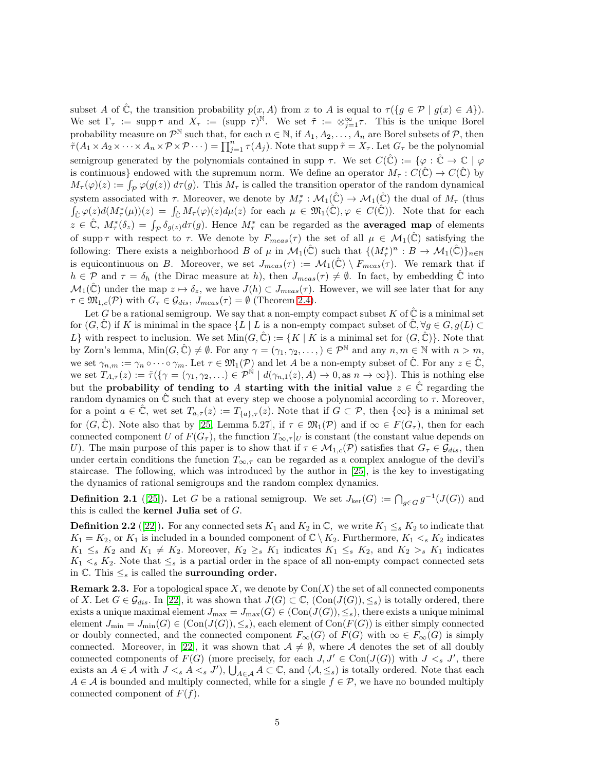subset A of  $\hat{\mathbb{C}}$ , the transition probability  $p(x, A)$  from x to A is equal to  $\tau(\lbrace g \in \mathcal{P} \mid g(x) \in A \rbrace)$ . We set  $\Gamma_{\tau} := \text{supp } \tau$  and  $X_{\tau} := (\text{supp } \tau)^{\mathbb{N}}$ . We set  $\tilde{\tau} := \otimes_{j=1}^{\infty} \tau$ . This is the unique Borel probability measure on  $\mathcal{P}^{\mathbb{N}}$  such that, for each  $n \in \mathbb{N}$ , if  $A_1, A_2, \ldots, A_n$  are Borel subsets of  $\mathcal{P}$ , then  $\tilde{\tau}(A_1\times A_2\times\cdots\times A_n\times \mathcal{P}\times \mathcal{P}\cdots)=\prod_{j=1}^n \tau(A_j).$  Note that supp  $\tilde{\tau}=X_{\tau}.$  Let  $G_{\tau}$  be the polynomial semigroup generated by the polynomials contained in supp  $\tau$ . We set  $C(\hat{\mathbb{C}}) := \{ \varphi : \hat{\mathbb{C}} \to \mathbb{C} \mid \varphi$ is continuous} endowed with the supremum norm. We define an operator  $M_\tau : C(\hat{\mathbb{C}}) \to C(\hat{\mathbb{C}})$  by  $M_{\tau}(\varphi)(z) := \int_{\mathcal{P}} \varphi(g(z)) d\tau(g)$ . This  $M_{\tau}$  is called the transition operator of the random dynamical system associated with  $\tau$ . Moreover, we denote by  $M^*_{\tau}: \mathcal{M}_1(\hat{\mathbb{C}}) \to \mathcal{M}_1(\hat{\mathbb{C}})$  the dual of  $M_{\tau}$  (thus  $\int_{\hat{\mathbb{C}}}\varphi(z)d(M^*_{\tau}(\mu))(z) = \int_{\hat{\mathbb{C}}}M_{\tau}(\varphi)(z)d\mu(z)$  for each  $\mu \in \mathfrak{M}_1(\hat{\mathbb{C}}), \varphi \in C(\hat{\mathbb{C}})$ ). Note that for each  $z \in \hat{\mathbb{C}}$ ,  $M^*_{\tau}(\delta_z) = \int_{\mathcal{P}} \delta_{g(z)} d\tau(g)$ . Hence  $M^*_{\tau}$  can be regarded as the **averaged map** of elements of supp  $\tau$  with respect to  $\tau$ . We denote by  $F_{meas}(\tau)$  the set of all  $\mu \in \mathcal{M}_1(\mathbb{C})$  satisfying the following: There exists a neighborhood B of  $\mu$  in  $\mathcal{M}_1(\hat{\mathbb{C}})$  such that  $\{(M^*_\tau)^n : B \to \mathcal{M}_1(\hat{\mathbb{C}})\}_{n\in\mathbb{N}}$ is equicontinuous on B. Moreover, we set  $J_{meas}(\tau) := \mathcal{M}_1(\hat{\mathbb{C}}) \setminus F_{meas}(\tau)$ . We remark that if  $h \in \mathcal{P}$  and  $\tau = \delta_h$  (the Dirac measure at h), then  $J_{meas}(\tau) \neq \emptyset$ . In fact, by embedding  $\hat{\mathbb{C}}$  into  $\mathcal{M}_1(\hat{\mathbb{C}})$  under the map  $z \mapsto \delta_z$ , we have  $J(h) \subset J_{meas}(\tau)$ . However, we will see later that for any  $\tau \in \mathfrak{M}_{1,c}(\mathcal{P})$  with  $G_{\tau} \in \mathcal{G}_{dis}, J_{meas}(\tau) = \emptyset$  (Theorem [2.4\)](#page-5-0).

Let G be a rational semigroup. We say that a non-empty compact subset K of  $\hat{\mathbb{C}}$  is a minimal set for  $(G, \mathbb{C})$  if K is minimal in the space  $\{L \mid L$  is a non-empty compact subset of  $\mathbb{C}, \forall g \in G, g(L) \subset$  $L$  with respect to inclusion. We set  $\text{Min}(G, \hat{C}) := \{K \mid K \text{ is a minimal set for } (G, \hat{C})\}$ . Note that by Zorn's lemma,  $\text{Min}(G, \hat{C}) \neq \emptyset$ . For any  $\gamma = (\gamma_1, \gamma_2, \dots, \in \mathcal{P}^{\mathbb{N}}$  and any  $n, m \in \mathbb{N}$  with  $n > m$ , we set  $\gamma_{n,m} := \gamma_n \circ \cdots \circ \gamma_m$ . Let  $\tau \in \mathfrak{M}_1(\mathcal{P})$  and let A be a non-empty subset of  $\hat{\mathbb{C}}$ . For any  $z \in \hat{\mathbb{C}}$ , we set  $T_{A,\tau}(z) := \tilde{\tau}(\{\gamma = (\gamma_1, \gamma_2, \ldots) \in \mathcal{P}^{\mathbb{N}} \mid d(\gamma_{n,1}(z), A) \to 0, \text{ as } n \to \infty\}).$  This is nothing else but the probability of tending to A starting with the initial value  $z \in \hat{\mathbb{C}}$  regarding the random dynamics on  $\ddot{\mathbb{C}}$  such that at every step we choose a polynomial according to  $\tau$ . Moreover, for a point  $a \in \mathbb{C}$ , wet set  $T_{a,\tau}(z) := T_{\{a\},\tau}(z)$ . Note that if  $G \subset \mathcal{P}$ , then  $\{\infty\}$  is a minimal set for  $(G, \hat{C})$ . Note also that by [\[25,](#page-24-1) Lemma 5.27], if  $\tau \in \mathfrak{M}_{1}(\mathcal{P})$  and if  $\infty \in F(G_{\tau})$ , then for each connected component U of  $F(G_\tau)$ , the function  $T_{\infty,\tau}|_U$  is constant (the constant value depends on U). The main purpose of this paper is to show that if  $\tau \in M_{1,c}(\mathcal{P})$  satisfies that  $G_{\tau} \in \mathcal{G}_{dis}$ , then under certain conditions the function  $T_{\infty,\tau}$  can be regarded as a complex analogue of the devil's staircase. The following, which was introduced by the author in [\[25\]](#page-24-1), is the key to investigating the dynamics of rational semigroups and the random complex dynamics.

**Definition 2.1** ([\[25\]](#page-24-1)). Let G be a rational semigroup. We set  $J_{\text{ker}}(G) := \bigcap_{g \in G} g^{-1}(J(G))$  and this is called the kernel Julia set of G.

**Definition 2.2** ([\[22\]](#page-23-4)). For any connected sets  $K_1$  and  $K_2$  in  $\mathbb{C}$ , we write  $K_1 \leq_s K_2$  to indicate that  $K_1 = K_2$ , or  $K_1$  is included in a bounded component of  $\mathbb{C} \setminus K_2$ . Furthermore,  $K_1 < s$ ,  $K_2$  indicates  $K_1 \leq_s K_2$  and  $K_1 \neq K_2$ . Moreover,  $K_2 \geq_s K_1$  indicates  $K_1 \leq_s K_2$ , and  $K_2 >_s K_1$  indicates  $K_1 \lt s K_2$ . Note that  $\leq_s$  is a partial order in the space of all non-empty compact connected sets in  $\mathbb{C}$ . This  $\leq_s$  is called the **surrounding order.** 

**Remark 2.3.** For a topological space X, we denote by  $Con(X)$  the set of all connected components of X. Let  $G \in \mathcal{G}_{dis}$ . In [\[22\]](#page-23-4), it was shown that  $J(G) \subset \mathbb{C}$ ,  $(\text{Con}(J(G)), \leq_s)$  is totally ordered, there exists a unique maximal element  $J_{\text{max}} = J_{\text{max}}(G) \in (\text{Con}(J(G)), \leq_s)$ , there exists a unique minimal element  $J_{\min} = J_{\min}(G) \in (\text{Con}(J(G)), \leq_s)$ , each element of  $\text{Con}(F(G))$  is either simply connected or doubly connected, and the connected component  $F_{\infty}(G)$  of  $F(G)$  with  $\infty \in F_{\infty}(G)$  is simply connected. Moreover, in [\[22\]](#page-23-4), it was shown that  $A \neq \emptyset$ , where A denotes the set of all doubly connected components of  $F(G)$  (more precisely, for each  $J, J' \in \text{Con}(J(G))$  with  $J \lt_s J'$ , there exists an  $A \in \mathcal{A}$  with  $J \leq s$   $A \leq s$   $J'$ ),  $\bigcup_{A \in \mathcal{A}} A \subset \mathbb{C}$ , and  $(\mathcal{A}, \leq_s)$  is totally ordered. Note that each  $A \in \mathcal{A}$  is bounded and multiply connected, while for a single  $f \in \mathcal{P}$ , we have no bounded multiply connected component of  $F(f)$ .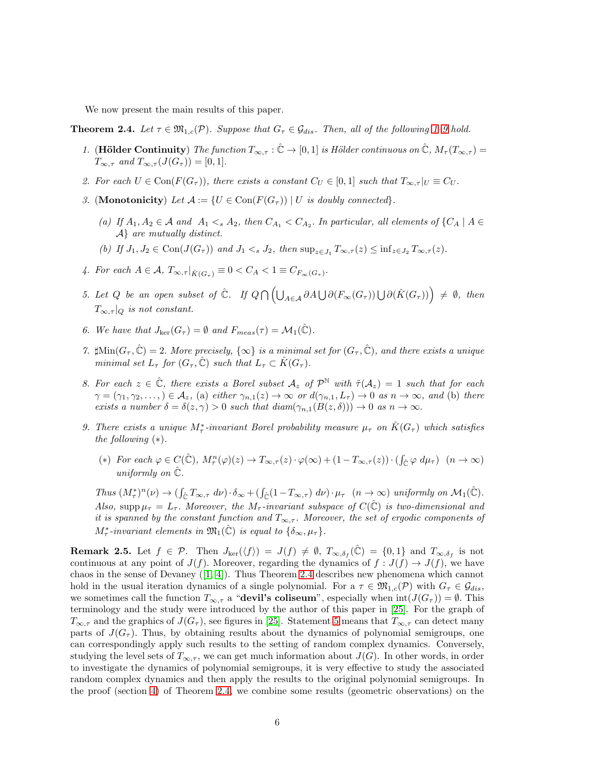We now present the main results of this paper.

<span id="page-5-3"></span><span id="page-5-0"></span>**Theorem 2.4.** Let  $\tau \in \mathfrak{M}_{1,c}(\mathcal{P})$ . Suppose that  $G_{\tau} \in \mathcal{G}_{dis}$ . Then, all of the following [1–](#page-5-3)[9](#page-5-4) hold.

- 1. (Hölder Continuity) The function  $T_{\infty,\tau} : \hat{\mathbb{C}} \to [0,1]$  is Hölder continuous on  $\hat{\mathbb{C}}$ ,  $M_{\tau}(T_{\infty,\tau}) =$  $T_{\infty,\tau}$  and  $T_{\infty,\tau}(J(G_{\tau})) = [0,1].$
- <span id="page-5-9"></span><span id="page-5-5"></span>2. For each  $U \in \text{Con}(F(G_{\tau}))$ , there exists a constant  $C_U \in [0,1]$  such that  $T_{\infty,\tau}|_U \equiv C_U$ .
- 3. (Monotonicity) Let  $\mathcal{A} := \{U \in \text{Con}(F(G_{\tau})) \mid U \text{ is doubly connected}\}.$ 
	- (a) If  $A_1, A_2 \in \mathcal{A}$  and  $A_1 \leq_s A_2$ , then  $C_{A_1} \leq C_{A_2}$ . In particular, all elements of  $\{C_A \mid A \in$ A} are mutually distinct.
	- (b) If  $J_1, J_2 \in \text{Con}(J(G_{\tau}))$  and  $J_1 \lt_s J_2$ , then  $\sup_{z \in J_1} T_{\infty,\tau}(z) \leq \inf_{z \in J_2} T_{\infty,\tau}(z)$ .
- <span id="page-5-2"></span><span id="page-5-1"></span>4. For each  $A \in \mathcal{A}$ ,  $T_{\infty,\tau}|_{\hat{K}(G_{\tau})} \equiv 0 < C_A < 1 \equiv C_{F_{\infty}(G_{\tau})}$ .
- 5. Let Q be an open subset of  $\hat{\mathbb{C}}$ . If  $Q \cap (\bigcup_{A \in \mathcal{A}} \partial A \bigcup \partial (F_{\infty}(G_{\tau})) \bigcup \partial (\hat{K}(G_{\tau})) \neq \emptyset$ , then  $T_{\infty,\tau}|_Q$  is not constant.
- <span id="page-5-7"></span><span id="page-5-6"></span>6. We have that  $J_{\text{ker}}(G_{\tau}) = \emptyset$  and  $F_{meas}(\tau) = \mathcal{M}_1(\hat{\mathbb{C}})$ .
- 7.  $\sharp \text{Min}(G_\tau, \hat{\mathbb{C}}) = 2$ . More precisely,  $\{\infty\}$  is a minimal set for  $(G_\tau, \hat{\mathbb{C}})$ , and there exists a unique minimal set  $L_{\tau}$  for  $(G_{\tau}, \hat{C})$  such that  $L_{\tau} \subset \hat{K}(G_{\tau}).$
- <span id="page-5-8"></span>8. For each  $z \in \hat{\mathbb{C}}$ , there exists a Borel subset  $\mathcal{A}_z$  of  $\mathcal{P}^{\mathbb{N}}$  with  $\tilde{\tau}(\mathcal{A}_z) = 1$  such that for each  $\gamma = (\gamma_1, \gamma_2, \ldots) \in \mathcal{A}_z$ , (a) either  $\gamma_{n,1}(z) \to \infty$  or  $d(\gamma_{n,1}, L_\tau) \to 0$  as  $n \to \infty$ , and (b) there exists a number  $\delta = \delta(z, \gamma) > 0$  such that  $diam(\gamma_{n,1}(B(z, \delta))) \to 0$  as  $n \to \infty$ .
- <span id="page-5-4"></span>9. There exists a unique  $M^*_{\tau}$ -invariant Borel probability measure  $\mu_{\tau}$  on  $\hat{K}(G_{\tau})$  which satisfies the following  $(*).$ 
	- (\*) For each  $\varphi \in C(\hat{\mathbb{C}}), M_\tau^n(\varphi)(z) \to T_{\infty,\tau}(z) \cdot \varphi(\infty) + (1 T_{\infty,\tau}(z)) \cdot (\int_{\hat{\mathbb{C}}} \varphi \, d\mu_\tau) \quad (n \to \infty)$ uniformly on  $\hat{\mathbb{C}}$ .

Thus  $(M^*_\tau)^n(\nu) \to (\int_{\hat{\mathbb{C}}} T_{\infty,\tau} d\nu) \cdot \delta_\infty + (\int_{\hat{\mathbb{C}}} (1 - T_{\infty,\tau}) d\nu) \cdot \mu_\tau \quad (n \to \infty)$  uniformly on  $\mathcal{M}_1(\hat{\mathbb{C}})$ . Also, supp  $\mu_{\tau} = L_{\tau}$ . Moreover, the M<sub> $\tau$ </sub>-invariant subspace of  $C(\hat{\mathbb{C}})$  is two-dimensional and it is spanned by the constant function and  $T_{\infty,\tau}$ . Moreover, the set of ergodic components of  $M^*_{\tau}$ -invariant elements in  $\mathfrak{M}_{1}(\hat{\mathbb{C}})$  is equal to  $\{\delta_{\infty}, \mu_{\tau}\}.$ 

**Remark 2.5.** Let  $f \in \mathcal{P}$ . Then  $J_{\text{ker}}(\langle f \rangle) = J(f) \neq \emptyset$ ,  $T_{\infty,\delta_f}(\hat{\mathbb{C}}) = \{0,1\}$  and  $T_{\infty,\delta_f}$  is not continuous at any point of  $J(f)$ . Moreover, regarding the dynamics of  $f : J(f) \to J(f)$ , we have chaos in the sense of Devaney([\[1,](#page-22-1) [4\]](#page-23-12)). Thus Theorem [2.4](#page-5-0) describes new phenomena which cannot hold in the usual iteration dynamics of a single polynomial. For a  $\tau \in \mathfrak{M}_{1,c}(\mathcal{P})$  with  $G_{\tau} \in \mathcal{G}_{dis}$ , we sometimes call the function  $T_{\infty,\tau}$  a "devil's coliseum", especially when  $\text{int}(J(G_{\tau})) = \emptyset$ . This terminology and the study were introduced by the author of this paper in [\[25\]](#page-24-1). For the graph of  $T_{\infty,\tau}$  and the graphics of  $J(G_{\tau})$ , see figures in [\[25\]](#page-24-1). Statement [5](#page-5-2) means that  $T_{\infty,\tau}$  can detect many parts of  $J(G<sub>\tau</sub>)$ . Thus, by obtaining results about the dynamics of polynomial semigroups, one can correspondingly apply such results to the setting of random complex dynamics. Conversely, studying the level sets of  $T_{\infty,\tau}$ , we can get much information about  $J(G)$ . In other words, in order to investigate the dynamics of polynomial semigroups, it is very effective to study the associated random complex dynamics and then apply the results to the original polynomial semigroups. In the proof (section [4\)](#page-10-1) of Theorem [2.4,](#page-5-0) we combine some results (geometric observations) on the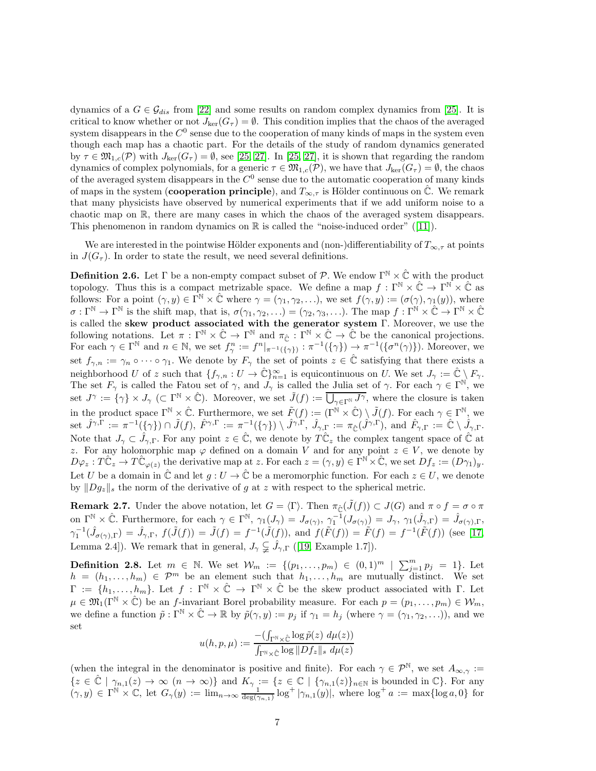dynamics of a  $G \in \mathcal{G}_{dis}$  from [\[22\]](#page-23-4) and some results on random complex dynamics from [\[25\]](#page-24-1). It is critical to know whether or not  $J_{\text{ker}}(G_\tau) = \emptyset$ . This condition implies that the chaos of the averaged system disappears in the  $C^0$  sense due to the cooperation of many kinds of maps in the system even though each map has a chaotic part. For the details of the study of random dynamics generated by  $\tau \in \mathfrak{M}_{1,c}(\mathcal{P})$  with  $J_{\text{ker}}(G_{\tau}) = \emptyset$ , see [\[25,](#page-24-1) [27\]](#page-24-2). In [25, 27], it is shown that regarding the random dynamics of complex polynomials, for a generic  $\tau \in \mathfrak{M}_{1,c}(\mathcal{P})$ , we have that  $J_{\text{ker}}(G_{\tau}) = \emptyset$ , the chaos of the averaged system disappears in the  $C^0$  sense due to the automatic cooperation of many kinds of maps in the system (cooperation principle), and  $T_{\infty,\tau}$  is Hölder continuous on  $\mathbb{C}$ . We remark that many physicists have observed by numerical experiments that if we add uniform noise to a chaotic map on R, there are many cases in which the chaos of the averaged system disappears. Thisphenomenon in random dynamics on  $\mathbb R$  is called the "noise-induced order" ([\[11\]](#page-23-13)).

We are interested in the pointwise Hölder exponents and (non-)differentiability of  $T_{\infty,\tau}$  at points in  $J(G<sub>\tau</sub>)$ . In order to state the result, we need several definitions.

**Definition 2.6.** Let  $\Gamma$  be a non-empty compact subset of  $\mathcal{P}$ . We endow  $\Gamma^{\mathbb{N}} \times \hat{\mathbb{C}}$  with the product topology. Thus this is a compact metrizable space. We define a map  $f: \Gamma^{\mathbb{N}} \times \hat{\mathbb{C}} \to \Gamma^{\mathbb{N}} \times \hat{\mathbb{C}}$  as follows: For a point  $(\gamma, y) \in \overline{\Gamma} \mathbb{N} \times \hat{\mathbb{C}}$  where  $\gamma = (\gamma_1, \gamma_2, \ldots)$ , we set  $f(\gamma, y) := (\sigma(\gamma), \gamma_1(y))$ , where  $\sigma: \Gamma^{\mathbb{N}} \to \Gamma^{\mathbb{N}}$  is the shift map, that is,  $\sigma(\gamma_1, \gamma_2, \ldots) = (\gamma_2, \gamma_3, \ldots)$ . The map  $f: \Gamma^{\mathbb{N}} \times \hat{\mathbb{C}} \to \Gamma^{\mathbb{N}} \times \hat{\mathbb{C}}$ is called the skew product associated with the generator system Γ. Moreover, we use the following notations. Let  $\pi : \Gamma^{\mathbb{N}} \times \hat{\mathbb{C}} \to \Gamma^{\mathbb{N}}$  and  $\pi_{\hat{\mathbb{C}}} : \Gamma^{\mathbb{N}} \times \hat{\mathbb{C}} \to \hat{\mathbb{C}}$  be the canonical projections. For each  $\gamma \in \Gamma^{\mathbb{N}}$  and  $n \in \mathbb{N}$ , we set  $f_{\gamma}^{n} := f^{n}|_{\pi^{-1}(\{\gamma\})} : \pi^{-1}(\{\gamma\}) \to \pi^{-1}(\{\sigma^{n}(\gamma)\})$ . Moreover, we set  $f_{\gamma,n} := \gamma_n \circ \cdots \circ \gamma_1$ . We denote by  $F_\gamma$  the set of points  $z \in \hat{\mathbb{C}}$  satisfying that there exists a neighborhood U of z such that  $\{f_{\gamma,n}: U \to \hat{\mathbb{C}}\}_{n=1}^{\infty}$  is equicontinuous on U. We set  $J_{\gamma} := \hat{\mathbb{C}} \setminus F_{\gamma}$ . The set  $F_{\gamma}$  is called the Fatou set of  $\gamma$ , and  $J_{\gamma}$  is called the Julia set of  $\gamma$ . For each  $\gamma \in \Gamma^{\mathbb{N}}$ , we set  $J^{\gamma} := {\{\gamma\}} \times J_{\gamma} \; (\subset \Gamma^{\mathbb{N}} \times \hat{\mathbb{C}}).$  Moreover, we set  $\tilde{J}(f) := \overline{\bigcup_{\gamma \in \Gamma^{\mathbb{N}}} J^{\gamma}}$ , where the closure is taken in the product space  $\Gamma^{\mathbb{N}} \times \hat{\mathbb{C}}$ . Furthermore, we set  $\tilde{F}(f) := (\Gamma^{\mathbb{N}} \times \hat{\mathbb{C}}) \setminus \tilde{J}(f)$ . For each  $\gamma \in \Gamma^{\mathbb{N}}$ , we  ${\rm set}\,\,\hat{J}^{\gamma,\Gamma}:=\pi^{-1}(\{\gamma\})\cap\tilde{J}(f),\,\hat{F}^{\gamma,\Gamma}:=\pi^{-1}(\{\gamma\})\setminus\hat{J}^{\gamma,\Gamma},\,\hat{J}_{\gamma,\Gamma}:=\pi_{\hat{\mathbb{C}}}(\hat{J}^{\gamma,\Gamma}),\text{ and }\hat{F}_{\gamma,\Gamma}:=\hat{\mathbb{C}}\setminus\hat{J}_{\gamma,\Gamma}.$ Note that  $J_{\gamma} \subset \hat{J}_{\gamma,\Gamma}$ . For any point  $z \in \hat{\mathbb{C}}$ , we denote by  $T\hat{\mathbb{C}}_z$  the complex tangent space of  $\hat{\mathbb{C}}$  at z. For any holomorphic map  $\varphi$  defined on a domain V and for any point  $z \in V$ , we denote by  $D\varphi_z: T\hat{\mathbb{C}}_z \to T\hat{\mathbb{C}}_{\varphi(z)}$  the derivative map at z. For each  $z = (\gamma, y) \in \Gamma^{\mathbb{N}} \times \hat{\mathbb{C}}$ , we set  $Df_z := (D\gamma_1)_y$ . Let U be a domain in  $\hat{\mathbb{C}}$  and let  $g: U \to \hat{\mathbb{C}}$  be a meromorphic function. For each  $z \in U$ , we denote by  $||Dg_z||_s$  the norm of the derivative of g at z with respect to the spherical metric.

**Remark 2.7.** Under the above notation, let  $G = \langle \Gamma \rangle$ . Then  $\pi_{\hat{C}}(\tilde{J}(f)) \subset J(G)$  and  $\pi \circ f = \sigma \circ \pi$ on  $\Gamma^{\mathbb{N}} \times \hat{\mathbb{C}}$ . Furthermore, for each  $\gamma \in \Gamma^{\mathbb{N}}$ ,  $\gamma_1(J_{\gamma}) = J_{\sigma(\gamma)}$ ,  $\gamma_1^{-1}(J_{\sigma(\gamma)}) = J_{\gamma}$ ,  $\gamma_1(\hat{J}_{\gamma,\Gamma}) = \hat{J}_{\sigma(\gamma),\Gamma}$ ,  $\gamma_1^{-1}(\hat{J}_{\sigma(\gamma),\Gamma}) = \hat{J}_{\gamma,\Gamma}, f(\tilde{J}(f)) = \tilde{J}(f) = f^{-1}(\tilde{J}(f)),$  and  $f(\tilde{F}(f)) = \tilde{F}(f) = f^{-1}(\tilde{F}(f))$  (see [\[17,](#page-23-14) Lemma 2.4]). We remark that in general,  $J_{\gamma} \subsetneq \hat{J}_{\gamma,\Gamma}$  ([\[19,](#page-23-15) Example 1.7]).

**Definition 2.8.** Let  $m \in \mathbb{N}$ . We set  $\mathcal{W}_m := \{(p_1, \ldots, p_m) \in (0,1)^m \mid \sum_{j=1}^m p_j = 1\}$ . Let  $h = (h_1, \ldots, h_m) \in \mathcal{P}^m$  be an element such that  $h_1, \ldots, h_m$  are mutually distinct. We set  $\Gamma := \{h_1, \ldots, h_m\}$ . Let  $f : \Gamma^{\mathbb{N}} \times \hat{\mathbb{C}} \to \Gamma^{\mathbb{N}} \times \hat{\mathbb{C}}$  be the skew product associated with  $\Gamma$ . Let  $\mu \in \mathfrak{M}_1(\Gamma^{\mathbb{N}} \times \hat{\mathbb{C}})$  be an f-invariant Borel probability measure. For each  $p = (p_1, \ldots, p_m) \in \mathcal{W}_m$ , we define a function  $\tilde{p} : \Gamma^{\mathbb{N}} \times \hat{\mathbb{C}} \to \mathbb{R}$  by  $\tilde{p}(\gamma, y) := p_j$  if  $\gamma_1 = h_j$  (where  $\gamma = (\gamma_1, \gamma_2, \ldots)$ ), and we set  $\overline{R}$  $\frac{1}{2}$   $\frac{1}{2}$  (x)

$$
u(h, p, \mu) := \frac{-\left(\int_{\Gamma^{\mathbb{N}} \times \hat{\mathbb{C}}} \log \tilde{p}(z) \, d\mu(z)\right)}{\int_{\Gamma^{\mathbb{N}} \times \hat{\mathbb{C}}} \log ||Df_z||_s \, d\mu(z)}
$$

(when the integral in the denominator is positive and finite). For each  $\gamma \in \mathcal{P}^{\mathbb{N}}$ , we set  $A_{\infty,\gamma}$  :=  $\{z \in \mathbb{C} \mid \gamma_{n,1}(z) \to \infty \ (n \to \infty)\}\$ and  $K_\gamma := \{z \in \mathbb{C} \mid \{\gamma_{n,1}(z)\}_{n \in \mathbb{N}}\}$  is bounded in  $\mathbb{C}\}$ . For any  $(\gamma, y) \in \Gamma^{\mathbb{N}} \times \mathbb{C}$ , let  $G_{\gamma}(y) := \lim_{n \to \infty} \frac{1}{\deg(\gamma_{n,1})} \log^+ |\gamma_{n,1}(y)|$ , where  $\log^+ a := \max\{\log a, 0\}$  for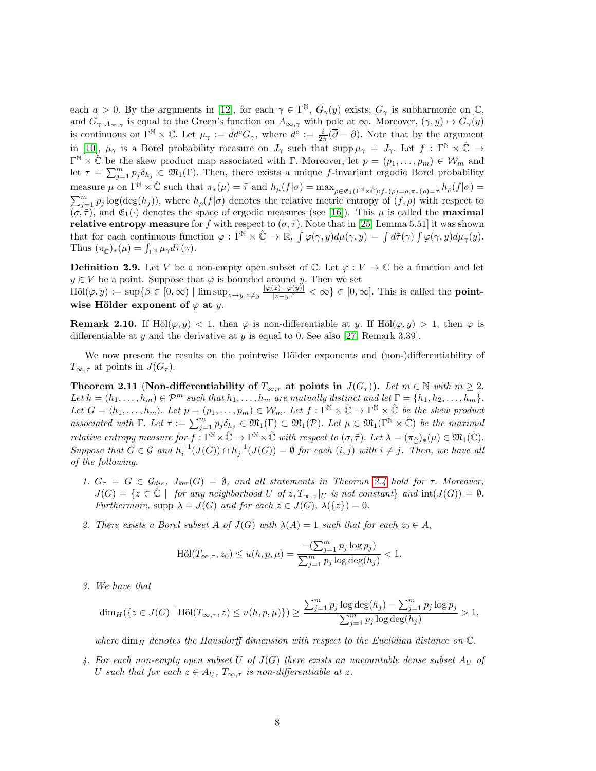each  $a > 0$ . By the arguments in [\[12\]](#page-23-16), for each  $\gamma \in \Gamma^{\mathbb{N}}$ ,  $G_{\gamma}(y)$  exists,  $G_{\gamma}$  is subharmonic on  $\mathbb{C}$ , and  $G_{\gamma}|_{A_{\infty,\gamma}}$  is equal to the Green's function on  $A_{\infty,\gamma}$  with pole at  $\infty$ . Moreover,  $(\gamma, y) \mapsto G_{\gamma}(y)$ is continuous on  $\Gamma^{\mathbb{N}} \times \mathbb{C}$ . Let  $\mu_{\gamma} := dd^c G_{\gamma}$ , where  $d^c := \frac{i}{2\pi} (\overline{\partial} - \partial)$ . Note that by the argument in [\[10\]](#page-23-17),  $\mu_{\gamma}$  is a Borel probability measure on  $J_{\gamma}$  such that  $\text{supp}\,\mu_{\gamma} = J_{\gamma}$ . Let  $f : \Gamma^{\mathbb{N}} \times \hat{\mathbb{C}} \to$  $\Gamma^{\mathbb{N}} \times \hat{\mathbb{C}}$  be the skew product map associated with  $\Gamma$ . Moreover, let  $p = (p_1, \ldots, p_m) \in \mathcal{W}_m$  and let  $\tau = \sum_{j=1}^m p_j \delta_{h_j} \in \mathfrak{M}_1(\Gamma)$ . Then, there exists a unique f-invariant ergodic Borel probability measure  $\mu$  on  $\Gamma^{\mathbb{N}} \times \hat{\mathbb{C}}$  such that  $\pi_*(\mu) = \tilde{\tau}$  and  $h_{\mu}(f|\sigma) = \max_{\rho \in \mathfrak{E}_1(\Gamma^{\mathbb{N}} \times \hat{\mathbb{C}}): f_*(\rho) = \rho, \pi_*(\rho) = \tilde{\tau}} h_{\rho}(f|\sigma) =$  $\sum_{j=1}^m p_j \log(\deg(h_j))$ , where  $h_\rho(f|\sigma)$  denotes the relative metric entropy of  $(f,\rho)$  with respect to  $(\sigma, \tilde{\tau})$ , and  $\mathfrak{E}_1(\cdot)$  denotes the space of ergodic measures (see [\[16\]](#page-23-11)). This  $\mu$  is called the **maximal** relative entropy measure for f with respect to  $(\sigma, \tilde{\tau})$ . Note that in [\[25,](#page-24-1) Lemma 5.51] it was shown that for each continuous function  $\varphi : \Gamma^{\mathbb{N}} \times \hat{\mathbb{C}} \to \mathbb{R}$ ,  $\int \varphi(\gamma, y) d\mu(\gamma, y) = \int d\tilde{\tau}(\gamma) \int \varphi(\gamma, y) d\mu_{\gamma}(y)$ . Thus  $(\pi_{\hat{\mathbb{C}}})_*(\mu) = \int_{\Gamma^{\mathbb{N}}} \mu_{\gamma} d\tilde{\tau}(\gamma).$ 

**Definition 2.9.** Let V be a non-empty open subset of C. Let  $\varphi: V \to \mathbb{C}$  be a function and let  $y \in V$  be a point. Suppose that  $\varphi$  is bounded around y. Then we set

 $\text{H\"ol}(\varphi, y) := \sup \{ \beta \in [0, \infty) \mid \limsup_{z \to y, z \neq y} \frac{|\varphi(z) - \varphi(y)|}{|z - y|^{\beta}} \}$  $\frac{(z)-\varphi(y)|}{|z-y|^{\beta}} < \infty$   $\in [0,\infty]$ . This is called the **point**wise Hölder exponent of  $\varphi$  at y.

**Remark 2.10.** If Höl $(\varphi, y) < 1$ , then  $\varphi$  is non-differentiable at y. If Höl $(\varphi, y) > 1$ , then  $\varphi$  is differentiable at y and the derivative at y is equal to 0. See also [\[27,](#page-24-2) Remark 3.39].

We now present the results on the pointwise Hölder exponents and (non-)differentiability of  $T_{\infty,\tau}$  at points in  $J(G_{\tau}).$ 

<span id="page-7-0"></span>Theorem 2.11 (Non-differentiability of  $T_{\infty,\tau}$  at points in  $J(G_{\tau})$ ). Let  $m \in \mathbb{N}$  with  $m \geq 2$ . Let  $h = (h_1, \ldots, h_m) \in \mathcal{P}^m$  such that  $h_1, \ldots, h_m$  are mutually distinct and let  $\Gamma = \{h_1, h_2, \ldots, h_m\}$ . Let  $G = \langle h_1, \ldots, h_m \rangle$ . Let  $p = (p_1, \ldots, p_m) \in \mathcal{W}_m$ . Let  $f : \Gamma^{\mathbb{N}} \times \hat{\mathbb{C}} \to \Gamma^{\mathbb{N}} \times \hat{\mathbb{C}}$  be the skew product associated with  $\Gamma$ . Let  $\tau := \sum_{j=1}^m p_j \delta_{h_j} \in \mathfrak{M}_1(\Gamma) \subset \mathfrak{M}_1(\mathcal{P})$ . Let  $\mu \in \mathfrak{M}_1(\Gamma^{\mathbb{N}} \times \hat{\mathbb{C}})$  be the maximal relative entropy measure for  $f: \Gamma^{\mathbb{N}} \times \hat{\mathbb{C}} \to \Gamma^{\mathbb{N}} \times \hat{\mathbb{C}}$  with respect to  $(\sigma, \tilde{\tau})$ . Let  $\lambda = (\pi_{\hat{\mathbb{C}}})_*(\mu) \in \mathfrak{M}_1(\hat{\mathbb{C}})$ . Suppose that  $G \in \mathcal{G}$  and  $h_i^{-1}(J(G)) \cap h_j^{-1}(J(G)) = \emptyset$  for each  $(i, j)$  with  $i \neq j$ . Then, we have all of the following.

- <span id="page-7-1"></span>1.  $G_{\tau} = G \in \mathcal{G}_{dis}, J_{\text{ker}}(G) = \emptyset$ , and all statements in Theorem [2.4](#page-5-0) hold for  $\tau$ . Moreover,  $J(G) = \{z \in \mathbb{C} \mid \text{ for any neighborhood } U \text{ of } z, T_{\infty, \tau} | U \text{ is not constant} \}$  and  $\text{int}(J(G)) = \emptyset$ . Furthermore, supp  $\lambda = J(G)$  and for each  $z \in J(G)$ ,  $\lambda({z}) = 0$ .
- <span id="page-7-3"></span>2. There exists a Borel subset A of  $J(G)$  with  $\lambda(A) = 1$  such that for each  $z_0 \in A$ ,

$$
\text{H\"ol}(T_{\infty,\tau}, z_0) \le u(h, p, \mu) = \frac{-\left(\sum_{j=1}^m p_j \log p_j\right)}{\sum_{j=1}^m p_j \log \deg(h_j)} < 1.
$$

<span id="page-7-4"></span>3. We have that

$$
\dim_H(\{z \in J(G) \mid \text{H\"ol}(T_{\infty,\tau}, z) \le u(h, p, \mu)\}) \ge \frac{\sum_{j=1}^m p_j \log \deg(h_j) - \sum_{j=1}^m p_j \log p_j}{\sum_{j=1}^m p_j \log \deg(h_j)} > 1,
$$

where dim<sub>H</sub> denotes the Hausdorff dimension with respect to the Euclidian distance on  $\mathbb{C}$ .

<span id="page-7-2"></span>4. For each non-empty open subset U of  $J(G)$  there exists an uncountable dense subset  $A_U$  of U such that for each  $z \in A_U$ ,  $T_{\infty, \tau}$  is non-differentiable at z.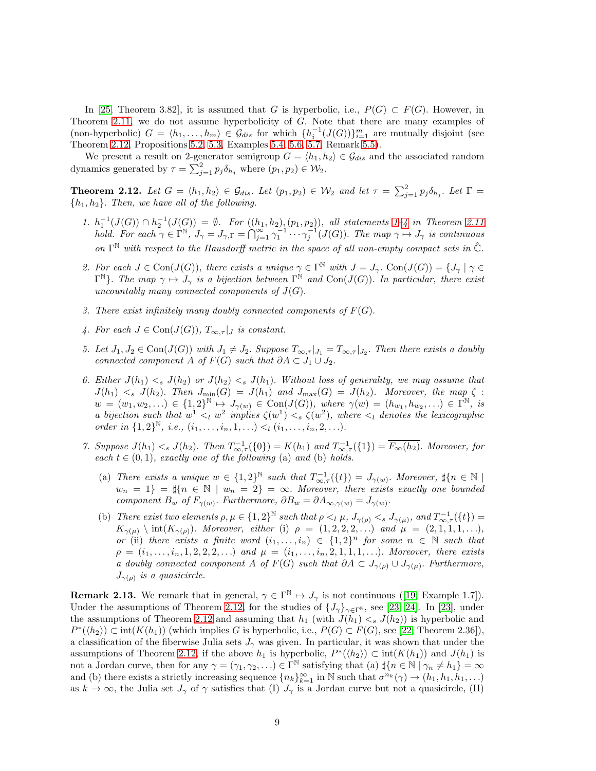In [\[25,](#page-24-1) Theorem 3.82], it is assumed that G is hyperbolic, i.e.,  $P(G) \subset F(G)$ . However, in Theorem [2.11,](#page-7-0) we do not assume hyperbolicity of G. Note that there are many examples of (non-hyperbolic)  $G = \langle h_1, \ldots, h_m \rangle \in \mathcal{G}_{dis}$  for which  $\{h_i^{-1}(J(G))\}_{i=1}^m$  are mutually disjoint (see Theorem [2.12,](#page-8-0) Propositions [5.2,](#page-21-1) [5.3,](#page-21-2) Examples [5.4,](#page-22-0) [5.6,](#page-22-2) [5.7,](#page-22-3) Remark [5.5\)](#page-22-4).

We present a result on 2-generator semigroup  $G = \langle h_1, h_2 \rangle \in \mathcal{G}_{dis}$  and the associated random dynamics generated by  $\tau = \sum_{j=1}^{2} p_j \delta_{h_j}$  where  $(p_1, p_2) \in W_2$ .

<span id="page-8-0"></span>**Theorem 2.12.** Let  $G = \langle h_1, h_2 \rangle \in \mathcal{G}_{dis}$ . Let  $(p_1, p_2) \in \mathcal{W}_2$  and let  $\tau = \sum_{j=1}^2 p_j \delta_{h_j}$ . Let  $\Gamma =$  ${h_1, h_2}.$  Then, we have all of the following.

- <span id="page-8-2"></span>1.  $h_1^{-1}(J(G)) \cap h_2^{-1}(J(G)) = \emptyset$ . For  $((h_1, h_2), (p_1, p_2))$ , all statements 1-[4](#page-7-2) in Theorem [2.11](#page-7-0) hold. For each  $\gamma \in \Gamma^{\mathbb{N}}$ ,  $J_{\gamma} = J_{\gamma,\Gamma} = \bigcap_{j=1}^{\infty} \gamma_1^{-1} \cdots \gamma_j^{-1}(J(G))$ . The map  $\gamma \mapsto J_{\gamma}$  is continuous on  $\Gamma^{\mathbb{N}}$  with respect to the Hausdorff metric in the space of all non-empty compact sets in  $\hat{\mathbb{C}}$ .
- <span id="page-8-5"></span>2. For each  $J \in \text{Con}(J(G))$ , there exists a unique  $\gamma \in \Gamma^{\mathbb{N}}$  with  $J = J_{\gamma}$ .  $\text{Con}(J(G)) = \{J_{\gamma} | \gamma \in \Gamma^{\mathbb{N}}\}$  $\Gamma^{\mathbb{N}}$ . The map  $\gamma \mapsto J_{\gamma}$  is a bijection between  $\Gamma^{\mathbb{N}}$  and  $Con(J(G))$ . In particular, there exist uncountably many connected components of  $J(G)$ .
- <span id="page-8-6"></span>3. There exist infinitely many doubly connected components of  $F(G)$ .
- <span id="page-8-3"></span>4. For each  $J \in \text{Con}(J(G))$ ,  $T_{\infty, \tau}|_J$  is constant.
- 5. Let  $J_1, J_2 \in \text{Con}(J(G))$  with  $J_1 \neq J_2$ . Suppose  $T_{\infty, \tau}|_{J_1} = T_{\infty, \tau}|_{J_2}$ . Then there exists a doubly connected component A of  $F(G)$  such that  $\partial A \subset J_1 \cup J_2$ .
- <span id="page-8-4"></span>6. Either  $J(h_1) \leq s \, J(h_2)$  or  $J(h_2) \leq s \, J(h_1)$ . Without loss of generality, we may assume that  $J(h_1) <_{s} J(h_2)$ . Then  $J_{\min}(G) = J(h_1)$  and  $J_{\max}(G) = J(h_2)$ . Moreover, the map  $\zeta$ :  $w = (w_1, w_2, \ldots) \in \{1, 2\}^{\mathbb{N}} \mapsto J_{\gamma(w)} \in \text{Con}(J(G)), \text{ where } \gamma(w) = (h_{w_1}, h_{w_2}, \ldots) \in \Gamma^{\mathbb{N}}, \text{ is }$ a bijection such that  $w^1 \leq_l w^2$  implies  $\zeta(w^1) \leq_s \zeta(w^2)$ , where  $\leq_l$  denotes the lexicographic order in  $\{1,2\}^{\mathbb{N}},$  i.e.,  $(i_1,\ldots,i_n,1,\ldots) < i$   $(i_1,\ldots,i_n,2,\ldots).$
- <span id="page-8-1"></span>7. Suppose  $J(h_1) < s J(h_2)$ . Then  $T_{\infty,\tau}^{-1}(\{0\}) = K(h_1)$  and  $T_{\infty,\tau}^{-1}(\{1\}) = \overline{F_{\infty}(h_2)}$ . Moreover, for each  $t \in (0,1)$ , exactly one of the following (a) and (b) holds.
	- (a) There exists a unique  $w \in \{1,2\}^{\mathbb{N}}$  such that  $T^{-1}_{\infty,\tau}(\{t\}) = J_{\gamma(w)}$ . Moreover,  $\sharp\{n \in \mathbb{N}\}\$  $w_n = 1$  =  $\sharp\{n \in \mathbb{N} \mid w_n = 2\} = \infty$ . Moreover, there exists exactly one bounded component  $B_w$  of  $F_{\gamma(w)}$ . Furthermore,  $\partial B_w = \partial A_{\infty,\gamma(w)} = J_{\gamma(w)}$ .
	- (b) There exist two elements  $\rho, \mu \in \{1, 2\}^{\mathbb{N}}$  such that  $\rho \leq \mu$ ,  $J_{\gamma(\rho)} \leq s$   $J_{\gamma(\mu)}$ , and  $T_{\infty, \tau}^{-1}(\{t\}) =$  $K_{\gamma(\mu)} \setminus \text{int}(K_{\gamma(\rho)})$ . Moreover, either (i)  $\rho = (1, 2, 2, 2, ...)$  and  $\mu = (2, 1, 1, 1, ...)$ , or (ii) there exists a finite word  $(i_1, \ldots, i_n) \in \{1,2\}^n$  for some  $n \in \mathbb{N}$  such that  $\rho = (i_1, \ldots, i_n, 1, 2, 2, 2, \ldots)$  and  $\mu = (i_1, \ldots, i_n, 2, 1, 1, 1, \ldots)$ . Moreover, there exists a doubly connected component A of  $F(G)$  such that  $\partial A \subset J_{\gamma(\rho)} \cup J_{\gamma(\mu)}$ . Furthermore,  $J_{\gamma(\rho)}$  is a quasicircle.

**Remark2.13.** We remark that in general,  $\gamma \in \Gamma^{\mathbb{N}} \mapsto J_{\gamma}$  is not continuous ([\[19,](#page-23-15) Example 1.7]). Under the assumptions of Theorem [2.12,](#page-8-0) for the studies of  $\{J_{\gamma}\}_{\gamma \in \Gamma^{\mathbb{N}}}$ , see [\[23,](#page-23-5) [24\]](#page-24-3). In [\[23\]](#page-23-5), under the assumptions of Theorem [2.12](#page-8-0) and assuming that  $h_1$  (with  $J(h_1) \leq s J(h_2)$ ) is hyperbolic and  $P^*(\langle h_2 \rangle) \subset \text{int}(K(h_1))$  (which implies G is hyperbolic, i.e.,  $P(G) \subset F(G)$ , see [\[22,](#page-23-4) Theorem 2.36]), a classification of the fiberwise Julia sets  $J_{\gamma}$  was given. In particular, it was shown that under the assumptions of Theorem [2.12,](#page-8-0) if the above  $h_1$  is hyperbolic,  $P^*(\langle h_2 \rangle) \subset \text{int}(K(h_1))$  and  $J(h_1)$  is not a Jordan curve, then for any  $\gamma = (\gamma_1, \gamma_2, \ldots) \in \Gamma^{\mathbb{N}}$  satisfying that (a)  $\sharp\{n \in \mathbb{N} \mid \gamma_n \neq h_1\} = \infty$ and (b) there exists a strictly increasing sequence  $\{n_k\}_{k=1}^{\infty}$  in N such that  $\sigma^{n_k}(\gamma) \to (h_1, h_1, h_1, \ldots)$ as  $k \to \infty$ , the Julia set  $J_{\gamma}$  of  $\gamma$  satisfies that (I)  $J_{\gamma}$  is a Jordan curve but not a quasicircle, (II)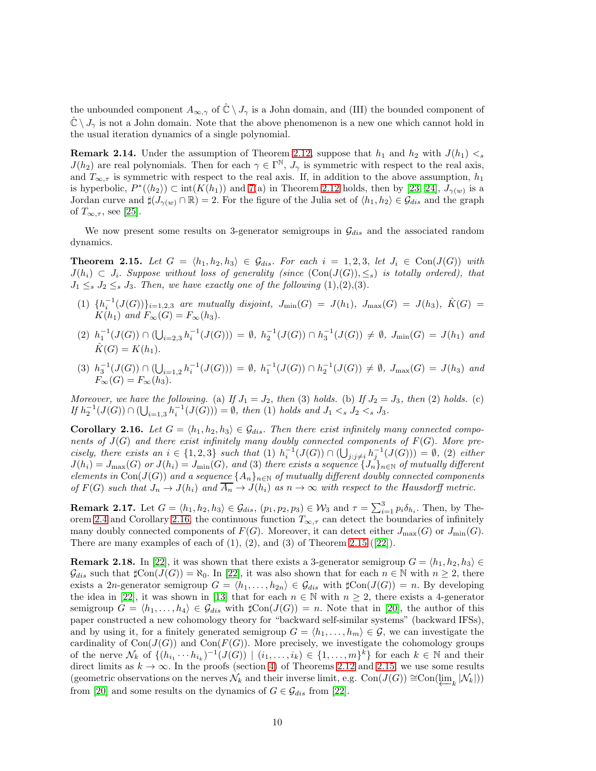the unbounded component  $A_{\infty,\gamma}$  of  $\mathbb{C} \setminus J_{\gamma}$  is a John domain, and (III) the bounded component of  $\hat{\mathbb{C}} \setminus J_{\gamma}$  is not a John domain. Note that the above phenomenon is a new one which cannot hold in the usual iteration dynamics of a single polynomial.

**Remark 2.14.** Under the assumption of Theorem [2.12,](#page-8-0) suppose that  $h_1$  and  $h_2$  with  $J(h_1) < s$  $J(h_2)$  are real polynomials. Then for each  $\gamma \in \Gamma^{\mathbb{N}}$ ,  $J_{\gamma}$  is symmetric with respect to the real axis, and  $T_{\infty,\tau}$  is symmetric with respect to the real axis. If, in addition to the above assumption,  $h_1$ is hyperbolic,  $P^*(\langle h_2 \rangle) \subset \text{int}(K(h_1))$  and  $7(a)$  in Theorem [2.12](#page-8-0) holds, then by [\[23,](#page-23-5) [24\]](#page-24-3),  $J_{\gamma(w)}$  is a Jordan curve and  $\sharp(J_{\gamma(w)} \cap \mathbb{R}) = 2$ . For the figure of the Julia set of  $\langle h_1, h_2 \rangle \in \mathcal{G}_{dis}$  and the graph of  $T_{\infty,\tau}$ , see [\[25\]](#page-24-1).

We now present some results on 3-generator semigroups in  $\mathcal{G}_{dis}$  and the associated random dynamics.

<span id="page-9-0"></span>**Theorem 2.15.** Let  $G = \langle h_1, h_2, h_3 \rangle \in \mathcal{G}_{dis}$ . For each  $i = 1, 2, 3$ , let  $J_i \in \text{Con}(J(G))$  with  $J(h_i) \subset J_i$ . Suppose without loss of generality (since  $(\text{Con}(J(G))_{i \leq s})$  is totally ordered), that  $J_1 \leq_s J_2 \leq_s J_3$ . Then, we have exactly one of the following  $(1),(2),(3)$ .

- (1)  $\{h_i^{-1}(J(G))\}_{i=1,2,3}$  are mutually disjoint,  $J_{\min}(G) = J(h_1)$ ,  $J_{\max}(G) = J(h_3)$ ,  $\hat{K}(G) =$  $K(h_1)$  and  $F_{\infty}(G) = F_{\infty}(h_3)$ .
- $(2)$   $h_1^{-1}(J(G)) \cap (\bigcup_{i=2,3} h_i^{-1}(J(G))) = \emptyset$ ,  $h_2^{-1}(J(G)) \cap h_3^{-1}(J(G)) \neq \emptyset$ ,  $J_{\min}(G) = J(h_1)$  and  $\hat{K}(G) = K(h_1).$
- (3)  $h_3^{-1}(J(G)) \cap (\bigcup_{i=1,2} h_i^{-1}(J(G))) = \emptyset$ ,  $h_1^{-1}(J(G)) \cap h_2^{-1}(J(G)) \neq \emptyset$ ,  $J_{\max}(G) = J(h_3)$  and  $F_{\infty}(G) = F_{\infty}(h_3).$

Moreover, we have the following. (a) If  $J_1 = J_2$ , then (3) holds. (b) If  $J_2 = J_3$ , then (2) holds. (c) If  $h_2^{-1}(J(G)) \cap (\bigcup_{i=1,3} h_i^{-1}(J(G))) = \emptyset$ , then (1) holds and  $J_1 <_s J_2 <_s J_3$ .

<span id="page-9-1"></span>**Corollary 2.16.** Let  $G = \langle h_1, h_2, h_3 \rangle \in \mathcal{G}_{dis}$ . Then there exist infinitely many connected components of  $J(G)$  and there exist infinitely many doubly connected components of  $F(G)$ . More precisely, there exists an  $i \in \{1,2,3\}$  such that  $(1)$   $h_i^{-1}(J(G)) \cap (\bigcup_{j:j \neq i} h_j^{-1}(J(G))) = \emptyset$ ,  $(2)$  either  $J(h_i) = J_{\max}(G)$  or  $J(h_i) = J_{\min}(G)$ , and (3) there exists a sequence  $\{J_n\}_{n\in\mathbb{N}}$  of mutually different elements in Con( $J(G)$ ) and a sequence  $\{A_n\}_{n\in\mathbb{N}}$  of mutually different doubly connected components of  $F(G)$  such that  $J_n \to J(h_i)$  and  $\overline{A_n} \to J(h_i)$  as  $n \to \infty$  with respect to the Hausdorff metric.

<span id="page-9-2"></span>**Remark 2.17.** Let  $G = \langle h_1, h_2, h_3 \rangle \in \mathcal{G}_{dis}$ ,  $(p_1, p_2, p_3) \in \mathcal{W}_3$  and  $\tau = \sum_{i=1}^3 p_i \delta_{h_i}$ . Then, by The-orem [2.4](#page-5-0) and Corollary [2.16,](#page-9-1) the continuous function  $T_{\infty,\tau}$  can detect the boundaries of infinitely many doubly connected components of  $F(G)$ . Moreover, it can detect either  $J_{\text{max}}(G)$  or  $J_{\text{min}}(G)$ . Thereare many examples of each of  $(1)$ ,  $(2)$ , and  $(3)$  of Theorem [2.15](#page-9-0)  $([22])$  $([22])$  $([22])$ .

<span id="page-9-3"></span>**Remark 2.18.** In [\[22\]](#page-23-4), it was shown that there exists a 3-generator semigroup  $G = \langle h_1, h_2, h_3 \rangle \in$  $\mathcal{G}_{dis}$  such that  $\sharp \text{Con}(J(G)) = \aleph_0$ . In [\[22\]](#page-23-4), it was also shown that for each  $n \in \mathbb{N}$  with  $n \geq 2$ , there exists a 2n-generator semigroup  $G = \langle h_1, \ldots, h_{2n} \rangle \in \mathcal{G}_{dis}$  with  $\sharp \text{Con}(J(G)) = n$ . By developing the idea in [\[22\]](#page-23-4), it was shown in [\[13\]](#page-23-9) that for each  $n \in \mathbb{N}$  with  $n \geq 2$ , there exists a 4-generator semigroup  $G = \langle h_1, \ldots, h_4 \rangle \in \mathcal{G}_{dis}$  with  $\sharp \text{Con}(J(G)) = n$ . Note that in [\[20\]](#page-23-10), the author of this paper constructed a new cohomology theory for "backward self-similar systems" (backward IFSs), and by using it, for a finitely generated semigroup  $G = \langle h_1, \ldots, h_m \rangle \in \mathcal{G}$ , we can investigate the cardinality of  $Con(J(G))$  and  $Con(F(G))$ . More precisely, we investigate the cohomology groups of the nerve  $\mathcal{N}_k$  of  $\{(h_{i_1}\cdots h_{i_k})^{-1}(J(G)) \mid (i_1,\ldots,i_k) \in \{1,\ldots,m\}^k\}$  for each  $k \in \mathbb{N}$  and their direct limits as  $k \to \infty$ . In the proofs (section [4\)](#page-10-1) of Theorems [2.12](#page-8-0) and [2.15,](#page-9-0) we use some results (geometric observations on the nerves  $\mathcal{N}_k$  and their inverse limit, e.g. Con( $J(G)$ ) ≅Con( $\varprojlim_k |\mathcal{N}_k|$ )) from [\[20\]](#page-23-10) and some results on the dynamics of  $G \in \mathcal{G}_{dis}$  from [\[22\]](#page-23-4).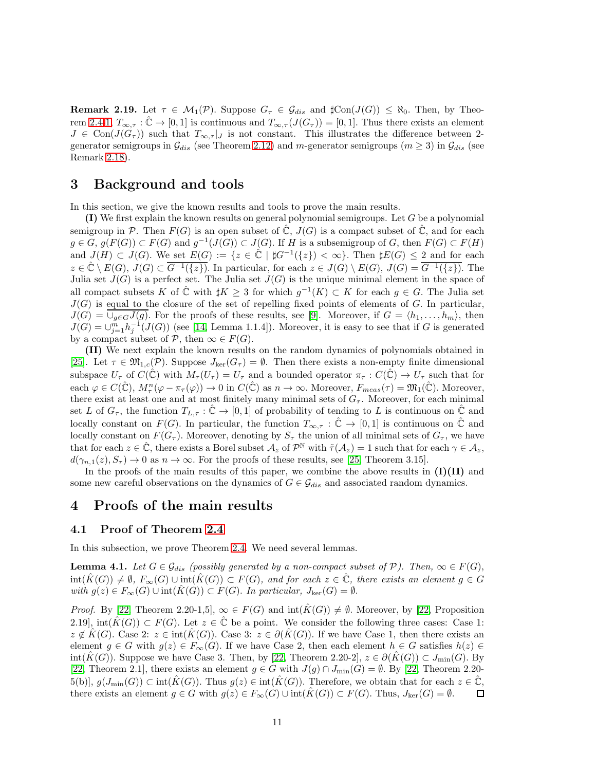**Remark 2.19.** Let  $\tau \in M_1(\mathcal{P})$ . Suppose  $G_{\tau} \in \mathcal{G}_{dis}$  and  $\sharp \text{Con}(J(G)) \leq \aleph_0$ . Then, by Theo-rem [2.4](#page-5-0)[-1,](#page-5-3)  $T_{\infty,\tau}$ :  $\hat{\mathbb{C}} \to [0,1]$  is continuous and  $T_{\infty,\tau}(J(G_{\tau})) = [0,1]$ . Thus there exists an element  $J \in \text{Con}(J(G_{\tau}))$  such that  $T_{\infty,\tau}|_J$  is not constant. This illustrates the difference between 2generator semigroups in  $\mathcal{G}_{dis}$  (see Theorem [2.12\)](#page-8-0) and m-generator semigroups ( $m \geq 3$ ) in  $\mathcal{G}_{dis}$  (see Remark [2.18\)](#page-9-3).

# <span id="page-10-2"></span>3 Background and tools

In this section, we give the known results and tools to prove the main results.

 $(1)$  We first explain the known results on general polynomial semigroups. Let G be a polynomial semigroup in P. Then  $F(G)$  is an open subset of  $\mathbb{C}$ ,  $J(G)$  is a compact subset of  $\mathbb{C}$ , and for each  $g \in G$ ,  $g(F(G)) \subset F(G)$  and  $g^{-1}(J(G)) \subset J(G)$ . If H is a subsemigroup of G, then  $F(G) \subset F(H)$ and  $J(H) \subset J(G)$ . We set  $E(G) := \{z \in \mathbb{C} \mid \sharp G^{-1}(\{z\}) < \infty\}$ . Then  $\sharp E(G) \leq 2$  and for each  $z \in \hat{\mathbb{C}} \setminus E(G), J(G) \subset \overline{G^{-1}(\{z\})}.$  In particular, for each  $z \in J(G) \setminus E(G), J(G) = \overline{G^{-1}(\{z\})}.$  The Julia set  $J(G)$  is a perfect set. The Julia set  $J(G)$  is the unique minimal element in the space of all compact subsets K of  $\hat{\mathbb{C}}$  with  $\sharp K \geq 3$  for which  $g^{-1}(K) \subset K$  for each  $g \in G$ . The Julia set  $J(G)$  is equal to the closure of the set of repelling fixed points of elements of G. In particular,  $J(G) = \bigcup_{q \in G} J(q)$ . For the proofs of these results, see [\[9\]](#page-23-6). Moreover, if  $G = \langle h_1, \ldots, h_m \rangle$ , then  $J(G) = \bigcup_{j=1}^{m} h_j^{-1}(J(G))$  (see [\[14,](#page-23-8) Lemma 1.1.4]). Moreover, it is easy to see that if G is generated by a compact subset of  $P$ , then  $\infty \in F(G)$ .

(II) We next explain the known results on the random dynamics of polynomials obtained in [\[25\]](#page-24-1). Let  $\tau \in \mathfrak{M}_{1,c}(\mathcal{P})$ . Suppose  $J_{\text{ker}}(G_{\tau}) = \emptyset$ . Then there exists a non-empty finite dimensional subspace  $U_{\tau}$  of  $C(\hat{\mathbb{C}})$  with  $M_{\tau}(U_{\tau}) = U_{\tau}$  and a bounded operator  $\pi_{\tau}: C(\hat{\mathbb{C}}) \to U_{\tau}$  such that for each  $\varphi \in C(\hat{\mathbb{C}}), M_\tau^n(\varphi - \pi_\tau(\varphi)) \to 0$  in  $C(\hat{\mathbb{C}})$  as  $n \to \infty$ . Moreover,  $F_{meas}(\tau) = \mathfrak{M}_1(\hat{\mathbb{C}})$ . Moreover, there exist at least one and at most finitely many minimal sets of  $G_7$ . Moreover, for each minimal set L of  $G_{\tau}$ , the function  $T_{L,\tau} : \mathbb{C} \to [0,1]$  of probability of tending to L is continuous on  $\hat{\mathbb{C}}$  and locally constant on  $F(G)$ . In particular, the function  $T_{\infty,\tau} : \hat{\mathbb{C}} \to [0,1]$  is continuous on  $\hat{\mathbb{C}}$  and locally constant on  $F(G_\tau)$ . Moreover, denoting by  $S_\tau$  the union of all minimal sets of  $G_\tau$ , we have that for each  $z \in \hat{\mathbb{C}}$ , there exists a Borel subset  $\mathcal{A}_z$  of  $\mathcal{P}^{\mathbb{N}}$  with  $\tilde{\tau}(\mathcal{A}_z) = 1$  such that for each  $\gamma \in \mathcal{A}_z$ ,  $d(\gamma_{n,1}(z), S_{\tau}) \to 0$  as  $n \to \infty$ . For the proofs of these results, see [\[25,](#page-24-1) Theorem 3.15].

In the proofs of the main results of this paper, we combine the above results in  $(I)(II)$  and some new careful observations on the dynamics of  $G \in \mathcal{G}_{dis}$  and associated random dynamics.

# <span id="page-10-1"></span>4 Proofs of the main results

#### 4.1 Proof of Theorem [2.4](#page-5-0)

In this subsection, we prove Theorem [2.4.](#page-5-0) We need several lemmas.

<span id="page-10-0"></span>**Lemma 4.1.** Let  $G \in \mathcal{G}_{dis}$  (possibly generated by a non-compact subset of  $\mathcal{P}$ ). Then,  $\infty \in F(G)$ ,  $\text{int}(\hat{K}(G)) \neq \emptyset$ ,  $F_{\infty}(G) \cup \text{int}(\hat{K}(G)) \subset F(G)$ , and for each  $z \in \hat{\mathbb{C}}$ , there exists an element  $g \in G$ with  $g(z) \in F_{\infty}(G) \cup \text{int}(K(G)) \subset F(G)$ . In particular,  $J_{\text{ker}}(G) = \emptyset$ .

*Proof.* By [\[22,](#page-23-4) Theorem 2.20-1,5],  $\infty \in F(G)$  and  $int(\hat{K}(G)) \neq \emptyset$ . Moreover, by [22, Proposition 2.19], int $(\hat{K}(G)) \subset F(G)$ . Let  $z \in \hat{\mathbb{C}}$  be a point. We consider the following three cases: Case 1:  $z \notin K(G)$ . Case 2:  $z \in int(K(G))$ . Case 3:  $z \in \partial (K(G))$ . If we have Case 1, then there exists an element  $g \in G$  with  $g(z) \in F_\infty(G)$ . If we have Case 2, then each element  $h \in G$  satisfies  $h(z) \in$ int(K $(G)$ ). Suppose we have Case 3. Then, by [\[22,](#page-23-4) Theorem 2.20-2],  $z \in \partial(K(G)) \subset J_{\text{min}}(G)$ . By [\[22,](#page-23-4) Theorem 2.1], there exists an element  $g \in G$  with  $J(g) \cap J_{\min}(G) = \emptyset$ . By [\[22,](#page-23-4) Theorem 2.20- $(5(b), g(J_{\min}(G)) \subset \text{int}(K(G))$ . Thus  $g(z) \in \text{int}(K(G))$ . Therefore, we obtain that for each  $z \in \mathbb{C}$ , there exists an element  $g \in G$  with  $g(z) \in F_{\infty}(G) \cup \text{int}(K(G)) \subset F(G)$ . Thus,  $J_{\text{ker}}(G) = \emptyset$ . 口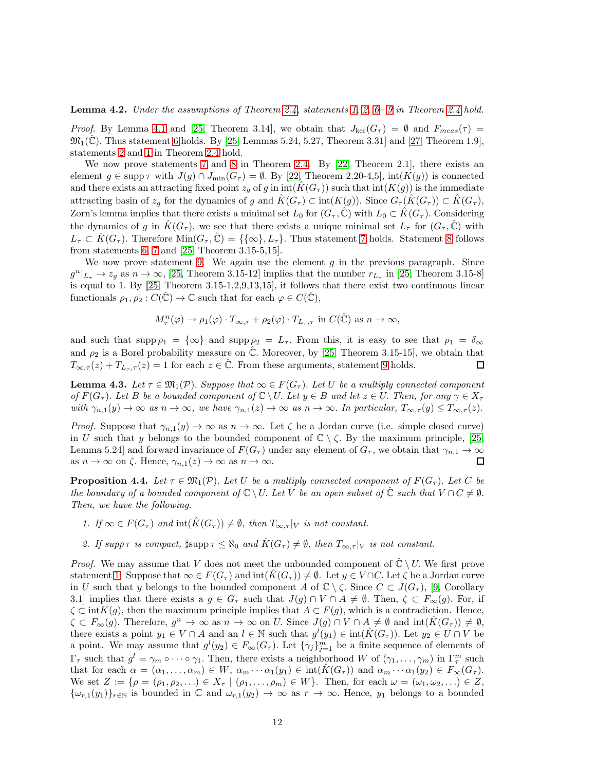<span id="page-11-4"></span>**Lemma 4.2.** Under the assumptions of Theorem [2.4,](#page-5-0) statements [1,](#page-5-3) [2,](#page-5-5)  $6-9$  in Theorem [2.4](#page-5-0) hold.

*Proof.* By Lemma [4.1](#page-10-0) and [\[25,](#page-24-1) Theorem 3.14], we obtain that  $J_{\text{ker}}(G_{\tau}) = \emptyset$  and  $F_{meas}(\tau) =$  $\mathfrak{M}_1(\mathbb{C})$ . Thus statement [6](#page-5-6) holds. By [\[25,](#page-24-1) Lemmas 5.24, 5.27, Theorem 3.31] and [\[27,](#page-24-2) Theorem 1.9], statements [2](#page-5-5) and [1](#page-5-3) in Theorem [2.4](#page-5-0) hold.

We now prove statements [7](#page-5-7) and [8](#page-5-8) in Theorem [2.4.](#page-5-0) By [\[22,](#page-23-4) Theorem 2.1], there exists an element  $g \in \text{supp } \tau$  with  $J(g) \cap J_{\text{min}}(G_{\tau}) = \emptyset$ . By [\[22,](#page-23-4) Theorem 2.20-4,5], int( $K(g)$ ) is connected and there exists an attracting fixed point  $z_q$  of g in int( $\hat{K}(G_\tau)$ ) such that int( $K(q)$ ) is the immediate attracting basin of  $z_q$  for the dynamics of g and  $K(G_\tau) \subset \text{int}(K(g))$ . Since  $G_\tau(K(G_\tau)) \subset K(G_\tau)$ , Zorn's lemma implies that there exists a minimal set  $L_0$  for  $(G_\tau,\tilde{C})$  with  $L_0 \subset K(G_\tau)$ . Considering the dynamics of g in  $K(G_\tau)$ , we see that there exists a unique minimal set  $L_\tau$  for  $(G_\tau, \mathbb{C})$  with  $L_{\tau} \subset \hat{K}(G_{\tau}).$  Therefore  $\text{Min}(G_{\tau}, \mathbb{C}) = \{\{\infty\}, L_{\tau}\}.$  Thus statement [7](#page-5-7) holds. Statement [8](#page-5-8) follows from statements [6,](#page-5-6) [7](#page-5-7) and [\[25,](#page-24-1) Theorem 3.15-5,15].

We now prove statement [9.](#page-5-4) We again use the element  $g$  in the previous paragraph. Since  $g^{n}|_{L_{\tau}} \to z_g$  as  $n \to \infty$ , [\[25,](#page-24-1) Theorem 3.15-12] implies that the number  $r_{L_{\tau}}$  in [25, Theorem 3.15-8] is equal to 1. By [\[25,](#page-24-1) Theorem 3.15-1,2,9,13,15], it follows that there exist two continuous linear functionals  $\rho_1, \rho_2 : C(\hat{\mathbb{C}}) \to \mathbb{C}$  such that for each  $\varphi \in C(\hat{\mathbb{C}})$ ,

$$
M_\tau^n(\varphi) \to \rho_1(\varphi) \cdot T_{\infty,\tau} + \rho_2(\varphi) \cdot T_{L_\tau,\tau}
$$
 in  $C(\hat{\mathbb{C}})$  as  $n \to \infty$ ,

and such that  $\text{supp }\rho_1 = {\infty}$  and  $\text{supp }\rho_2 = L_{\tau}$ . From this, it is easy to see that  $\rho_1 = \delta_{\infty}$ and  $\rho_2$  is a Borel probability measure on  $\hat{\mathbb{C}}$ . Moreover, by [\[25,](#page-24-1) Theorem 3.15-15], we obtain that  $T_{\infty,\tau}(z) + T_{L_{\tau},\tau}(z) = 1$  for each  $z \in \mathbb{C}$ . From these arguments, statement [9](#page-5-4) holds.  $\Box$ 

<span id="page-11-1"></span>**Lemma 4.3.** Let  $\tau \in \mathfrak{M}_1(\mathcal{P})$ . Suppose that  $\infty \in F(G_{\tau})$ . Let U be a multiply connected component of  $F(G_\tau)$ . Let B be a bounded component of  $\mathbb{C} \setminus U$ . Let  $y \in B$  and let  $z \in U$ . Then, for any  $\gamma \in X_\tau$ with  $\gamma_{n,1}(y) \to \infty$  as  $n \to \infty$ , we have  $\gamma_{n,1}(z) \to \infty$  as  $n \to \infty$ . In particular,  $T_{\infty,\tau}(y) \leq T_{\infty,\tau}(z)$ .

*Proof.* Suppose that  $\gamma_{n,1}(y) \to \infty$  as  $n \to \infty$ . Let  $\zeta$  be a Jordan curve (i.e. simple closed curve) in U such that y belongs to the bounded component of  $\mathbb{C} \setminus \zeta$ . By the maximum principle, [\[25,](#page-24-1) Lemma 5.24] and forward invariance of  $F(G_{\tau})$  under any element of  $G_{\tau}$ , we obtain that  $\gamma_{n,1} \to \infty$ as  $n \to \infty$  on  $\zeta$ . Hence,  $\gamma_{n,1}(z) \to \infty$  as  $n \to \infty$ .  $\Box$ 

<span id="page-11-3"></span>**Proposition 4.4.** Let  $\tau \in \mathfrak{M}_1(\mathcal{P})$ . Let U be a multiply connected component of  $F(G_\tau)$ . Let C be the boundary of a bounded component of  $\mathbb{C} \setminus U$ . Let V be an open subset of  $\mathbb{C}$  such that  $V \cap C \neq \emptyset$ . Then, we have the following.

- <span id="page-11-2"></span><span id="page-11-0"></span>1. If  $\infty \in F(G_{\tau})$  and  $\text{int}(\hat{K}(G_{\tau})) \neq \emptyset$ , then  $T_{\infty,\tau}|_V$  is not constant.
- 2. If supp  $\tau$  is compact,  $\sharp \text{supp }\tau \leq \aleph_0$  and  $\hat{K}(G_{\tau}) \neq \emptyset$ , then  $T_{\infty,\tau}|_V$  is not constant.

*Proof.* We may assume that V does not meet the unbounded component of  $\mathbb{C} \setminus U$ . We first prove statement [1.](#page-11-0) Suppose that  $\infty \in F(G_\tau)$  and  $\text{int}(K(G_\tau)) \neq \emptyset$ . Let  $y \in V \cap C$ . Let  $\zeta$  be a Jordan curve in U such that y belongs to the bounded component A of  $\mathbb{C} \setminus \zeta$ . Since  $C \subset J(G_\tau)$ , [\[9,](#page-23-6) Corollary 3.1] implies that there exists a  $g \in G_{\tau}$  such that  $J(g) \cap V \cap A \neq \emptyset$ . Then,  $\zeta \subset F_{\infty}(g)$ . For, if  $\zeta \subset \text{int}K(g)$ , then the maximum principle implies that  $A \subset F(g)$ , which is a contradiction. Hence,  $\zeta \subset F_{\infty}(g)$ . Therefore,  $g^n \to \infty$  as  $n \to \infty$  on U. Since  $J(g) \cap V \cap A \neq \emptyset$  and  $\text{int}(\hat{K}(G_{\tau})) \neq \emptyset$ , there exists a point  $y_1 \in V \cap A$  and an  $l \in \mathbb{N}$  such that  $g^l(y_1) \in \text{int}(\hat{K}(G_{\tau}))$ . Let  $y_2 \in U \cap V$  be a point. We may assume that  $g^{(l)}(y_1) \in F_{\infty}(G_{\tau})$ . Let  $\{\gamma_j\}_{j=1}^m$  be a finite sequence of elements of  $\Gamma_{\tau}$  such that  $g^{l} = \gamma_m \circ \cdots \circ \gamma_1$ . Then, there exists a neighborhood W of  $(\gamma_1, \ldots, \gamma_m)$  in  $\Gamma_{\tau}^m$  such that for each  $\alpha = (\alpha_1, \ldots, \alpha_m) \in W$ ,  $\alpha_m \cdots \alpha_1(y_1) \in \text{int}(K(G_{\tau}))$  and  $\alpha_m \cdots \alpha_1(y_2) \in F_{\infty}(G_{\tau})$ . We set  $Z := \{ \rho = (\rho_1, \rho_2, \ldots) \in X_{\tau} \mid (\rho_1, \ldots, \rho_m) \in W \}$ . Then, for each  $\omega = (\omega_1, \omega_2, \ldots) \in Z$ ,  ${\{\omega_{r,1}(y_1)\}}_{r\in\mathbb{N}}$  is bounded in  $\mathbb C$  and  $\omega_{r,1}(y_2)\to\infty$  as  $r\to\infty$ . Hence,  $y_1$  belongs to a bounded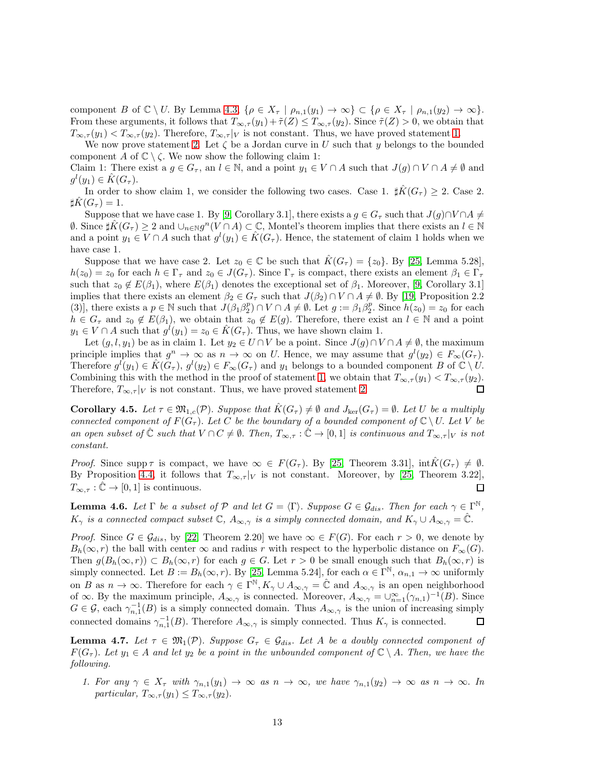component B of  $\mathbb{C} \setminus U$ . By Lemma [4.3,](#page-11-1)  $\{\rho \in X_{\tau} \mid \rho_{n,1}(y_1) \to \infty\} \subset \{\rho \in X_{\tau} \mid \rho_{n,1}(y_2) \to \infty\}.$ From these arguments, it follows that  $T_{\infty,\tau}(y_1) + \tilde{\tau}(Z) \leq T_{\infty,\tau}(y_2)$ . Since  $\tilde{\tau}(Z) > 0$ , we obtain that  $T_{\infty,\tau}(y_1) < T_{\infty,\tau}(y_2)$ . Therefore,  $T_{\infty,\tau}|_V$  is not constant. Thus, we have proved statement [1.](#page-11-0)

We now prove statement [2.](#page-11-2) Let  $\zeta$  be a Jordan curve in U such that y belongs to the bounded component A of  $\mathbb{C} \setminus \zeta$ . We now show the following claim 1:

Claim 1: There exist a  $g \in G_{\tau}$ , an  $l \in \mathbb{N}$ , and a point  $y_1 \in V \cap A$  such that  $J(g) \cap V \cap A \neq \emptyset$  and  $g^l(y_1) \in \hat{K}(G_\tau).$ 

In order to show claim 1, we consider the following two cases. Case 1.  $\sharp K(G_\tau) \geq 2$ . Case 2.  $\sharp \hat{K}(G_{\tau})=1.$ 

Suppose that we have case 1. By [\[9,](#page-23-6) Corollary 3.1], there exists a  $g \in G_{\tau}$  such that  $J(g) \cap V \cap A \neq \emptyset$  $\emptyset$ . Since  $\sharp \hat{K}(G_{\tau}) \geq 2$  and  $\cup_{n \in \mathbb{N}} g^n(V \cap A) \subset \mathbb{C}$ , Montel's theorem implies that there exists an  $l \in \mathbb{N}$ and a point  $y_1 \in V \cap A$  such that  $g^l(y_1) \in \hat{K}(G_{\tau})$ . Hence, the statement of claim 1 holds when we have case 1.

Suppose that we have case 2. Let  $z_0 \in \mathbb{C}$  be such that  $\hat{K}(G_\tau) = \{z_0\}$ . By [\[25,](#page-24-1) Lemma 5.28],  $h(z_0) = z_0$  for each  $h \in \Gamma_\tau$  and  $z_0 \in J(G_\tau)$ . Since  $\Gamma_\tau$  is compact, there exists an element  $\beta_1 \in \Gamma_\tau$ such that  $z_0 \notin E(\beta_1)$ , where  $E(\beta_1)$  denotes the exceptional set of  $\beta_1$ . Moreover, [\[9,](#page-23-6) Corollary 3.1] implies that there exists an element  $\beta_2 \in G_\tau$  such that  $J(\beta_2) \cap V \cap A \neq \emptyset$ . By [\[19,](#page-23-15) Proposition 2.2 (3)], there exists a  $p \in \mathbb{N}$  such that  $J(\beta_1 \beta_2^p) \cap V \cap A \neq \emptyset$ . Let  $g := \beta_1 \beta_2^p$ . Since  $h(z_0) = z_0$  for each  $h \in G_{\tau}$  and  $z_0 \notin E(\beta_1)$ , we obtain that  $z_0 \notin E(g)$ . Therefore, there exist an  $l \in \mathbb{N}$  and a point  $y_1 \in V \cap A$  such that  $g^i(y_1) = z_0 \in \hat{K}(G_{\tau}).$  Thus, we have shown claim 1.

Let  $(g, l, y_1)$  be as in claim 1. Let  $y_2 \in U \cap V$  be a point. Since  $J(g) \cap V \cap A \neq \emptyset$ , the maximum principle implies that  $g^n \to \infty$  as  $n \to \infty$  on U. Hence, we may assume that  $g^l(y_2) \in F_\infty(G_\tau)$ . Therefore  $g^{\tilde{l}}(y_1) \in \hat{K}(G_{\tau}), g^{\tilde{l}}(y_2) \in F_{\infty}(G_{\tau})$  and  $y_1$  belongs to a bounded component B of  $\mathbb{C} \setminus U$ . Combining this with the method in the proof of statement [1,](#page-11-0) we obtain that  $T_{\infty,\tau}(y_1) < T_{\infty,\tau}(y_2)$ . Therefore,  $T_{\infty,\tau}|_V$  is not constant. Thus, we have proved statement [2.](#page-11-2)  $\Box$ 

**Corollary 4.5.** Let  $\tau \in \mathfrak{M}_{1,c}(\mathcal{P})$ . Suppose that  $K(G_{\tau}) \neq \emptyset$  and  $J_{\text{ker}}(G_{\tau}) = \emptyset$ . Let U be a multiply connected component of  $F(G_\tau)$ . Let C be the boundary of a bounded component of  $\mathbb{C} \setminus U$ . Let V be an open subset of  $\hat{\mathbb{C}}$  such that  $V \cap C \neq \emptyset$ . Then,  $T_{\infty,\tau} : \hat{\mathbb{C}} \to [0,1]$  is continuous and  $T_{\infty,\tau}|_V$  is not constant.

*Proof.* Since supp  $\tau$  is compact, we have  $\infty \in F(G_{\tau})$ . By [\[25,](#page-24-1) Theorem 3.31],  $\text{int}K(G_{\tau}) \neq \emptyset$ . By Proposition [4.4,](#page-11-3) it follows that  $T_{\infty,\tau}|_V$  is not constant. Moreover, by [\[25,](#page-24-1) Theorem 3.22],  $T_{\infty,\tau}:\hat{\mathbb{C}}\to[0,1]$  is continuous.  $\Box$ 

<span id="page-12-1"></span>**Lemma 4.6.** Let  $\Gamma$  be a subset of  $\mathcal{P}$  and let  $G = \langle \Gamma \rangle$ . Suppose  $G \in \mathcal{G}_{dis}$ . Then for each  $\gamma \in \Gamma^{\mathbb{N}}$ ,  $K_{\gamma}$  is a connected compact subset  $\mathbb{C}$ ,  $A_{\infty,\gamma}$  is a simply connected domain, and  $K_{\gamma}\cup A_{\infty,\gamma}=\mathbb{C}$ .

*Proof.* Since  $G \in \mathcal{G}_{dis}$ , by [\[22,](#page-23-4) Theorem 2.20] we have  $\in \mathcal{F}(G)$ . For each  $r > 0$ , we denote by  $B_h(\infty, r)$  the ball with center  $\infty$  and radius r with respect to the hyperbolic distance on  $F_\infty(G)$ . Then  $g(B_h(\infty, r)) \subset B_h(\infty, r)$  for each  $g \in G$ . Let  $r > 0$  be small enough such that  $B_h(\infty, r)$  is simply connected. Let  $B := B_h(\infty, r)$ . By [\[25,](#page-24-1) Lemma 5.24], for each  $\alpha \in \Gamma^{\mathbb{N}}, \alpha_{n,1} \to \infty$  uniformly on B as  $n \to \infty$ . Therefore for each  $\gamma \in \Gamma^{\mathbb{N}}, K_{\gamma} \cup A_{\infty,\gamma} = \hat{\mathbb{C}}$  and  $A_{\infty,\gamma}$  is an open neighborhood of  $\infty$ . By the maximum principle,  $A_{\infty,\gamma}$  is connected. Moreover,  $A_{\infty,\gamma} = \bigcup_{n=1}^{\infty} (\gamma_{n,1})^{-1}(B)$ . Since  $G \in \mathcal{G}$ , each  $\gamma_{n,1}^{-1}(B)$  is a simply connected domain. Thus  $A_{\infty,\gamma}$  is the union of increasing simply connected domains  $\gamma_{n,1}^{-1}(B)$ . Therefore  $A_{\infty,\gamma}$  is simply connected. Thus  $K_{\gamma}$  is connected.  $\Box$ 

<span id="page-12-2"></span>**Lemma 4.7.** Let  $\tau \in \mathfrak{M}_1(\mathcal{P})$ . Suppose  $G_{\tau} \in \mathcal{G}_{dis}$ . Let A be a doubly connected component of  $F(G_{\tau})$ . Let  $y_1 \in A$  and let  $y_2$  be a point in the unbounded component of  $\mathbb{C} \setminus A$ . Then, we have the following.

<span id="page-12-0"></span>1. For any  $\gamma \in X_{\tau}$  with  $\gamma_{n,1}(y_1) \to \infty$  as  $n \to \infty$ , we have  $\gamma_{n,1}(y_2) \to \infty$  as  $n \to \infty$ . In particular,  $T_{\infty,\tau}(y_1) \leq T_{\infty,\tau}(y_2)$ .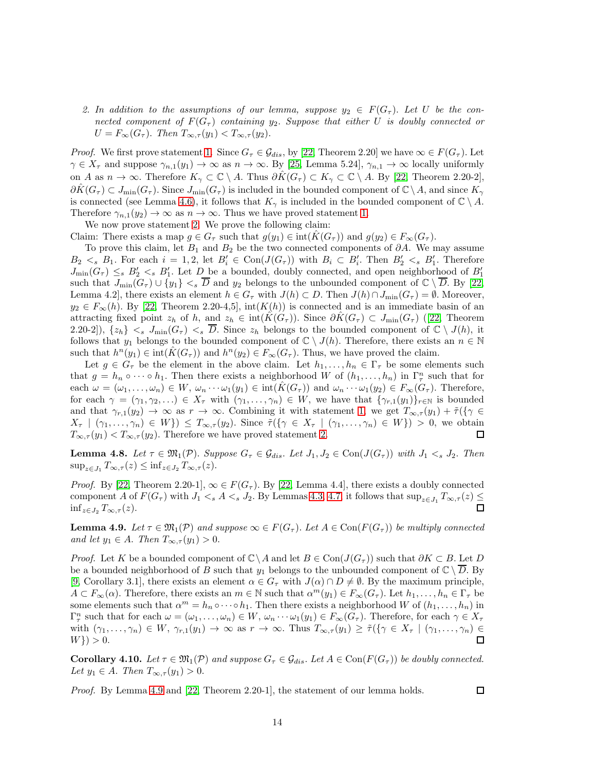<span id="page-13-0"></span>2. In addition to the assumptions of our lemma, suppose  $y_2 \in F(G_\tau)$ . Let U be the connected component of  $F(G_\tau)$  containing  $y_2$ . Suppose that either U is doubly connected or  $U = F_{\infty}(G_{\tau}).$  Then  $T_{\infty,\tau}(y_1) < T_{\infty,\tau}(y_2).$ 

*Proof.* We first prove statement [1.](#page-12-0) Since  $G_\tau \in \mathcal{G}_{dis}$ , by [\[22,](#page-23-4) Theorem 2.20] we have  $\infty \in F(G_\tau)$ . Let  $\gamma \in X_{\tau}$  and suppose  $\gamma_{n,1}(y_1) \to \infty$  as  $n \to \infty$ . By [\[25,](#page-24-1) Lemma 5.24],  $\gamma_{n,1} \to \infty$  locally uniformly on A as  $n \to \infty$ . Therefore  $K_\gamma \subset \mathbb{C} \setminus A$ . Thus  $\partial K(G_\tau) \subset K_\gamma \subset \mathbb{C} \setminus A$ . By [\[22,](#page-23-4) Theorem 2.20-2],  $\partial \hat{K}(G_{\tau}) \subset J_{\text{min}}(G_{\tau}).$  Since  $J_{\text{min}}(G_{\tau})$  is included in the bounded component of  $\mathbb{C} \setminus A$ , and since  $K_{\gamma}$ is connected (see Lemma [4.6\)](#page-12-1), it follows that  $K_{\gamma}$  is included in the bounded component of  $\mathbb{C} \setminus A$ . Therefore  $\gamma_{n,1}(y_2) \to \infty$  as  $n \to \infty$ . Thus we have proved statement [1.](#page-12-0)

We now prove statement [2.](#page-13-0) We prove the following claim:

Claim: There exists a map  $g \in G_{\tau}$  such that  $g(y_1) \in \text{int}(K(G_{\tau}))$  and  $g(y_2) \in F_{\infty}(G_{\tau})$ .

To prove this claim, let  $B_1$  and  $B_2$  be the two connected components of  $\partial A$ . We may assume  $B_2 \lt s B_1$ . For each  $i = 1, 2$ , let  $B'_i \in \text{Con}(J(G_{\tau}))$  with  $B_i \subset B'_i$ . Then  $B'_2 \lt s B'_1$ . Therefore  $J_{\min}(G_{\tau}) \leq_s B'_2 \lt_s B'_1$ . Let  $D$  be a bounded, doubly connected, and open neighborhood of  $B'_1$ such that  $J_{\min}(G_{\tau}) \cup \{y_1\} <_{s} \overline{D}$  and  $y_2$  belongs to the unbounded component of  $\mathbb{C} \setminus \overline{D}$ . By [\[22,](#page-23-4) Lemma 4.2], there exists an element  $h \in G_{\tau}$  with  $J(h) \subset D$ . Then  $J(h) \cap J_{\min}(G_{\tau}) = \emptyset$ . Moreover,  $y_2 \in F_\infty(h)$ . By [\[22,](#page-23-4) Theorem 2.20-4,5], int $(K(h))$  is connected and is an immediate basin of an attractingfixed point  $z_h$  of h, and  $z_h \in \text{int}(K(G_\tau))$ . Since  $\partial K(G_\tau) \subset J_{\text{min}}(G_\tau)$  ([\[22,](#page-23-4) Theorem 2.20-2]),  $\{z_h\} \leq s$   $J_{\min}(G_\tau) \leq s$   $\overline{D}$ . Since  $z_h$  belongs to the bounded component of  $\mathbb{C} \setminus J(h)$ , it follows that  $y_1$  belongs to the bounded component of  $\mathbb{C} \setminus J(h)$ . Therefore, there exists an  $n \in \mathbb{N}$ such that  $h^{n}(y_1) \in \text{int}(\hat{K}(G_{\tau}))$  and  $h^{n}(y_2) \in F_{\infty}(G_{\tau})$ . Thus, we have proved the claim.

Let  $g \in G_{\tau}$  be the element in the above claim. Let  $h_1, \ldots, h_n \in \Gamma_{\tau}$  be some elements such that  $g = h_n \circ \cdots \circ h_1$ . Then there exists a neighborhood W of  $(h_1, \ldots, h_n)$  in  $\Gamma_\tau^n$  such that for each  $\omega = (\omega_1, \ldots, \omega_n) \in W$ ,  $\omega_n \cdots \omega_1(y_1) \in \text{int}(K(G_{\tau}))$  and  $\omega_n \cdots \omega_1(y_2) \in F_{\infty}(G_{\tau})$ . Therefore, for each  $\gamma = (\gamma_1, \gamma_2, \ldots) \in X_\tau$  with  $(\gamma_1, \ldots, \gamma_n) \in W$ , we have that  $\{\gamma_{r,1}(y_1)\}_{r \in \mathbb{N}}$  is bounded and that  $\gamma_{r,1}(y_2) \to \infty$  as  $r \to \infty$ . Combining it with statement [1,](#page-12-0) we get  $T_{\infty,\tau}(y_1) + \tilde{\tau}(\{\gamma \in$  $X_{\tau} \mid (\gamma_1,\ldots,\gamma_n) \in W \}$   $\leq T_{\infty,\tau}(y_2)$ . Since  $\tilde{\tau}(\{\gamma \in X_{\tau} \mid (\gamma_1,\ldots,\gamma_n) \in W\}) > 0$ , we obtain  $T_{\infty,\tau}(y_1) < T_{\infty,\tau}(y_2)$ . Therefore we have proved statement [2.](#page-13-0)  $\Box$ 

<span id="page-13-2"></span>**Lemma 4.8.** Let  $\tau \in \mathfrak{M}_1(\mathcal{P})$ . Suppose  $G_{\tau} \in \mathcal{G}_{dis}$ . Let  $J_1, J_2 \in \text{Con}(J(G_{\tau}))$  with  $J_1 \leq s J_2$ . Then  $\sup_{z\in J_1} T_{\infty,\tau}(z) \leq \inf_{z\in J_2} T_{\infty,\tau}(z).$ 

*Proof.* By [\[22,](#page-23-4) Theorem 2.20-1],  $\infty \in F(G_{\tau})$ . By [22, Lemma 4.4], there exists a doubly connected component A of  $F(G_{\tau})$  with  $J_1 \lt_s A \lt_s J_2$ . By Lemmas [4.3,](#page-11-1) [4.7,](#page-12-2) it follows that  $\sup_{z \in J_1} T_{\infty,\tau}(z) \leq$  $\inf_{z\in J_2} T_{\infty,\tau}(z)$ .  $\Box$ 

<span id="page-13-1"></span>**Lemma 4.9.** Let  $\tau \in \mathfrak{M}_{1}(\mathcal{P})$  and suppose  $\infty \in F(G_{\tau})$ . Let  $A \in \text{Con}(F(G_{\tau}))$  be multiply connected and let  $y_1 \in A$ . Then  $T_{\infty,\tau}(y_1) > 0$ .

*Proof.* Let K be a bounded component of  $\mathbb{C}\setminus A$  and let  $B \in \text{Con}(J(G_{\tau}))$  such that  $\partial K \subset B$ . Let D be a bounded neighborhood of B such that  $y_1$  belongs to the unbounded component of  $\mathbb{C} \setminus D$ . By [\[9,](#page-23-6) Corollary 3.1], there exists an element  $\alpha \in G_{\tau}$  with  $J(\alpha) \cap D \neq \emptyset$ . By the maximum principle,  $A \subset F_{\infty}(\alpha)$ . Therefore, there exists an  $m \in \mathbb{N}$  such that  $\alpha^{m}(y_1) \in F_{\infty}(G_{\tau})$ . Let  $h_1, \ldots, h_n \in \Gamma_{\tau}$  be some elements such that  $\alpha^m = h_n \circ \cdots \circ h_1$ . Then there exists a neighborhood W of  $(h_1, \ldots, h_n)$  in  $\Gamma_{\tau}^{n}$  such that for each  $\omega = (\omega_1, \ldots, \omega_n) \in W$ ,  $\omega_n \cdots \omega_1(y_1) \in F_{\infty}(G_{\tau})$ . Therefore, for each  $\gamma \in X_{\tau}$ with  $(\gamma_1,\ldots,\gamma_n)\in W$ ,  $\gamma_{r,1}(y_1)\to\infty$  as  $r\to\infty$ . Thus  $T_{\infty,\tau}(y_1)\geq\tilde{\tau}(\{\gamma\in X_{\tau}\mid(\gamma_1,\ldots,\gamma_n)\in$  $\Box$  $W$ }  $> 0$ .

<span id="page-13-3"></span>**Corollary 4.10.** Let  $\tau \in \mathfrak{M}_1(\mathcal{P})$  and suppose  $G_{\tau} \in \mathcal{G}_{dis}$ . Let  $A \in \text{Con}(F(G_{\tau}))$  be doubly connected. Let  $y_1 \in A$ . Then  $T_{\infty,\tau}(y_1) > 0$ .

*Proof.* By Lemma [4.9](#page-13-1) and [\[22,](#page-23-4) Theorem 2.20-1], the statement of our lemma holds.

 $\Box$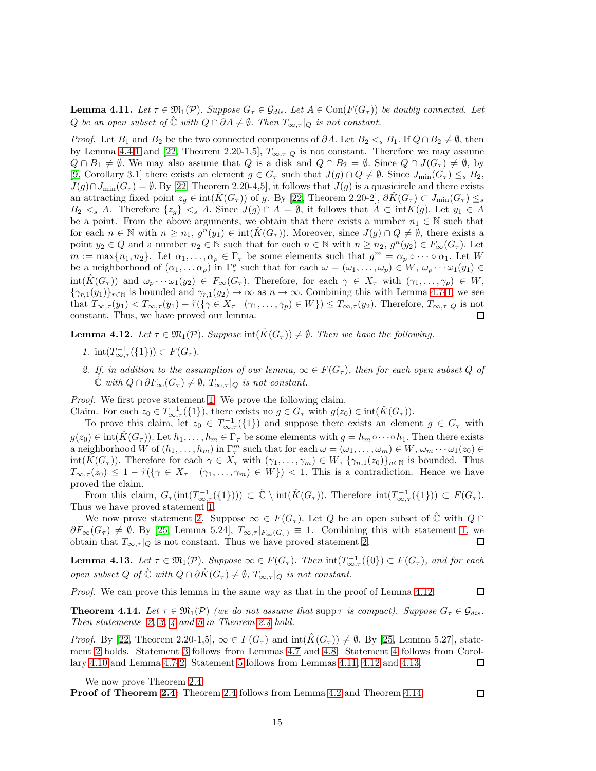<span id="page-14-3"></span>**Lemma 4.11.** Let  $\tau \in \mathfrak{M}_{1}(\mathcal{P})$ . Suppose  $G_{\tau} \in \mathcal{G}_{dis}$ . Let  $A \in \text{Con}(F(G_{\tau}))$  be doubly connected. Let Q be an open subset of  $\hat{\mathbb{C}}$  with  $Q \cap \partial A \neq \emptyset$ . Then  $T_{\infty,\tau}|_Q$  is not constant.

*Proof.* Let  $B_1$  and  $B_2$  be the two connected components of  $\partial A$ . Let  $B_2 \lt_s B_1$ . If  $Q \cap B_2 \neq \emptyset$ , then by Lemma [4.4-](#page-11-3)[1](#page-11-0) and [\[22,](#page-23-4) Theorem 2.20-1,5],  $T_{\infty,\tau}|_Q$  is not constant. Therefore we may assume  $Q \cap B_1 \neq \emptyset$ . We may also assume that Q is a disk and  $Q \cap B_2 = \emptyset$ . Since  $Q \cap J(G_{\tau}) \neq \emptyset$ , by [\[9,](#page-23-6) Corollary 3.1] there exists an element  $g \in G_{\tau}$  such that  $J(g) \cap Q \neq \emptyset$ . Since  $J_{\min}(G_{\tau}) \leq_{s} B_{2}$ ,  $J(g) \cap J_{\min}(G_{\tau}) = \emptyset$ . By [\[22,](#page-23-4) Theorem 2.20-4,5], it follows that  $J(g)$  is a quasicircle and there exists an attracting fixed point  $z_q \in \text{int}(\hat{K}(G_\tau))$  of g. By [\[22,](#page-23-4) Theorem 2.20-2],  $\partial \hat{K}(G_\tau) \subset J_{\text{min}}(G_\tau) \leq s$  $B_2 \leq s$  A. Therefore  $\{z_q\} \leq s$  A. Since  $J(g) \cap A = \emptyset$ , it follows that  $A \subset \text{int}K(g)$ . Let  $y_1 \in A$ be a point. From the above arguments, we obtain that there exists a number  $n_1 \in \mathbb{N}$  such that for each  $n \in \mathbb{N}$  with  $n \geq n_1$ ,  $g^n(y_1) \in \text{int}(\hat{K}(G_{\tau}))$ . Moreover, since  $J(g) \cap Q \neq \emptyset$ , there exists a point  $y_2 \in Q$  and a number  $n_2 \in \mathbb{N}$  such that for each  $n \in \mathbb{N}$  with  $n \geq n_2$ ,  $g^{n}(y_2) \in F_{\infty}(G_{\tau})$ . Let  $m := \max\{n_1, n_2\}$ . Let  $\alpha_1, \ldots, \alpha_p \in \Gamma_\tau$  be some elements such that  $g^m = \alpha_p \circ \cdots \circ \alpha_1$ . Let W be a neighborhood of  $(\alpha_1, \ldots \alpha_p)$  in  $\Gamma_\tau^p$  such that for each  $\omega = (\omega_1, \ldots, \omega_p) \in W$ ,  $\omega_p \cdots \omega_1(y_1) \in$  $\text{int}(K(G_{\tau}))$  and  $\omega_p \cdots \omega_1(y_2) \in F_{\infty}(G_{\tau})$ . Therefore, for each  $\gamma \in X_{\tau}$  with  $(\gamma_1, \ldots, \gamma_p) \in W$ ,  ${\{\gamma_{r,1}(y_1)\}_{r\in\mathbb{N}}}$  is bounded and  $\gamma_{r,1}(y_2) \to \infty$  as  $n \to \infty$ . Combining this with Lemma [4.7-](#page-12-2)[1,](#page-12-0) we see that  $T_{\infty,\tau}(y_1) < T_{\infty,\tau}(y_1) + \tilde{\tau}(\{\gamma \in X_{\tau} \mid (\gamma_1,\ldots,\gamma_p) \in W\}) \leq T_{\infty,\tau}(y_2)$ . Therefore,  $T_{\infty,\tau}|_Q$  is not constant. Thus, we have proved our lemma.  $\Box$ 

<span id="page-14-2"></span><span id="page-14-0"></span>**Lemma 4.12.** Let  $\tau \in \mathfrak{M}_1(\mathcal{P})$ . Suppose  $\text{int}(\hat{K}(G_{\tau})) \neq \emptyset$ . Then we have the following.

- <span id="page-14-1"></span>1.  $\text{int}(T^{-1}_{\infty,\tau}(\{1\})) \subset F(G_{\tau}).$
- 2. If, in addition to the assumption of our lemma,  $\infty \in F(G_{\tau})$ , then for each open subset Q of  $\mathbb{\hat{C}}$  with  $Q \cap \partial F_{\infty}(G_{\tau}) \neq \emptyset$ ,  $T_{\infty,\tau}|_{Q}$  is not constant.

Proof. We first prove statement [1.](#page-14-0) We prove the following claim. Claim. For each  $z_0 \in T^{-1}_{\infty,\tau}(\{1\})$ , there exists no  $g \in G_{\tau}$  with  $g(z_0) \in \text{int}(\hat{K}(G_{\tau}))$ .

To prove this claim, let  $z_0 \in T^{-1}_{\infty,\tau}(\{1\})$  and suppose there exists an element  $g \in G_{\tau}$  with  $g(z_0) \in \text{int}(K(G_{\tau}))$ . Let  $h_1, \ldots, h_m \in \Gamma_{\tau}$  be some elements with  $g = h_m \circ \cdots \circ h_1$ . Then there exists a neighborhood W of  $(h_1, \ldots, h_m)$  in  $\Gamma_{\tau}^m$  such that for each  $\omega = (\omega_1, \ldots, \omega_m) \in W$ ,  $\omega_m \cdots \omega_1(z_0) \in$  $int(\hat{K}(G_{\tau}))$ . Therefore for each  $\gamma \in X_{\tau}$  with  $(\gamma_1, \ldots, \gamma_m) \in W$ ,  $\{\gamma_{n,1}(z_0)\}_{n \in \mathbb{N}}$  is bounded. Thus  $T_{\infty,\tau}(z_0) \leq 1 - \tilde{\tau}(\{\gamma \in X_{\tau} \mid (\gamma_1,\ldots,\gamma_m) \in W\}) < 1$ . This is a contradiction. Hence we have proved the claim.

From this claim,  $G_{\tau}(\text{int}(T_{\infty,\tau}^{-1}(\{1\}))) \subset \hat{\mathbb{C}} \setminus \text{int}(\hat{K}(G_{\tau}))$ . Therefore  $\text{int}(T_{\infty,\tau}^{-1}(\{1\})) \subset F(G_{\tau})$ . Thus we have proved statement [1.](#page-14-0)

We now prove statement [2.](#page-14-1) Suppose  $\infty \in F(G_\tau)$ . Let Q be an open subset of  $\mathbb C$  with  $Q \cap$  $\partial F_{\infty}(G_{\tau}) \neq \emptyset$ . By [\[25,](#page-24-1) Lemma 5.24],  $T_{\infty,\tau}|_{F_{\infty}(G_{\tau})} \equiv 1$ . Combining this with statement [1,](#page-14-0) we obtain that  $T_{\infty,\tau}|_Q$  is not constant. Thus we have proved statement [2.](#page-14-1)  $\Box$ 

<span id="page-14-4"></span>**Lemma 4.13.** Let  $\tau \in \mathfrak{M}_1(\mathcal{P})$ . Suppose  $\infty \in F(G_\tau)$ . Then  $\text{int}(T^{-1}_{\infty,\tau}(\{0\}) \subset F(G_\tau)$ , and for each open subset Q of  $\hat{\mathbb{C}}$  with  $Q \cap \partial \hat{K}(G_{\tau}) \neq \emptyset$ ,  $T_{\infty,\tau}|_Q$  is not constant.

Proof. We can prove this lemma in the same way as that in the proof of Lemma [4.12.](#page-14-2)

<span id="page-14-5"></span>**Theorem 4.14.** Let  $\tau \in \mathfrak{M}_{1}(\mathcal{P})$  (we do not assume that supp  $\tau$  is compact). Suppose  $G_{\tau} \in \mathcal{G}_{dis}$ . Then statements [2,](#page-5-5) [3,](#page-5-9) [4](#page-5-1) and [5](#page-5-2) in Theorem [2.4](#page-5-0) hold.

*Proof.* By [\[22,](#page-23-4) Theorem 2.20-1.5],  $\infty \in F(G_{\tau})$  and  $\text{int}(\hat{K}(G_{\tau})) \neq \emptyset$ . By [\[25,](#page-24-1) Lemma 5.27], statement [2](#page-5-5) holds. Statement [3](#page-5-9) follows from Lemmas [4.7](#page-12-2) and [4.8.](#page-13-2) Statement [4](#page-5-1) follows from Corollary [4.10](#page-13-3) and Lemma [4.7-](#page-12-2)[2.](#page-13-0) Statement [5](#page-5-2) follows from Lemmas [4.11,](#page-14-3) [4.12](#page-14-2) and [4.13.](#page-14-4)  $\Box$ 

We now prove Theorem [2.4.](#page-5-0)

Proof of Theorem [2.4:](#page-5-0) Theorem [2.4](#page-5-0) follows from Lemma [4.2](#page-11-4) and Theorem [4.14.](#page-14-5)

15

 $\Box$ 

 $\Box$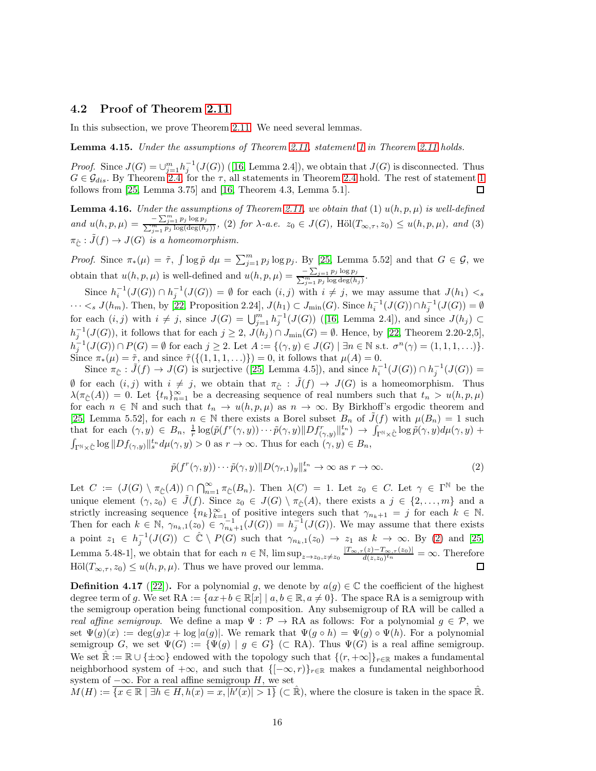### 4.2 Proof of Theorem [2.11](#page-7-0)

In this subsection, we prove Theorem [2.11.](#page-7-0) We need several lemmas.

<span id="page-15-1"></span>Lemma 4.15. Under the assumptions of Theorem [2.11,](#page-7-0) statement [1](#page-7-1) in Theorem [2.11](#page-7-0) holds.

*Proof.*Since  $J(G) = \bigcup_{j=1}^{m} h_j^{-1}(J(G))$  ([\[16,](#page-23-11) Lemma 2.4]), we obtain that  $J(G)$  is disconnected. Thus  $G \in \mathcal{G}_{dis}$ . By Theorem [2.4,](#page-5-0) for the  $\tau$ , all statements in Theorem [2.4](#page-5-0) hold. The rest of statement [1](#page-7-1) follows from [\[25,](#page-24-1) Lemma 3.75] and [\[16,](#page-23-11) Theorem 4.3, Lemma 5.1].  $\Box$ 

<span id="page-15-2"></span>**Lemma 4.16.** Under the assumptions of Theorem [2.11,](#page-7-0) we obtain that  $(1)$   $u(h, p, \mu)$  is well-defined and  $u(h, p, \mu) = \frac{-\sum_{j=1}^{m} p_j}{\sum_{i=1}^{m} p_j k}$  $\frac{f(x)-\sum_{j=1}^m p_j \log p_j}{f(x)-\sum_{j=1}^m p_j \log(\deg(h_j))}$ , (2) for  $\lambda$ -a.e.  $z_0 \in J(G)$ , Höl $(T_{\infty,\tau},z_0) \leq u(h,p,\mu)$ , and (3)  $\pi_{\hat{c}} : \tilde{J}(f) \to J(G)$  is a homeomorphism.

*Proof.* Since  $\pi_*(\mu) = \tilde{\tau}$ ,  $\int \log \tilde{p} d\mu = \sum_{j=1}^m p_j \log p_j$ . By [\[25,](#page-24-1) Lemma 5.52] and that  $G \in \mathcal{G}$ , we obtain that  $u(h, p, \mu)$  is well-defined and  $u(h, p, \mu) = \frac{-\sum_{j=1}^n p_j}{\sum_{i=1}^m p_i}$  $\frac{p - \sum_{j=1}^n p_j \log p_j}{\sum_{j=1}^m p_j \log \deg(h_j)}.$ 

Since  $h_i^{-1}(J(G)) \cap h_j^{-1}(J(G)) = \emptyset$  for each  $(i, j)$  with  $i \neq j$ , we may assume that  $J(h_1) < s$  $\cdots <_s J(h_m)$ . Then, by [\[22,](#page-23-4) Proposition 2.24],  $J(h_1) \subset J_{\min}(G)$ . Since  $h_i^{-1}(J(G)) \cap h_j^{-1}(J(G)) = \emptyset$ foreach  $(i, j)$  with  $i \neq j$ , since  $J(G) = \bigcup_{j=1}^{m} h_j^{-1}(J(G))$  ([\[16,](#page-23-11) Lemma 2.4]), and since  $J(h_j) \subset$  $h_j^{-1}(J(G))$ , it follows that for each  $j \geq 2$ ,  $J(h_j) \cap J_{\min}(G) = \emptyset$ . Hence, by [\[22,](#page-23-4) Theorem 2.20-2,5],  $h_j^{-1}(J(G)) \cap P(G) = \emptyset$  for each  $j \geq 2$ . Let  $A := \{(\gamma, y) \in J(G) \mid \exists n \in \mathbb{N} \text{ s.t. } \sigma^n(\gamma) = (1, 1, 1, \ldots)\}.$ Since  $\pi_*(\mu) = \tilde{\tau}$ , and since  $\tilde{\tau}(\{(1,1,1,\ldots)\}) = 0$ , it follows that  $\mu(A) = 0$ .

Since $\pi_{\hat{\mathbb{C}}} : \tilde{J}(f) \to J(G)$  is surjective ([\[25,](#page-24-1) Lemma 4.5]), and since  $h_i^{-1}(J(G)) \cap h_j^{-1}(J(G)) =$  $\emptyset$  for each  $(i, j)$  with  $i \neq j$ , we obtain that  $\pi_{\hat{\mathbb{C}}} : \tilde{J}(f) \to J(G)$  is a homeomorphism. Thus  $\lambda(\pi_{\hat{\mathbb{C}}}(A)) = 0$ . Let  $\{t_n\}_{n=1}^{\infty}$  be a decreasing sequence of real numbers such that  $t_n > u(h, p, \mu)$ for each  $n \in \mathbb{N}$  and such that  $t_n \to u(h, p, \mu)$  as  $n \to \infty$ . By Birkhoff's ergodic theorem and [\[25,](#page-24-1) Lemma 5.52], for each  $n \in \mathbb{N}$  there exists a Borel subset  $B_n$  of  $\tilde{J}(f)$  with  $\mu(B_n) = 1$  such that for each  $(\gamma, y) \in B_n$ ,  $\frac{1}{r} \log(\tilde{p}(f^r(\gamma, y)) \cdots \tilde{p}(\gamma, y) ||Df^r_{(\gamma, y)}||_s^{t_n}) \to \int_{\Gamma^{\mathbb{N}} \times \hat{\mathbb{C}}} \log \tilde{p}(\gamma, y) d\mu(\gamma, y) +$  $\int_{\Gamma^{\mathbb{N}}\times\hat{\mathbb{C}}} \log ||Df_{(\gamma,y)}||_{s}^{t_n} d\mu(\gamma,y) > 0$  as  $r \to \infty$ . Thus for each  $(\gamma,y) \in B_n$ ,

<span id="page-15-0"></span>
$$
\tilde{p}(f^r(\gamma, y)) \cdots \tilde{p}(\gamma, y) \| D(\gamma_{r,1})_y \|_{s}^{t_n} \to \infty \text{ as } r \to \infty.
$$
\n(2)

Let  $C := (J(G) \setminus \pi_{\hat{C}}(A)) \cap \bigcap_{n=1}^{\infty} \pi_{\hat{C}}(B_n)$ . Then  $\lambda(C) = 1$ . Let  $z_0 \in C$ . Let  $\gamma \in \Gamma^{\mathbb{N}}$  be the unique element  $(\gamma, z_0) \in \tilde{J}(f)$ . Since  $z_0 \in J(G) \setminus \pi_{\tilde{\mathbb{C}}}(A)$ , there exists a  $j \in \{2, \ldots, m\}$  and a strictly increasing sequence  ${n_k}_{k=1}^{\infty}$  of positive integers such that  $\gamma_{n_k+1} = j$  for each  $k \in \mathbb{N}$ . Then for each  $k \in \mathbb{N}$ ,  $\gamma_{n_k,1}(z_0) \in \gamma_{n_k+1}^{-1}(J(G)) = h_j^{-1}(J(G))$ . We may assume that there exists a point  $z_1 \in h_j^{-1}(J(G)) \subset \hat{\mathbb{C}} \setminus P(G)$  such that  $\gamma_{n_k,1}(z_0) \to z_1$  as  $k \to \infty$ . By [\(2\)](#page-15-0) and [\[25,](#page-24-1) Lemma 5.48-1], we obtain that for each  $n \in \mathbb{N}$ ,  $\limsup_{z \to z_0, z \neq z_0} \frac{|T_{\infty,\tau}(z) - T_{\infty,\tau}(z_0)|}{d(z, z_0)^{tn}}$  $\frac{d(z)-1\infty,\tau(z_0)|}{d(z,z_0)^{tn}}=\infty$ . Therefore  $\text{H\"ol}(T_{\infty,\tau}, z_0) \leq u(h, p, \mu)$ . Thus we have proved our lemma.  $\Box$ 

**Definition 4.17** ([\[22\]](#page-23-4)). For a polynomial g, we denote by  $a(g) \in \mathbb{C}$  the coefficient of the highest degree term of g. We set  $RA := \{ax + b \in \mathbb{R}[x] \mid a, b \in \mathbb{R}, a \neq 0\}$ . The space RA is a semigroup with the semigroup operation being functional composition. Any subsemigroup of RA will be called a real affine semigroup. We define a map  $\Psi : \mathcal{P} \to \mathbb{R}$ A as follows: For a polynomial  $g \in \mathcal{P}$ , we set  $\Psi(g)(x) := \deg(g)x + \log |a(g)|$ . We remark that  $\Psi(g \circ h) = \Psi(g) \circ \Psi(h)$ . For a polynomial semigroup G, we set  $\Psi(G) := {\Psi(g) | g \in G} \subset \mathbb{R}$ A). Thus  $\Psi(G)$  is a real affine semigroup. We set  $\mathbb{R} := \mathbb{R} \cup \{\pm \infty\}$  endowed with the topology such that  $\{(r, +\infty)\}_{r \in \mathbb{R}}$  makes a fundamental neighborhood system of  $+\infty$ , and such that  $\{[-\infty, r]\}_{r \in \mathbb{R}}$  makes a fundamental neighborhood system of  $-\infty$ . For a real affine semigroup H, we set

 $M(H) := \overline{\{x \in \mathbb{R} \mid \exists h \in H, h(x) = x, |h'(x)| > 1\}}$  ( $\subset \mathbb{R}$ ), where the closure is taken in the space  $\mathbb{R}$ .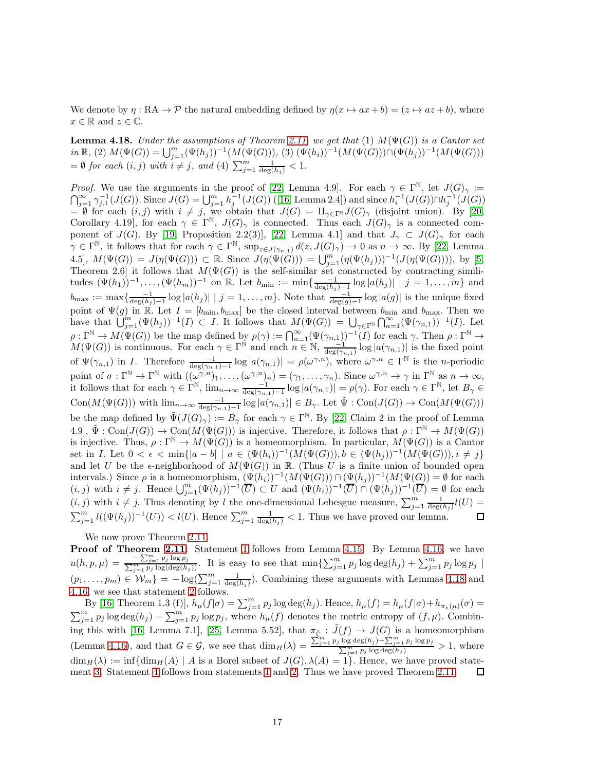We denote by  $\eta : \mathbb{R}A \to \mathcal{P}$  the natural embedding defined by  $\eta(x \mapsto ax + b) = (z \mapsto az + b)$ , where  $x \in \mathbb{R}$  and  $z \in \mathbb{C}$ .

<span id="page-16-0"></span>**Lemma 4.18.** Under the assumptions of Theorem [2.11,](#page-7-0) we get that (1)  $M(\Psi(G))$  is a Cantor set  $in \mathbb{R}, (2) M(\Psi(G)) = \bigcup_{j=1}^{m} (\Psi(h_j))^{-1}(M(\Psi(G))), (3) (\Psi(h_i))^{-1}(M(\Psi(G))) \cap (\Psi(h_j))^{-1}(M(\Psi(G)))$  $= \emptyset$  for each  $(i, j)$  with  $i \neq j$ , and  $(4)$   $\sum_{j=1}^{m} \frac{1}{\deg(h_j)} < 1$ .

*Proof.* We use the arguments in the proof of [\[22,](#page-23-4) Lemma 4.9]. For each  $\gamma \in \Gamma^{\mathbb{N}}$ , let  $J(G)_{\gamma} :=$  $\bigcap_{j=1}^{\infty} \gamma_{j,1}^{-1}(J(G))$  $\bigcap_{j=1}^{\infty} \gamma_{j,1}^{-1}(J(G))$  $\bigcap_{j=1}^{\infty} \gamma_{j,1}^{-1}(J(G))$ . Since  $J(G) = \bigcup_{j=1}^{m} h_j^{-1}(J(G))$  ([\[16,](#page-23-11) Lemma 2.4]) and since  $h_i^{-1}(J(G)) \cap h_j^{-1}(J(G))$ = Ø for each  $(i, j)$  with  $i \neq j$ , we obtain that  $J(G) = \amalg_{\gamma \in \Gamma^{\mathbb{N}}} J(G)_{\gamma}$  (disjoint union). By [\[20,](#page-23-10) Corollary 4.19], for each  $\gamma \in \Gamma^{\mathbb{N}}$ ,  $J(G)_{\gamma}$  is connected. Thus each  $J(G)_{\gamma}$  is a connected component of  $J(G)$ . By [\[19,](#page-23-15) Proposition 2.2(3)], [\[22,](#page-23-4) Lemma 4.1] and that  $J_{\gamma} \subset J(G)_{\gamma}$  for each  $\gamma \in \Gamma^{\mathbb{N}}$ , it follows that for each  $\gamma \in \Gamma^{\mathbb{N}}$ ,  $\sup_{z \in J(\gamma_{n,1})} d(z, J(G)_{\gamma}) \to 0$  as  $n \to \infty$ . By [\[22,](#page-23-4) Lemma 4.5],  $M(\Psi(G)) = J(\eta(\Psi(G))) \subset \mathbb{R}$ . Since  $J(\eta(\Psi(G))) = \bigcup_{j=1}^{m} (\eta(\Psi(h_j)))^{-1}(J(\eta(\Psi(G))))$ , by [\[5,](#page-23-18) Theorem 2.6] it follows that  $M(\Psi(G))$  is the self-similar set constructed by contracting similitudes  $(\Psi(h_1))^{-1}, \ldots, (\Psi(h_m))^{-1}$  on R. Let  $b_{\min} := \min\{\frac{-1}{\deg(h_j)-1} \log |a(h_j)| \mid j = 1, \ldots, m\}$  and  $b_{\max} := \max\{\frac{-1}{\deg(h_j)-1}\log|a(h_j)| \mid j=1,\ldots,m\}$ . Note that  $\frac{-1}{\deg(g)-1}\log|a(g)|$  is the unique fixed point of  $\Psi(g)$  in R. Let  $I = [b_{\min}, b_{\max}]$  be the closed interval between  $b_{\min}$  and  $b_{\max}$ . Then we have that  $\bigcup_{j=1}^m (\Psi(h_j))^{-1}(I) \subset I$ . It follows that  $M(\Psi(G)) = \bigcup_{\gamma \in \Gamma^{\mathbb{N}}} \bigcap_{n=1}^{\infty} (\Psi(\gamma_{n,1}))^{-1}(I)$ . Let  $\rho: \Gamma^{\mathbb{N}} \to M(\Psi(G))$  be the map defined by  $\rho(\gamma) := \bigcap_{n=1}^{\infty} (\Psi(\gamma_{n,1}))^{-1}(I)$  for each  $\gamma$ . Then  $\rho: \Gamma^{\mathbb{N}} \to$  $M(\Psi(G))$  is continuous. For each  $\gamma \in \Gamma^{\mathbb{N}}$  and each  $n \in \mathbb{N}$ ,  $\frac{-1}{\deg(\gamma_{n,1})} \log |a(\gamma_{n,1})|$  is the fixed point of  $\Psi(\gamma_{n,1})$  in *I*. Therefore  $\frac{-1}{\deg(\gamma_{n,1})-1}\log |a(\gamma_{n,1})| = \rho(\omega^{\gamma,n})$ , where  $\omega^{\gamma,n} \in \Gamma^{\mathbb{N}}$  is the *n*-periodic point of  $\sigma : \Gamma^{\mathbb{N}} \to \Gamma^{\mathbb{N}}$  with  $((\omega^{\gamma,n})_1, \ldots, (\omega^{\gamma,n})_n) = (\gamma_1, \ldots, \gamma_n)$ . Since  $\omega^{\gamma,n} \to \gamma$  in  $\Gamma^{\mathbb{N}}$  as  $n \to \infty$ , it follows that for each  $\gamma \in \Gamma^{\mathbb{N}}$ ,  $\lim_{n\to\infty} \frac{-1}{\deg(\gamma_{n,1})-1} \log |a(\gamma_{n,1})| = \rho(\gamma)$ . For each  $\gamma \in \Gamma^{\mathbb{N}}$ , let  $B_{\gamma} \in$  $Con(M(\Psi(G)))$  with  $\lim_{n\to\infty} \frac{-1}{\deg(\gamma_{n,1})-1} \log |a(\gamma_{n,1})| \in B_\gamma$ . Let  $\tilde{\Psi}: Con(J(G)) \to Con(M(\Psi(G)))$ be the map defined by  $\tilde{\Psi}(J(G)_\gamma) := B_\gamma$  for each  $\gamma \in \Gamma^{\mathbb{N}}$ . By [\[22,](#page-23-4) Claim 2 in the proof of Lemma 4.9],  $\tilde{\Psi}: \text{Con}(J(G)) \to \text{Con}(M(\Psi(G)))$  is injective. Therefore, it follows that  $\rho: \Gamma^{\mathbb{N}} \to M(\Psi(G))$ is injective. Thus,  $\rho: \Gamma^{\mathbb{N}} \to M(\Psi(G))$  is a homeomorphism. In particular,  $M(\Psi(G))$  is a Cantor set in *I*. Let  $0 < \epsilon < \min\{|a-b| \mid a \in (\Psi(h_i))^{-1}(M(\Psi(G))), b \in (\Psi(h_j))^{-1}(M(\Psi(G))), i \neq j\}$ and let U be the  $\epsilon$ -neighborhood of  $M(\Psi(G))$  in R. (Thus U is a finite union of bounded open intervals.) Since  $\rho$  is a homeomorphism,  $(\Psi(h_i))^{-1}(M(\Psi(G))) \cap (\Psi(h_j))^{-1}(M(\Psi(G))) = \emptyset$  for each  $(i, j)$  with  $i \neq j$ . Hence  $\bigcup_{j=1}^{m} (\Psi(h_j))^{-1}(\overline{U}) \subset U$  and  $(\Psi(h_i))^{-1}(\overline{U}) \cap (\Psi(h_j))^{-1}(\overline{U}) = \emptyset$  for each  $(i, j)$  with  $i \neq j$ . Thus denoting by l the one-dimensional Lebesgue measure,  $\sum_{j=1}^{m} \frac{1}{\deg(h_j)} l(U)$  $\sum_{j=1}^m l((\Psi(h_j))^{-1}(U)) < l(U)$ . Hence  $\sum_{j=1}^m \frac{1}{\deg(h_j)} < 1$ . Thus we have proved our lemma. 口

We now prove Theorem [2.11.](#page-7-0)

Proof of Theorem [2.11:](#page-7-0) Statement [1](#page-7-1) follows from Lemma [4.15.](#page-15-1) By Lemma [4.16,](#page-15-2) we have  $u(h, p, \mu) = \frac{-\sum_{j=1}^{m} p_j}{\sum_{i=1}^{m} p_j \log n}$  $-\frac{\sum_{j=1}^m p_j \log p_j}{p_j \log(\deg(h_j))}$ . It is easy to see that  $\min\{\sum_{j=1}^m p_j \log \deg(h_j) + \sum_{j=1}^m p_j \log p_j\}$  $(p_1,\ldots,p_m)\in W_m$  =  $-\log(\sum_{j=1}^m\frac{1}{\deg(h_j)})$ . Combining these arguments with Lemmas [4.18](#page-16-0) and [4.16,](#page-15-2) we see that statement [2](#page-7-3) follows.

By [\[16,](#page-23-11) Theorem 1.3 (f)],  $h_\mu(f|\sigma) = \sum_{j=1}^m p_j \log \deg(h_j)$ . Hence,  $h_\mu(f) = h_\mu(f|\sigma) + h_{\pi_*(\mu)}(\sigma) =$  $\sum_{j=1}^m p_j \log \deg(h_j) - \sum_{j=1}^m p_j \log p_j$ , where  $h_\mu(f)$  denotes the metric entropy of  $(f, \mu)$ . Combin-ing this with [\[16,](#page-23-11) Lemma 7.1], [\[25,](#page-24-1) Lemma 5.52], that  $\pi_{\hat{C}} : \tilde{J}(f) \to J(G)$  is a homeomorphism (Lemma [4.16\)](#page-15-2), and that  $G \in \mathcal{G}$ , we see that  $\dim_H(\lambda) = \frac{\sum_{j=1}^m p_j \log \deg(h_j) - \sum_{j=1}^m p_j}{\sum_{i=1}^m p_j \log \deg(h_i)}$  $\frac{\log \deg(h_j) - \sum_{j=1}^m p_j \log p_j}{\sum_{j=1}^m p_j \log \deg(h_j)} > 1$ , where  $\dim_H(\lambda) := \inf \{ \dim_H(A) \mid A \text{ is a Borel subset of } J(G), \lambda(A) = 1 \}.$  Hence, we have proved statement [3.](#page-7-4) Statement [4](#page-7-2) follows from statements [1](#page-7-1) and [2.](#page-7-3) Thus we have proved Theorem [2.11.](#page-7-0) П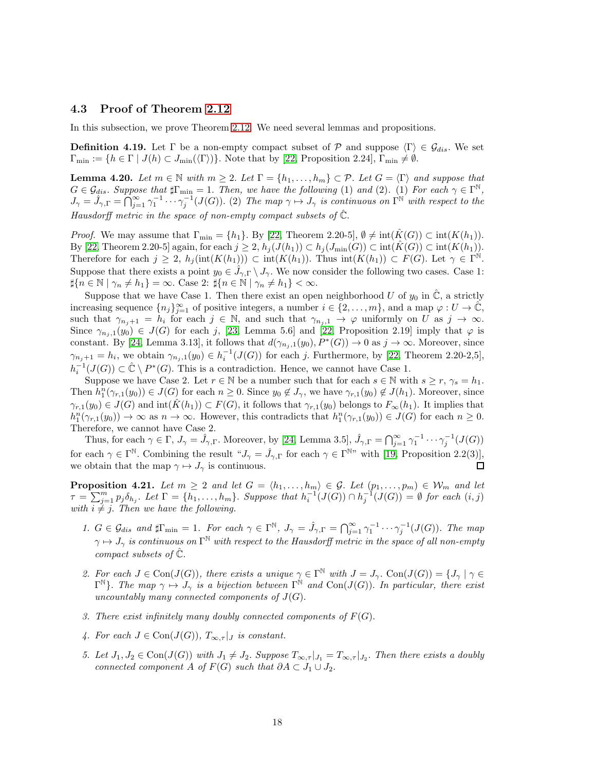### 4.3 Proof of Theorem [2.12](#page-8-0)

In this subsection, we prove Theorem [2.12.](#page-8-0) We need several lemmas and propositions.

**Definition 4.19.** Let  $\Gamma$  be a non-empty compact subset of  $\mathcal{P}$  and suppose  $\langle \Gamma \rangle \in \mathcal{G}_{dis}$ . We set  $\Gamma_{\min} := \{h \in \Gamma \mid J(h) \subset J_{\min}(\langle \Gamma \rangle)\}\.$  Note that by [\[22,](#page-23-4) Proposition 2.24],  $\Gamma_{\min} \neq \emptyset$ .

<span id="page-17-0"></span>**Lemma 4.20.** Let  $m \in \mathbb{N}$  with  $m \geq 2$ . Let  $\Gamma = \{h_1, \ldots, h_m\} \subset \mathcal{P}$ . Let  $G = \langle \Gamma \rangle$  and suppose that  $G \in \mathcal{G}_{dis}$ . Suppose that  $\sharp \Gamma_{\min} = 1$ . Then, we have the following (1) and (2). (1) For each  $\gamma \in \Gamma^{\mathbb{N}}$ ,  $J_{\gamma} = \hat{J}_{\gamma,\Gamma} = \bigcap_{j=1}^{\infty} \gamma_1^{-1} \cdots \gamma_j^{-1}(J(G))$ . (2) The map  $\gamma \mapsto J_{\gamma}$  is continuous on  $\Gamma^{\N}$  with respect to the Hausdorff metric in the space of non-empty compact subsets of  $\tilde{\mathbb{C}}$ .

*Proof.* We may assume that  $\Gamma_{\text{min}} = \{h_1\}$ . By [\[22,](#page-23-4) Theorem 2.20-5],  $\emptyset \neq \text{int}(\hat{K}(G)) \subset \text{int}(K(h_1))$ . By [\[22,](#page-23-4) Theorem 2.20-5] again, for each  $j \geq 2$ ,  $h_j(J(h_1)) \subset h_j(J_{\min}(G)) \subset \text{int}(\hat{K}(G)) \subset \text{int}(K(h_1)).$ Therefore for each  $j \geq 2$ ,  $h_j(\text{int}(K(h_1))) \subset \text{int}(K(h_1))$ . Thus  $\text{int}(K(h_1)) \subset F(G)$ . Let  $\gamma \in \Gamma^{\mathbb{N}}$ . Suppose that there exists a point  $y_0 \in \hat{J}_{\gamma,\Gamma} \setminus J_{\gamma}$ . We now consider the following two cases. Case 1:  $\sharp\{n \in \mathbb{N} \mid \gamma_n \neq h_1\} = \infty$ . Case 2:  $\sharp\{n \in \mathbb{N} \mid \gamma_n \neq h_1\} < \infty$ .

Suppose that we have Case 1. Then there exist an open neighborhood U of  $y_0$  in  $\hat{\mathbb{C}}$ , a strictly increasing sequence  ${n_j}_{j=1}^{\infty}$  of positive integers, a number  $i \in \{2,\ldots,m\}$ , and a map  $\varphi: U \to \tilde{\mathbb{C}}$ , such that  $\gamma_{n_j+1} = h_i$  for each  $j \in \mathbb{N}$ , and such that  $\gamma_{n_j,1} \to \varphi$  uniformly on U as  $j \to \infty$ . Since  $\gamma_{n_j,1}(y_0) \in J(G)$  for each j, [\[23,](#page-23-5) Lemma 5.6] and [\[22,](#page-23-4) Proposition 2.19] imply that  $\varphi$  is constant. By [\[24,](#page-24-3) Lemma 3.13], it follows that  $d(\gamma_{n_j,1}(y_0), P^*(G)) \to 0$  as  $j \to \infty$ . Moreover, since  $\gamma_{n_j+1} = h_i$ , we obtain  $\gamma_{n_j,1}(y_0) \in h_i^{-1}(J(G))$  for each j. Furthermore, by [\[22,](#page-23-4) Theorem 2.20-2,5],  $h_i^{-1}(J(G)) \subset \hat{\mathbb{C}} \setminus P^*(G)$ . This is a contradiction. Hence, we cannot have Case 1.

Suppose we have Case 2. Let  $r \in \mathbb{N}$  be a number such that for each  $s \in \mathbb{N}$  with  $s \geq r$ ,  $\gamma_s = h_1$ . Then  $h_1^n(\gamma_{r,1}(y_0)) \in J(G)$  for each  $n \geq 0$ . Since  $y_0 \notin J_\gamma$ , we have  $\gamma_{r,1}(y_0) \notin J(h_1)$ . Moreover, since  $\gamma_{r,1}(y_0) \in J(G)$  and  $\text{int}(K(h_1)) \subset F(G)$ , it follows that  $\gamma_{r,1}(y_0)$  belongs to  $F_{\infty}(h_1)$ . It implies that  $h_1^n(\gamma_{r,1}(y_0)) \to \infty$  as  $n \to \infty$ . However, this contradicts that  $h_1^n(\gamma_{r,1}(y_0)) \in J(G)$  for each  $n \geq 0$ . Therefore, we cannot have Case 2.

Thus, for each  $\gamma \in \Gamma$ ,  $J_{\gamma} = \hat{J}_{\gamma,\Gamma}$ . Moreover, by [\[24,](#page-24-3) Lemma 3.5],  $\hat{J}_{\gamma,\Gamma} = \bigcap_{j=1}^{\infty} \gamma_1^{-1} \cdots \gamma_j^{-1} (J(G))$ for each  $\gamma \in \Gamma^{\mathbb{N}}$ . Combining the result  $\mathscr{A}_{\gamma} = \hat{J}_{\gamma,\Gamma}$  for each  $\gamma \in \Gamma^{\mathbb{N}}$ " with [\[19,](#page-23-15) Proposition 2.2(3)], we obtain that the map  $\gamma \mapsto J_{\gamma}$  is continuous.  $\Box$ 

<span id="page-17-1"></span>**Proposition 4.21.** Let  $m \geq 2$  and let  $G = \langle h_1, \ldots, h_m \rangle \in \mathcal{G}$ . Let  $(p_1, \ldots, p_m) \in \mathcal{W}_m$  and let  $\tau = \sum_{j=1}^m p_j \delta_{h_j}$ . Let  $\Gamma = \{h_1, \ldots, h_m\}$ . Suppose that  $h_i^{-1}(J(G)) \cap h_j^{-1}(J(G)) = \emptyset$  for each  $(i, j)$ with  $i \neq j$ . Then we have the following.

- 1.  $G \in \mathcal{G}_{dis}$  and  $\sharp \Gamma_{\min} = 1$ . For each  $\gamma \in \Gamma^{\mathbb{N}}$ ,  $J_{\gamma} = \hat{J}_{\gamma,\Gamma} = \bigcap_{j=1}^{\infty} \gamma_{1}^{-1} \cdots \gamma_{j}^{-1}(J(G))$ . The map  $\gamma\mapsto J_\gamma$  is continuous on  $\Gamma^\mathbb{N}$  with respect to the Hausdorff metric in the space of all non-empty compact subsets of  $\hat{\mathbb{C}}$ .
- <span id="page-17-2"></span>2. For each  $J \in \text{Con}(J(G))$ , there exists a unique  $\gamma \in \Gamma^{\mathbb{N}}$  with  $J = J_{\gamma}$ .  $\text{Con}(J(G)) = \{J_{\gamma} \mid \gamma \in \Gamma^{\mathbb{N}}\}$  $\Gamma^{\mathbb{N}}$ . The map  $\gamma \mapsto J_{\gamma}$  is a bijection between  $\Gamma^{\mathbb{N}}$  and  $Con(J(G))$ . In particular, there exist uncountably many connected components of  $J(G)$ .
- 3. There exist infinitely many doubly connected components of  $F(G)$ .
- 4. For each  $J \in \text{Con}(J(G))$ ,  $T_{\infty, \tau}|_J$  is constant.
- 5. Let  $J_1, J_2 \in \text{Con}(J(G))$  with  $J_1 \neq J_2$ . Suppose  $T_{\infty, \tau}|_{J_1} = T_{\infty, \tau}|_{J_2}$ . Then there exists a doubly connected component A of  $F(G)$  such that  $\partial A \subset J_1 \cup J_2$ .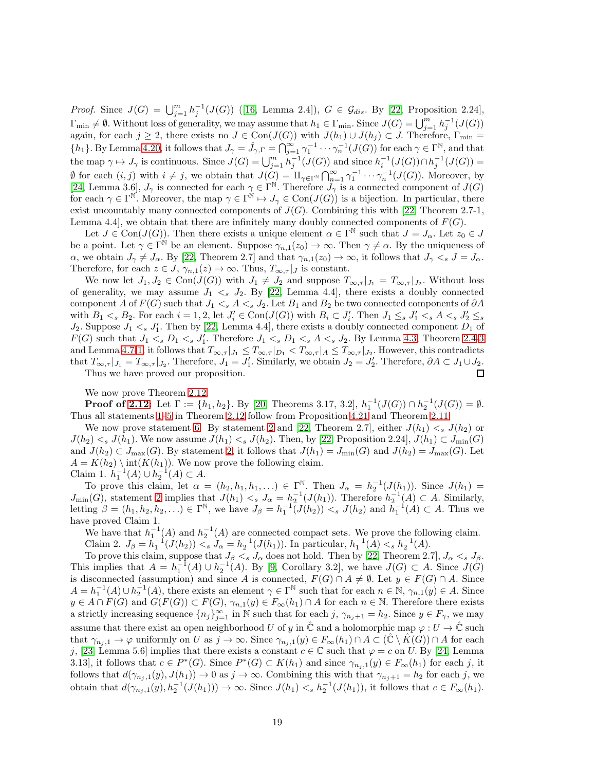*Proof.*Since  $J(G) = \bigcup_{j=1}^{m} h_j^{-1}(J(G))$  ([\[16,](#page-23-11) Lemma 2.4]),  $G \in \mathcal{G}_{dis}$ . By [\[22,](#page-23-4) Proposition 2.24],  $\Gamma_{\text{min}} \neq \emptyset$ . Without loss of generality, we may assume that  $h_1 \in \Gamma_{\text{min}}$ . Since  $J(G) = \bigcup_{j=1}^m h_j^{-1}(J(G))$ again, for each  $j \geq 2$ , there exists no  $J \in \text{Con}(J(G))$  with  $J(h_1) \cup J(h_j) \subset J$ . Therefore,  $\Gamma_{\text{min}} =$  $\{h_1\}$ . By Lemma [4.20,](#page-17-0) it follows that  $J_\gamma = \hat{J}_{\gamma,\Gamma} = \bigcap_{j=1}^{\infty} \gamma_1^{-1} \cdots \gamma_n^{-1}(J(G))$  for each  $\gamma \in \Gamma^{\mathbb{N}}$ , and that the map  $\gamma \mapsto J_{\gamma}$  is continuous. Since  $J(G) = \bigcup_{j=1}^{m} h_j^{-1}(J(G))$  and since  $h_i^{-1}(J(G)) \cap h_j^{-1}(J(G)) =$  $\emptyset$  for each  $(i, j)$  with  $i \neq j$ , we obtain that  $J(G) = \amalg_{\gamma \in \Gamma^{\mathbb{N}}} \bigcap_{n=1}^{\infty} \gamma_1^{-1} \cdots \gamma_n^{-1}(J(G))$ . Moreover, by [\[24,](#page-24-3) Lemma 3.6],  $J_{\gamma}$  is connected for each  $\gamma \in \Gamma^{\mathbb{N}}$ . Therefore  $J_{\gamma}$  is a connected component of  $J(G)$ for each  $\gamma \in \Gamma^{\mathbb{N}}$ . Moreover, the map  $\gamma \in \Gamma^{\mathbb{N}} \mapsto J_{\gamma} \in \text{Con}(J(G))$  is a bijection. In particular, there exist uncountably many connected components of  $J(G)$ . Combining this with [\[22,](#page-23-4) Theorem 2.7-1, Lemma 4.4, we obtain that there are infinitely many doubly connected components of  $F(G)$ .

Let  $J \in \text{Con}(J(G))$ . Then there exists a unique element  $\alpha \in \Gamma^{\mathbb{N}}$  such that  $J = J_{\alpha}$ . Let  $z_0 \in J$ be a point. Let  $\gamma \in \Gamma^{\hat{\mathbb{N}}}$  be an element. Suppose  $\gamma_{n,1}(z_0) \to \infty$ . Then  $\gamma \neq \alpha$ . By the uniqueness of  $\alpha$ , we obtain  $J_{\gamma} \neq J_{\alpha}$ . By [\[22,](#page-23-4) Theorem 2.7] and that  $\gamma_{n,1}(z_0) \to \infty$ , it follows that  $J_{\gamma} \lt_s J = J_{\alpha}$ . Therefore, for each  $z \in J$ ,  $\gamma_{n,1}(z) \to \infty$ . Thus,  $T_{\infty,\tau}|_J$  is constant.

We now let  $J_1, J_2 \in \text{Con}(J(G))$  with  $J_1 \neq J_2$  and suppose  $T_{\infty, \tau} |_{J_1} = T_{\infty, \tau} |_{J_2}$ . Without loss of generality, we may assume  $J_1 \lt_s J_2$ . By [\[22,](#page-23-4) Lemma 4.4], there exists a doubly connected component A of  $F(G)$  such that  $J_1 \leq_s A \leq_s J_2$ . Let  $B_1$  and  $B_2$  be two connected components of  $\partial A$ with  $B_1 < s B_2$ . For each  $i = 1, 2$ , let  $J_i' \in \text{Con}(J(G))$  with  $B_i \subset J_i'$ . Then  $J_1 \leq_s J_1' <_s A <_s J_2' \leq_s J_1'$  $J_2$ . Suppose  $J_1 \leq s$   $J'_1$ . Then by [\[22,](#page-23-4) Lemma 4.4], there exists a doubly connected component  $D_1$  of  $F(G)$  such that  $J_1 \lt_s D_1 \lt_s J_1'$ . Therefore  $J_1 \lt_s D_1 \lt_s A \lt_s J_2$ . By Lemma [4.3,](#page-11-1) Theorem [2.4](#page-5-0)[-3](#page-5-9) and Lemma [4.7](#page-12-2)[-1,](#page-12-0) it follows that  $T_{\infty,\tau}|_{J_1} \leq T_{\infty,\tau}|_{D_1} < T_{\infty,\tau}|_A \leq T_{\infty,\tau}|_{J_2}$ . However, this contradicts that  $T_{\infty,\tau}|_{J_1} = T_{\infty,\tau}|_{J_2}$ . Therefore,  $J_1 = J'_1$ . Similarly, we obtain  $J_2 = J'_2$ . Therefore,  $\partial A \subset J_1 \cup J_2$ . Thus we have proved our proposition.  $\Box$ 

We now prove Theorem [2.12.](#page-8-0)

**Proof of [2.12:](#page-8-0)** Let  $\Gamma := \{h_1, h_2\}$ . By [\[20,](#page-23-10) Theorems 3.17, 3.2],  $h_1^{-1}(J(G)) \cap h_2^{-1}(J(G)) = \emptyset$ . Thus all statements [1–](#page-8-2)[5](#page-8-3) in Theorem [2.12](#page-8-0) follow from Proposition [4.21](#page-17-1) and Theorem [2.11.](#page-7-0)

We now prove statement [6.](#page-8-4) By statement [2](#page-8-5) and [\[22,](#page-23-4) Theorem 2.7], either  $J(h_1) < s J(h_2)$  or  $J(h_2) \leq s$   $J(h_1)$ . We now assume  $J(h_1) \leq s$   $J(h_2)$ . Then, by [\[22,](#page-23-4) Proposition 2.24],  $J(h_1) \subset J_{\min}(G)$ and  $J(h_2) \subset J_{\text{max}}(G)$ . By statement [2,](#page-8-5) it follows that  $J(h_1) = J_{\text{min}}(G)$  and  $J(h_2) = J_{\text{max}}(G)$ . Let  $A = K(h_2) \setminus \text{int}(K(h_1))$ . We now prove the following claim. Claim 1.  $h_1^{-1}(A) \cup h_2^{-1}(A) \subset A$ .

To prove this claim, let  $\alpha = (h_2, h_1, h_1, \ldots) \in \Gamma^{\mathbb{N}}$ . Then  $J_{\alpha} = h_2^{-1}(J(h_1))$ . Since  $J(h_1) =$  $J_{\min}(G)$ , statement [2](#page-8-5) implies that  $J(h_1) < s J_\alpha = h_2^{-1}(J(h_1))$ . Therefore  $h_2^{-1}(A) \subset A$ . Similarly, letting  $\hat{\beta} = (h_1, h_2, h_2, \ldots) \in \Gamma^{\mathbb{N}}$ , we have  $J_{\beta} = h_1^{-1}(\tilde{J}(h_2)) \lt s J(h_2)$  and  $\tilde{h}_1^{-1}(\tilde{A}) \subset A$ . Thus we have proved Claim 1.

We have that  $h_1^{-1}(A)$  and  $h_2^{-1}(A)$  are connected compact sets. We prove the following claim. Claim 2.  $J_\beta = h_1^{-1}(J(h_2)) \leq s J_\alpha = h_2^{-1}(J(h_1))$ . In particular,  $h_1^{-1}(A) \leq s h_2^{-1}(A)$ .

To prove this claim, suppose that  $J_\beta \leq s J_\alpha$  does not hold. Then by [\[22,](#page-23-4) Theorem 2.7],  $J_\alpha \leq s J_\beta$ . This implies that  $A = h_1^{-1}(A) \cup h_2^{-1}(A)$ . By [\[9,](#page-23-6) Corollary 3.2], we have  $J(G) \subset A$ . Since  $J(G)$ is disconnected (assumption) and since A is connected,  $F(G) \cap A \neq \emptyset$ . Let  $y \in F(G) \cap A$ . Since  $A = h_1^{-1}(A) \cup h_2^{-1}(A)$ , there exists an element  $\gamma \in \Gamma^{\mathbb{N}}$  such that for each  $n \in \mathbb{N}$ ,  $\gamma_{n,1}(y) \in A$ . Since  $y \in A \cap F(G)$  and  $G(F(G)) \subset F(G)$ ,  $\gamma_{n,1}(y) \in F_{\infty}(h_1) \cap A$  for each  $n \in \mathbb{N}$ . Therefore there exists a strictly increasing sequence  $\{n_j\}_{j=1}^{\infty}$  in N such that for each j,  $\gamma_{n_j+1} = h_2$ . Since  $y \in F_{\gamma}$ , we may assume that there exist an open neighborhood U of y in  $\hat{\mathbb{C}}$  and a holomorphic map  $\varphi: U \to \hat{\mathbb{C}}$  such that  $\gamma_{n_j,1} \to \varphi$  uniformly on U as  $j \to \infty$ . Since  $\gamma_{n_j,1}(y) \in F_\infty(h_1) \cap A \subset (\mathbb{C} \setminus K(G)) \cap A$  for each j, [\[23,](#page-23-5) Lemma 5.6] implies that there exists a constant  $c \in \mathbb{C}$  such that  $\varphi = c$  on U. By [\[24,](#page-24-3) Lemma 3.13], it follows that  $c \in P^*(G)$ . Since  $P^*(G) \subset K(h_1)$  and since  $\gamma_{n_j,1}(y) \in F_{\infty}(h_1)$  for each j, it follows that  $d(\gamma_{n_j,1}(y), J(h_1)) \to 0$  as  $j \to \infty$ . Combining this with that  $\gamma_{n_j+1} = h_2$  for each j, we obtain that  $d(\gamma_{n_j,1}(y), h_2^{-1}(J(h_1))) \to \infty$ . Since  $J(h_1) <_s h_2^{-1}(J(h_1))$ , it follows that  $c \in F_\infty(h_1)$ .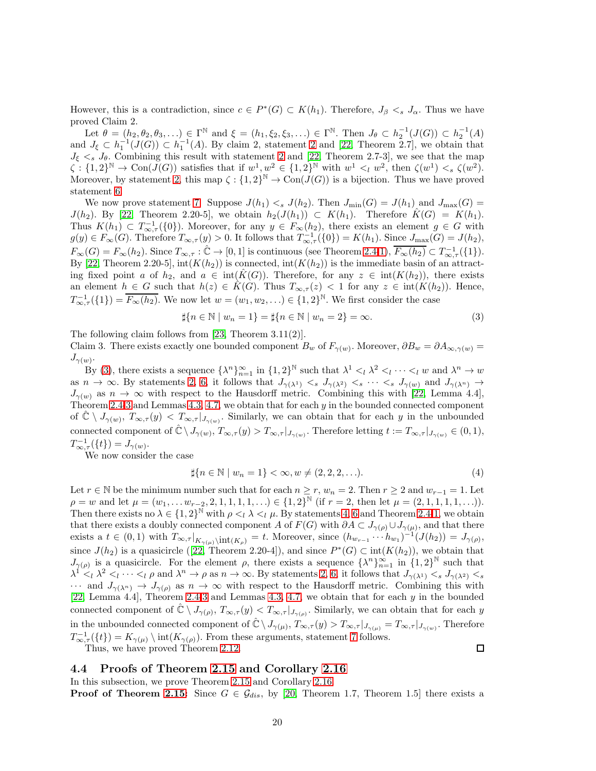However, this is a contradiction, since  $c \in P^*(G) \subset K(h_1)$ . Therefore,  $J_\beta \leq s J_\alpha$ . Thus we have proved Claim 2.

Let  $\theta = (h_2, \theta_2, \theta_3, \ldots) \in \Gamma^{\mathbb{N}}$  and  $\xi = (h_1, \xi_2, \xi_3, \ldots) \in \Gamma^{\mathbb{N}}$ . Then  $J_{\theta} \subset h_2^{-1}(J(G)) \subset h_2^{-1}(A)$ and  $J_{\xi} \subset h_1^{-1}(J(G)) \subset h_1^{-1}(A)$ . By claim [2](#page-8-5), statement 2 and [\[22,](#page-23-4) Theorem 2.7], we obtain that  $J_{\xi} <_{s} J_{\theta}$ . Combining this result with statement [2](#page-8-5) and [\[22,](#page-23-4) Theorem 2.7-3], we see that the map  $\zeta: \{1,2\}^{\mathbb{N}} \to \text{Con}(J(G))$  satisfies that if  $w^1, w^2 \in \{1,2\}^{\mathbb{N}}$  with  $w^1 \leq_l w^2$ , then  $\zeta(w^1) \leq_s \zeta(w^2)$ . Moreover, by statement [2,](#page-8-5) this map  $\zeta: \{1,2\}^{\mathbb{N}} \to \text{Con}(J(G))$  is a bijection. Thus we have proved statement [6.](#page-8-4)

We now prove statement [7.](#page-8-1) Suppose  $J(h_1) \leq s \cdot J(h_2)$ . Then  $J_{\min}(G) = J(h_1)$  and  $J_{\max}(G) =$  $J(h_2)$ . By [\[22,](#page-23-4) Theorem 2.20-5], we obtain  $h_2(J(h_1)) \subset K(h_1)$ . Therefore  $\hat{K}(G) = K(h_1)$ . Thus  $K(h_1) \subset T^{-1}_{\infty, \tau}(\{0\})$ . Moreover, for any  $y \in F_{\infty}(h_2)$ , there exists an element  $g \in G$  with  $g(y) \in F_{\infty}(G)$ . Therefore  $T_{\infty,\tau}(y) > 0$ . It follows that  $T_{\infty,\tau}^{-1}(\{0\}) = K(h_1)$ . Since  $J_{\max}(G) = J(h_2)$ ,  $F_{\infty}(G) = F_{\infty}(h_2)$ . Since  $T_{\infty,\tau} : \hat{\mathbb{C}} \to [0,1]$  is continuous (see Theorem [2.4](#page-5-0)[-1\)](#page-5-3),  $\overline{F_{\infty}(h_2)} \subset T_{\infty,\tau}^{-1}(\{1\}).$ By [\[22,](#page-23-4) Theorem 2.20-5],  $int(K(h_2))$  is connected,  $int(K(h_2))$  is the immediate basin of an attracting fixed point a of  $h_2$ , and  $a \in \text{int}(K(G))$ . Therefore, for any  $z \in \text{int}(K(h_2))$ , there exists an element  $h \in G$  such that  $h(z) \in \hat{K}(G)$ . Thus  $T_{\infty,\tau}(z) < 1$  for any  $z \in \text{int}(K(h_2))$ . Hence,  $T_{\infty,\tau}^{-1}(\{1\}) = \overline{F_{\infty}(h_2)}$ . We now let  $w = (w_1, w_2, \ldots) \in \{1,2\}^{\mathbb{N}}$ . We first consider the case

<span id="page-19-0"></span>
$$
\sharp\{n \in \mathbb{N} \mid w_n = 1\} = \sharp\{n \in \mathbb{N} \mid w_n = 2\} = \infty.
$$
\n(3)

The following claim follows from [\[23,](#page-23-5) Theorem 3.11(2)].

Claim 3. There exists exactly one bounded component  $B_w$  of  $F_{\gamma(w)}$ . Moreover,  $\partial B_w = \partial A_{\infty,\gamma(w)} =$  $J_{\gamma(w)}.$ 

By [\(3\)](#page-19-0), there exists a sequence  $\{\lambda^n\}_{n=1}^{\infty}$  in  $\{1,2\}^{\mathbb{N}}$  such that  $\lambda^1 \leq_l \lambda^2 \leq_l \cdots \leq_l w$  and  $\lambda^n \to w$ as  $n \to \infty$ . By statements [2,](#page-8-5) [6,](#page-8-4) it follows that  $J_{\gamma(\lambda^1)} \leq s \cdot J_{\gamma(\lambda^2)} \leq s \cdot \cdot \cdot \cdot \leq s \cdot J_{\gamma(w)}$  and  $J_{\gamma(\lambda^n)} \to$  $J_{\gamma(w)}$  as  $n \to \infty$  with respect to the Hausdorff metric. Combining this with [\[22,](#page-23-4) Lemma 4.4], Theorem [2.4](#page-5-0)[-3](#page-5-9) and Lemmas [4.3,](#page-11-1) [4.7,](#page-12-2) we obtain that for each y in the bounded connected component of  $\hat{\mathbb{C}} \setminus J_{\gamma(w)}, T_{\infty,\tau}(y) < T_{\infty,\tau}|_{J_{\gamma(w)}}$ . Similarly, we can obtain that for each y in the unbounded connected component of  $\hat{\mathbb{C}} \setminus J_{\gamma(w)}, T_{\infty,\tau}(y) > T_{\infty,\tau}|_{J_{\gamma(w)}}$ . Therefore letting  $t := T_{\infty,\tau}|_{J_{\gamma(w)}} \in (0,1)$ ,  $T^{-1}_{\infty, \tau}(\{t\}) = J_{\gamma(w)}.$ 

We now consider the case

$$
\sharp\{n \in \mathbb{N} \mid w_n = 1\} < \infty, w \neq (2, 2, 2, \ldots). \tag{4}
$$

Let  $r \in \mathbb{N}$  be the minimum number such that for each  $n \ge r$ ,  $w_n = 2$ . Then  $r \ge 2$  and  $w_{r-1} = 1$ . Let  $\rho = w$  and let  $\mu = (w_1, \ldots w_{r-2}, 2, 1, 1, 1, 1, \ldots) \in \{1, 2\}^{\mathbb{N}}$  (if  $r = 2$ , then let  $\mu = (2, 1, 1, 1, 1, \ldots)$ ). Then there exists no  $\lambda \in \{1,2\}^{\mathbb{N}}$  with  $\rho \leq \lambda \leq \mu$ . By statements [4,](#page-8-6) [6](#page-8-4) and Theorem [2.4](#page-5-0)[-1,](#page-5-3) we obtain that there exists a doubly connected component A of  $F(G)$  with  $\partial A \subset J_{\gamma(\rho)} \cup J_{\gamma(\mu)}$ , and that there exists a  $t \in (0,1)$  with  $T_{\infty,\tau}|_{K_{\gamma(\mu)}\setminus\mathrm{int}(K_{\rho})}=t$ . Moreover, since  $(h_{w_{r-1}}\cdots h_{w_1})^{-1}(J(h_2))=J_{\gamma(\rho)},$ since $J(h_2)$  is a quasicircle ([\[22,](#page-23-4) Theorem 2.20-4]), and since  $P^*(G) \subset \text{int}(K(h_2))$ , we obtain that  $J_{\gamma(\rho)}$  is a quasicircle. For the element  $\rho$ , there exists a sequence  $\{\lambda^n\}_{n=1}^{\infty}$  in  $\{1,2\}^{\mathbb{N}}$  such that  $\lambda^{\dot{1}}$  $1 <sup>1</sup> < \lambda^2 <sub>l</sub> \cdots <sub>l</sub> \rho$  and  $\lambda^n \to \rho$  as  $n \to \infty$ . By statements [2,](#page-8-5) [6,](#page-8-4) it follows that  $J_{\gamma(\lambda^1)} < s J_{\gamma(\lambda^2)} < s$  $\cdots$  and  $J_{\gamma(\lambda^n)} \to J_{\gamma(\rho)}$  as  $n \to \infty$  with respect to the Hausdorff metric. Combining this with [\[22,](#page-23-4) Lemma 4.4], Theorem [2.4-](#page-5-0)[3](#page-5-9) and Lemmas [4.3,](#page-11-1) [4.7,](#page-12-2) we obtain that for each y in the bounded connected component of  $\hat{\mathbb{C}} \setminus J_{\gamma(\rho)}, T_{\infty,\tau}(y) < T_{\infty,\tau}|_{J_{\gamma(\rho)}}$ . Similarly, we can obtain that for each y in the unbounded connected component of  $\hat{\mathbb{C}} \setminus J_{\gamma(\mu)}, T_{\infty,\tau}(y) > T_{\infty,\tau}|_{J_{\gamma(\mu)}} = T_{\infty,\tau}|_{J_{\gamma(w)}}$ . Therefore  $T^{-1}_{\infty,\tau}(\{t\}) = K_{\gamma(\mu)} \setminus \text{int}(K_{\gamma(\rho)})$ . From these arguments, statement [7](#page-8-1) follows.  $\Box$ 

Thus, we have proved Theorem [2.12.](#page-8-0)

### 4.4 Proofs of Theorem [2.15](#page-9-0) and Corollary [2.16](#page-9-1)

In this subsection, we prove Theorem [2.15](#page-9-0) and Corollary [2.16.](#page-9-1)

**Proof of Theorem [2.15:](#page-9-0)** Since  $G \in \mathcal{G}_{dis}$ , by [\[20,](#page-23-10) Theorem 1.7, Theorem 1.5] there exists a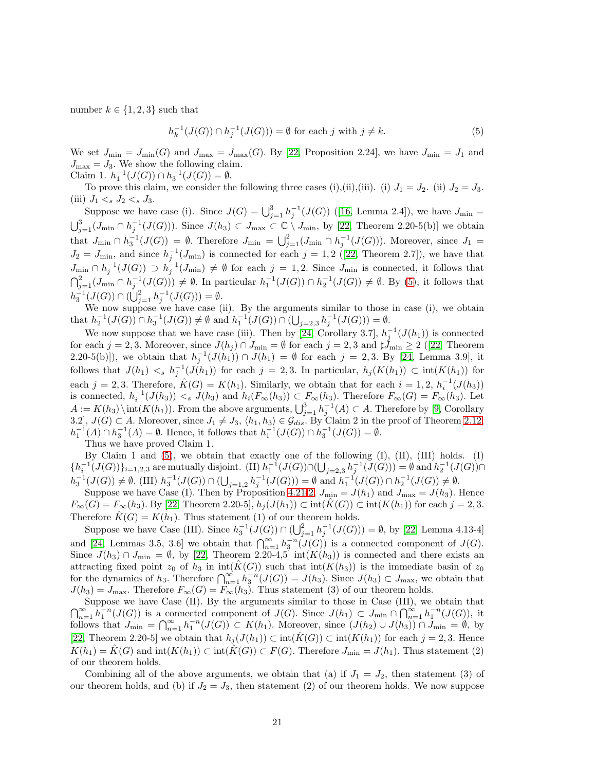number  $k \in \{1, 2, 3\}$  such that

<span id="page-20-0"></span>
$$
h_k^{-1}(J(G)) \cap h_j^{-1}(J(G))) = \emptyset \text{ for each } j \text{ with } j \neq k. \tag{5}
$$

We set  $J_{\min} = J_{\min}(G)$  and  $J_{\max} = J_{\max}(G)$ . By [\[22,](#page-23-4) Proposition 2.24], we have  $J_{\min} = J_1$  and  $J_{\text{max}} = J_3$ . We show the following claim. Claim 1.  $h_1^{-1}(J(G)) \cap h_3^{-1}(J(G)) = \emptyset$ .

To prove this claim, we consider the following three cases (i),(ii),(iii). (i)  $J_1 = J_2$ . (ii)  $J_2 = J_3$ . (iii)  $J_1 \lt_s J_2 \lt_s J_3$ .

Supposewe have case (i). Since  $J(G) = \bigcup_{j=1}^{3} h_j^{-1}(J(G))$  ([\[16,](#page-23-11) Lemma 2.4]), we have  $J_{\min} =$  $\bigcup_{j=1}^{3} (J_{\min} \cap h_j^{-1}(J(G)))$ . Since  $J(h_3) \subset J_{\max} \subset \mathbb{C} \setminus J_{\min}$ , by [\[22,](#page-23-4) Theorem 2.20-5(b)] we obtain that  $J_{\min} \cap h_3^{-1}(J(G)) = \emptyset$ . Therefore  $J_{\min} = \bigcup_{j=1}^2 (J_{\min} \cap h_j^{-1}(J(G)))$ . Moreover, since  $J_1 =$  $J_2 = J_{\text{min}}$  $J_2 = J_{\text{min}}$  $J_2 = J_{\text{min}}$ , and since  $h_j^{-1}(J_{\text{min}})$  is connected for each  $j = 1, 2$  ([\[22,](#page-23-4) Theorem 2.7]), we have that  $J_{\min} \cap h_j^{-1}(J(G)) \supset h_j^{-1}(J_{\min}) \neq \emptyset$  for each  $j = 1, 2$ . Since  $J_{\min}$  is connected, it follows that  $\bigcap_{j=1}^2 (J_{\min} \cap h_j^{-1}(J(G))) \neq \emptyset$ . In particular  $h_1^{-1}(J(G)) \cap h_2^{-1}(J(G)) \neq \emptyset$ . By [\(5\)](#page-20-0), it follows that  $h_3^{-1}(J(G)) \cap (\bigcup_{j=1}^2 h_j^{-1}(J(G))) = \emptyset.$ 

We now suppose we have case (ii). By the arguments similar to those in case (i), we obtain that  $h_2^{-1}(J(G)) \cap h_3^{-1}(J(G)) \neq \emptyset$  and  $h_1^{-1}(J(G)) \cap (\bigcup_{j=2,3} h_j^{-1}(J(G))) = \emptyset$ .

We now suppose that we have case (iii). Then by [\[24,](#page-24-3) Corollary 3.7],  $h_j^{-1}(J(h_1))$  is connected foreach  $j = 2, 3$ . Moreover, since  $J(h_j) \cap J_{\text{min}} = \emptyset$  for each  $j = 2, 3$  and  $\sharp J_{\text{min}} \geq 2$  ([\[22,](#page-23-4) Theorem 2.20-5(b)]), we obtain that  $h_j^{-1}(J(h_1)) \cap J(h_1) = \emptyset$  for each  $j = 2,3$ . By [\[24,](#page-24-3) Lemma 3.9], it follows that  $J(h_1) < s h_j^{-1}(J(h_1))$  for each  $j = 2,3$ . In particular,  $h_j(K(h_1)) \subset \text{int}(K(h_1))$  for each  $j = 2, 3$ . Therefore,  $\hat{K}(G) = K(h_1)$ . Similarly, we obtain that for each  $i = 1, 2, h_i^{-1}(J(h_3))$ is connected,  $h_i^{-1}(J(h_3)) \leq s \ J(h_3)$  and  $h_i(F_\infty(h_3)) \subset F_\infty(h_3)$ . Therefore  $F_\infty(G) = F_\infty(h_3)$ . Let is connected,  $n_i$  ( $\partial (n_3) \le s$   $\partial (n_3)$  and  $n_i(x_\infty(n_3)) \subseteq T_\infty(n_3)$ . Therefore  $T_\infty(G) = T_\infty(n_3)$ . Let  $A := K(h_3) \setminus \text{int}(K(h_1))$ . From the above arguments,  $\bigcup_{j=1}^3 h_j^{-1}(A) \subset A$ . Therefore by [\[9,](#page-23-6) Corollary 3.2],  $J(G) \subset A$ . Moreover, since  $J_1 \neq J_3$ ,  $\langle h_1, h_3 \rangle \in \mathcal{G}_{dis}$ . By Claim 2 in the proof of Theorem [2.12,](#page-8-0)  $h_1^{-1}(A) \cap h_3^{-1}(A) = \emptyset$ . Hence, it follows that  $h_1^{-1}(J(G)) \cap h_3^{-1}(J(G)) = \emptyset$ .

Thus we have proved Claim 1.

By Claim 1 and  $(5)$ , we obtain that exactly one of the following  $(I)$ ,  $(II)$ ,  $(III)$  holds.  $(I)$  $\{h_i^{-1}(J(G))\}_{i=1,2,3}$  are mutually disjoint. (II)  $h_1^{-1}(J(G)) \cap (\bigcup_{j=2,3} h_j^{-1}(J(G))) = \emptyset$  and  $h_2^{-1}(J(G)) \cap$  $h_3^{-1}(J(G)) \neq \emptyset$ . (III)  $h_3^{-1}(J(G)) \cap (\bigcup_{j=1,2} h_j^{-1}(J(G))) = \emptyset$  and  $h_1^{-1}(J(G)) \cap h_2^{-1}(J(G)) \neq \emptyset$ .

Suppose we have Case (I). Then by Proposition [4.21-](#page-17-1)[2,](#page-17-2)  $J_{\min} = J(h_1)$  and  $J_{\max} = J(h_3)$ . Hence  $F_{\infty}(G) = F_{\infty}(h_3)$ . By [\[22,](#page-23-4) Theorem 2.20-5],  $h_j(J(h_1)) \subset \text{int}(K(G)) \subset \text{int}(K(h_1))$  for each  $j = 2, 3$ . Therefore  $\hat{K}(G) = K(h_1)$ . Thus statement (1) of our theorem holds.

Suppose we have Case (III). Since  $h_3^{-1}(J(G)) \cap (\bigcup_{j=1}^2 h_j^{-1}(J(G))) = \emptyset$ , by [\[22,](#page-23-4) Lemma 4.13-4] and [\[24,](#page-24-3) Lemmas 3.5, 3.6] we obtain that  $\bigcap_{n=1}^{\infty} h_3^{-n}(J(G))$  is a connected component of  $J(G)$ . Since  $J(h_3) \cap J_{\text{min}} = \emptyset$ , by [\[22,](#page-23-4) Theorem 2.20-4,5] int $(K(h_3))$  is connected and there exists an attracting fixed point  $z_0$  of  $h_3$  in int( $\hat{K}(G)$ ) such that int( $K(h_3)$ ) is the immediate basin of  $z_0$ for the dynamics of h<sub>3</sub>. Therefore  $\bigcap_{n=1}^{\infty} h_3^{-n}(J(G)) = J(h_3)$ . Since  $J(h_3) \subset J_{\text{max}}$ , we obtain that  $J(h_3) = J_{\text{max}}$ . Therefore  $F_{\infty}(G) = F_{\infty}(h_3)$ . Thus statement (3) of our theorem holds.

Suppose we have Case (II). By the arguments similar to those in Case (III), we obtain that  $\bigcap_{n=1}^{\infty} h_1^{-n}(J(G))$  is a connected component of  $J(G)$ . Since  $J(h_1) \subset J_{\min} \cap \bigcap_{n=1}^{\infty} h_1^{-n}(J(G))$ , it follows that  $J_{\min} = \bigcap_{n=1}^{\infty} h_1^{-n}(J(G)) \subset K(h_1)$ . Moreover, since  $(J(h_2) \cup J(h_3)) \cap J_{\min} = \emptyset$ , by [\[22,](#page-23-4) Theorem 2.20-5] we obtain that  $h_j(J(h_1)) \subset \text{int}(\hat{K}(G)) \subset \text{int}(K(h_1))$  for each  $j = 2, 3$ . Hence  $K(h_1) = K(G)$  and  $\text{int}(K(h_1)) \subset \text{int}(K(G)) \subset F(G)$ . Therefore  $J_{\text{min}} = J(h_1)$ . Thus statement (2) of our theorem holds.

Combining all of the above arguments, we obtain that (a) if  $J_1 = J_2$ , then statement (3) of our theorem holds, and (b) if  $J_2 = J_3$ , then statement (2) of our theorem holds. We now suppose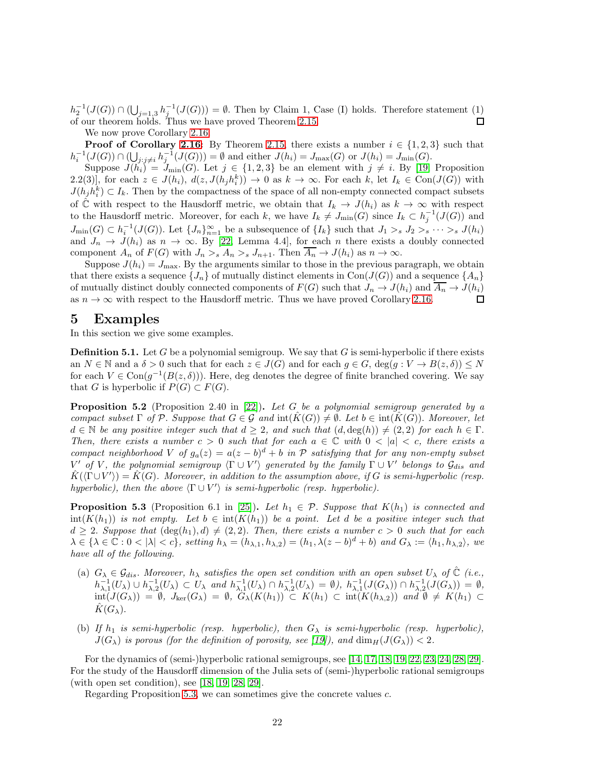$h_2^{-1}(J(G)) \cap (\bigcup_{j=1,3} h_j^{-1}(J(G))) = \emptyset$ . Then by Claim 1, Case (I) holds. Therefore statement (1) of our theorem holds. Thus we have proved Theorem [2.15.](#page-9-0)  $\Box$ 

We now prove Corollary [2.16.](#page-9-1)

**Proof of Corollary [2.16:](#page-9-1)** By Theorem [2.15,](#page-9-0) there exists a number  $i \in \{1,2,3\}$  such that  $h_i^{-1}(J(G)) \cap (\bigcup_{j:j \neq i} h_j^{-1}(J(G))) = \emptyset$  and either  $J(h_i) = J_{\max}(G)$  or  $J(h_i) = J_{\min}(G)$ .

Suppose  $J(h_i) = J_{\text{min}}(G)$ . Let  $j \in \{1, 2, 3\}$  be an element with  $j \neq i$ . By [\[19,](#page-23-15) Proposition 2.2(3)], for each  $z \in J(h_i)$ ,  $d(z, J(h_j h_i^k)) \to 0$  as  $k \to \infty$ . For each k, let  $I_k \in \text{Con}(J(G))$  with  $J(h_j h_i^k) \subset I_k$ . Then by the compactness of the space of all non-empty connected compact subsets of  $\hat{\mathbb{C}}$  with respect to the Hausdorff metric, we obtain that  $I_k \to J(h_i)$  as  $k \to \infty$  with respect to the Hausdorff metric. Moreover, for each k, we have  $I_k \neq J_{\text{min}}(G)$  since  $I_k \subset h_j^{-1}(J(G))$  and  $J_{\min}(G) \subset h_i^{-1}(J(G))$ . Let  $\{J_n\}_{n=1}^{\infty}$  be a subsequence of  $\{I_k\}$  such that  $J_1 >_s J_2 >_s \cdots >_s J(h_i)$ and  $J_n \to J(h_i)$  as  $n \to \infty$ . By [\[22,](#page-23-4) Lemma 4.4], for each n there exists a doubly connected component  $A_n$  of  $F(G)$  with  $J_n >_{s} A_n >_{s} J_{n+1}$ . Then  $\overline{A_n} \to J(h_i)$  as  $n \to \infty$ .

Suppose  $J(h_i) = J_{\text{max}}$ . By the arguments similar to those in the previous paragraph, we obtain that there exists a sequence  $\{J_n\}$  of mutually distinct elements in Con( $J(G)$ ) and a sequence  $\{A_n\}$ of mutually distinct doubly connected components of  $F(G)$  such that  $J_n \to J(h_i)$  and  $\overline{A_n} \to J(h_i)$ as  $n \to \infty$  with respect to the Hausdorff metric. Thus we have proved Corollary [2.16.](#page-9-1)  $\Box$ 

### <span id="page-21-0"></span>5 Examples

In this section we give some examples.

**Definition 5.1.** Let G be a polynomial semigroup. We say that G is semi-hyperbolic if there exists an  $N \in \mathbb{N}$  and a  $\delta > 0$  such that for each  $z \in J(G)$  and for each  $g \in G$ ,  $\deg(g: V \to B(z, \delta)) \leq N$ for each  $V \in \text{Con}(g^{-1}(B(z, \delta)))$ . Here, deg denotes the degree of finite branched covering. We say that G is hyperbolic if  $P(G) \subset F(G)$ .

<span id="page-21-1"></span>Proposition 5.2 (Proposition 2.40 in [\[22\]](#page-23-4)). Let G be a polynomial semigroup generated by a compact subset  $\Gamma$  of  $\mathcal{P}$ . Suppose that  $G \in \mathcal{G}$  and  $\text{int}(K(G)) \neq \emptyset$ . Let  $b \in \text{int}(K(G))$ . Moreover, let  $d \in \mathbb{N}$  be any positive integer such that  $d \geq 2$ , and such that  $(d, \deg(h)) \neq (2, 2)$  for each  $h \in \Gamma$ . Then, there exists a number  $c > 0$  such that for each  $a \in \mathbb{C}$  with  $0 < |a| < c$ , there exists a compact neighborhood V of  $g_a(z) = a(z - b)^d + b$  in P satisfying that for any non-empty subset V' of V, the polynomial semigroup  $\langle \Gamma \cup V' \rangle$  generated by the family  $\Gamma \cup V'$  belongs to  $\mathcal{G}_{dis}$  and  $\hat{K}(\langle \Gamma \cup V' \rangle) = \hat{K}(G)$ . Moreover, in addition to the assumption above, if G is semi-hyperbolic (resp. hyperbolic), then the above  $\langle \Gamma \cup V' \rangle$  is semi-hyperbolic (resp. hyperbolic).

<span id="page-21-2"></span>**Proposition 5.3** (Proposition 6.1 in [\[25\]](#page-24-1)). Let  $h_1 \in \mathcal{P}$ . Suppose that  $K(h_1)$  is connected and  $\text{int}(K(h_1))$  is not empty. Let  $b \in \text{int}(K(h_1))$  be a point. Let d be a positive integer such that  $d \geq 2$ . Suppose that  $(\deg(h_1), d) \neq (2, 2)$ . Then, there exists a number  $c > 0$  such that for each  $\lambda \in {\lambda \in \mathbb{C} : 0 < |\lambda| < c}$ , setting  $h_{\lambda} = (h_{\lambda,1}, h_{\lambda,2}) = (h_1, \lambda(z - b)^d + b)$  and  $G_{\lambda} := \langle h_1, h_{\lambda,2} \rangle$ , we have all of the following.

- (a)  $G_{\lambda} \in \mathcal{G}_{dis}$ . Moreover,  $h_{\lambda}$  satisfies the open set condition with an open subset  $U_{\lambda}$  of  $\hat{\mathbb{C}}$  (i.e.,  $h_{\lambda,1}^{-1}(U_\lambda) \cup h_{\lambda,2}^{-1}(U_\lambda) \subset U_\lambda$  and  $h_{\lambda,1}^{-1}(U_\lambda) \cap h_{\lambda,2}^{-1}(U_\lambda) = \emptyset$ ,  $h_{\lambda,1}^{-1}(J(G_\lambda)) \cap h_{\lambda,2}^{-1}(J(G_\lambda)) = \emptyset$ ,  $\text{int}(J(G_\lambda)) = \emptyset$ ,  $J_{\text{ker}}(G_\lambda) = \emptyset$ ,  $G_\lambda(K(h_1)) \subset K(h_1) \subset \text{int}(K(h_{\lambda,2}))$  and  $\emptyset \neq K(h_1) \subset$  $K(G_\lambda)$ .
- (b) If  $h_1$  is semi-hyperbolic (resp. hyperbolic), then  $G_\lambda$  is semi-hyperbolic (resp. hyperbolic),  $J(G_\lambda)$  is porous (for the definition of porosity, see [\[19\]](#page-23-15)), and  $\dim_H(J(G_\lambda)) < 2$ .

For the dynamics of (semi-)hyperbolic rational semigroups, see [\[14,](#page-23-8) [17,](#page-23-14) [18,](#page-23-19) [19,](#page-23-15) [22,](#page-23-4) [23,](#page-23-5) [24,](#page-24-3) [28,](#page-24-5) [29\]](#page-24-4). For the study of the Hausdorff dimension of the Julia sets of (semi-)hyperbolic rational semigroups (with open set condition), see [\[18,](#page-23-19) [19,](#page-23-15) [28,](#page-24-5) [29\]](#page-24-4).

Regarding Proposition [5.3,](#page-21-2) we can sometimes give the concrete values c.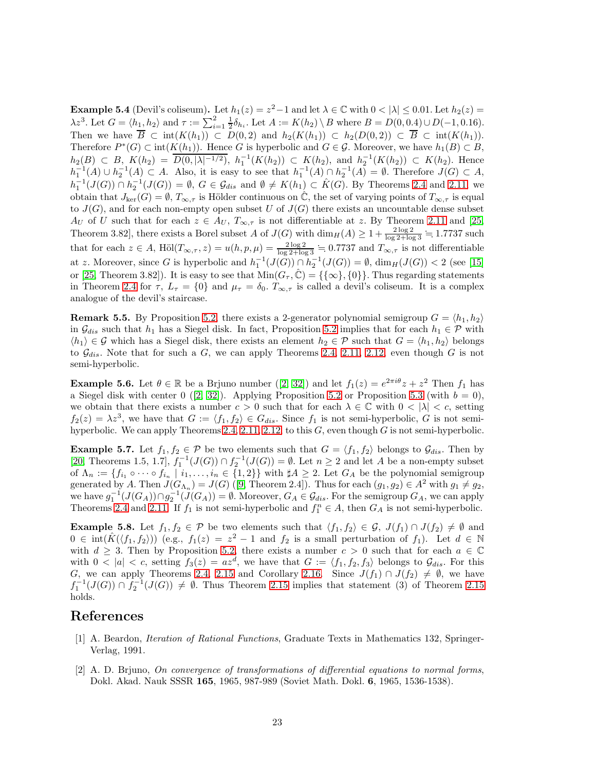<span id="page-22-0"></span>**Example 5.4** (Devil's coliseum). Let  $h_1(z) = z^2 - 1$  and let  $\lambda \in \mathbb{C}$  with  $0 < |\lambda| \leq 0.01$ . Let  $h_2(z) =$  $\lambda z^3$ . Let  $G = \langle h_1, h_2 \rangle$  and  $\tau := \sum_{i=1}^2 \frac{1}{2} \delta_{h_i}$ . Let  $A := K(h_2) \setminus B$  where  $B = D(0, 0.4) \cup D(-1, 0.16)$ . Then we have  $\overline{B} \subset \text{int}(K(h_1)) \subset D(0,2)$  and  $h_2(K(h_1)) \subset h_2(D(0,2)) \subset \overline{B} \subset \text{int}(K(h_1)).$ Therefore  $P^*(G) \subset \text{int}(K(h_1))$ . Hence G is hyperbolic and  $G \in \mathcal{G}$ . Moreover, we have  $h_1(B) \subset B$ ,  $h_2(B) \subset B, K(h_2) = \overline{D(0,|\lambda|^{-1/2})}, h_1^{-1}(K(h_2)) \subset K(h_2), \text{ and } h_2^{-1}(K(h_2)) \subset K(h_2).$  Hence  $h_1^{-1}(A) \cup h_2^{-1}(A) \subset A$ . Also, it is easy to see that  $h_1^{-1}(A) \cap h_2^{-1}(A) = \emptyset$ . Therefore  $J(G) \subset A$ ,  $h_1^{-1}(J(G)) \cap h_2^{-1}(J(G)) = \emptyset$ ,  $G \in \mathcal{G}_{dis}$  and  $\emptyset \neq K(h_1) \subset \hat{K}(G)$ . By Theorems [2.4](#page-5-0) and [2.11,](#page-7-0) we obtain that  $J_{\text{ker}}(G) = \emptyset$ ,  $T_{\infty,\tau}$  is Hölder continuous on  $\mathbb{C}$ , the set of varying points of  $T_{\infty,\tau}$  is equal to  $J(G)$ , and for each non-empty open subset U of  $J(G)$  there exists an uncountable dense subset  $A_U$  of U such that for each  $z \in A_U$ ,  $T_{\infty, \tau}$  is not differentiable at z. By Theorem [2.11](#page-7-0) and [\[25,](#page-24-1) Theorem 3.82], there exists a Borel subset A of  $J(G)$  with  $\dim_H(A) \geq 1 + \frac{2 \log 2}{\log 2 + \log 3} = 1.7737$  such that for each  $z \in A$ , Höl $(T_{\infty,\tau}, z) = u(h, p, \mu) = \frac{2 \log 2}{\log 2 + \log 3} = 0.7737$  and  $T_{\infty,\tau}$  is not differentiable at z. Moreover, since G is hyperbolic and  $h_1^{-1}(J(G)) \cap h_2^{-1}(J(G)) = \emptyset$ ,  $\dim_H(J(G)) < 2$  (see [\[15\]](#page-23-20) or [\[25,](#page-24-1) Theorem 3.82]). It is easy to see that  $\text{Min}(G_\tau, \hat{C}) = {\{\{\infty\},\{0\}\}}$ . Thus regarding statements in Theorem [2.4](#page-5-0) for  $\tau$ ,  $L_{\tau} = \{0\}$  and  $\mu_{\tau} = \delta_0$ .  $T_{\infty,\tau}$  is called a devil's coliseum. It is a complex analogue of the devil's staircase.

<span id="page-22-4"></span>**Remark 5.5.** By Proposition [5.2,](#page-21-1) there exists a 2-generator polynomial semigroup  $G = \langle h_1, h_2 \rangle$ in  $\mathcal{G}_{dis}$  such that  $h_1$  has a Siegel disk. In fact, Proposition [5.2](#page-21-1) implies that for each  $h_1 \in \mathcal{P}$  with  $\langle h_1 \rangle \in \mathcal{G}$  which has a Siegel disk, there exists an element  $h_2 \in \mathcal{P}$  such that  $G = \langle h_1, h_2 \rangle$  belongs to  $\mathcal{G}_{dis}$ . Note that for such a G, we can apply Theorems [2.4,](#page-5-0) [2.11,](#page-7-0) [2.12,](#page-8-0) even though G is not semi-hyperbolic.

<span id="page-22-2"></span>**Example5.6.** Let  $\theta \in \mathbb{R}$  be a Brjuno number ([\[2,](#page-22-5) [32\]](#page-24-8)) and let  $f_1(z) = e^{2\pi i \theta} z + z^2$  Then  $f_1$  has aSiegel disk with center 0 ([\[2,](#page-22-5) [32\]](#page-24-8)). Applying Proposition [5.2](#page-21-1) or Proposition [5.3](#page-21-2) (with  $b = 0$ ), we obtain that there exists a number  $c > 0$  such that for each  $\lambda \in \mathbb{C}$  with  $0 < |\lambda| < c$ , setting  $f_2(z) = \lambda z^3$ , we have that  $G := \langle f_1, f_2 \rangle \in G_{dis}$ . Since  $f_1$  is not semi-hyperbolic, G is not semi-hyperbolic. We can apply Theorems [2.4,](#page-5-0) [2.11,](#page-7-0) [2.12,](#page-8-0) to this  $G$ , even though  $G$  is not semi-hyperbolic.

<span id="page-22-3"></span>**Example 5.7.** Let  $f_1, f_2 \in \mathcal{P}$  be two elements such that  $G = \langle f_1, f_2 \rangle$  belongs to  $\mathcal{G}_{dis}$ . Then by [\[20,](#page-23-10) Theorems 1.5, 1.7],  $f_1^{-1}(J(G)) \cap f_2^{-1}(J(G)) = \emptyset$ . Let  $n \geq 2$  and let A be a non-empty subset of  $\Lambda_n := \{f_{i_1} \circ \cdots \circ f_{i_n} \mid i_1, \ldots, i_n \in \{1,2\}\}\$  with  $\sharp A \geq 2$ . Let  $G_A$  be the polynomial semigroup generatedby A. Then  $J(G_{\Lambda_n}) = J(G)$  ([\[9,](#page-23-6) Theorem 2.4]). Thus for each  $(g_1, g_2) \in A^2$  with  $g_1 \neq g_2$ , we have  $g_1^{-1}(J(G_A)) \cap g_2^{-1}(J(G_A)) = \emptyset$ . Moreover,  $G_A \in \mathcal{G}_{dis}$ . For the semigroup  $G_A$ , we can apply Theorems [2.4](#page-5-0) and [2.11.](#page-7-0) If  $f_1$  is not semi-hyperbolic and  $f_1^n \in A$ , then  $G_A$  is not semi-hyperbolic.

**Example 5.8.** Let  $f_1, f_2 \in \mathcal{P}$  be two elements such that  $\langle f_1, f_2 \rangle \in \mathcal{G}$ ,  $J(f_1) \cap J(f_2) \neq \emptyset$  and  $0 \in \text{int}(\hat{K}(\langle f_1, f_2 \rangle))$  (e.g.,  $f_1(z) = z^2 - 1$  and  $f_2$  is a small perturbation of  $f_1$ ). Let  $d \in \mathbb{N}$ with  $d \geq 3$ . Then by Proposition [5.2,](#page-21-1) there exists a number  $c > 0$  such that for each  $a \in \mathbb{C}$ with  $0 < |a| < c$ , setting  $f_3(z) = az^d$ , we have that  $G := \langle f_1, f_2, f_3 \rangle$  belongs to  $\mathcal{G}_{dis}$ . For this G, we can apply Theorems [2.4,](#page-5-0) [2.15](#page-9-0) and Corollary [2.16.](#page-9-1) Since  $J(f_1) \cap J(f_2) \neq \emptyset$ , we have  $f_1^{-1}(J(G)) \cap f_2^{-1}(J(G)) \neq \emptyset$ . Thus Theorem [2.15](#page-9-0) implies that statement (3) of Theorem 2.15 holds.

### <span id="page-22-1"></span>References

- [1] A. Beardon, Iteration of Rational Functions, Graduate Texts in Mathematics 132, Springer-Verlag, 1991.
- <span id="page-22-5"></span>[2] A. D. Brjuno, On convergence of transformations of differential equations to normal forms, Dokl. Akad. Nauk SSSR 165, 1965, 987-989 (Soviet Math. Dokl. 6, 1965, 1536-1538).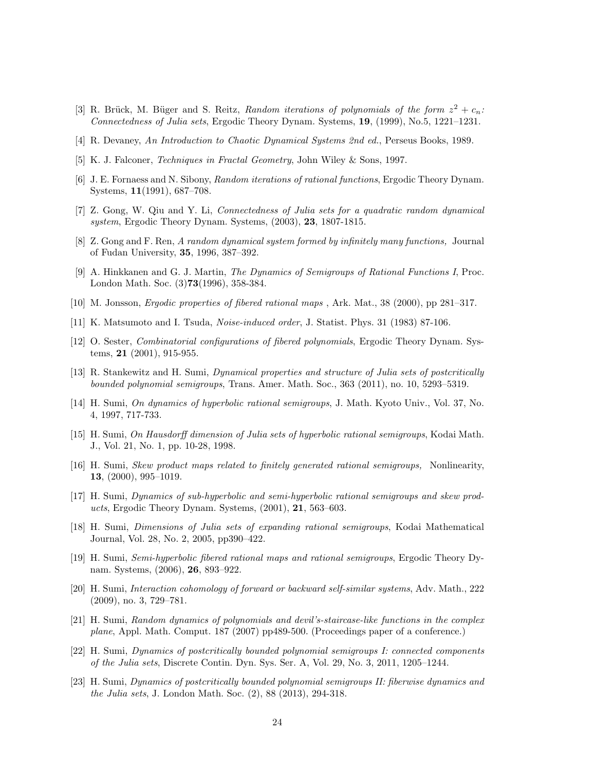- <span id="page-23-2"></span>[3] R. Brück, M. Büger and S. Reitz, Random iterations of polynomials of the form  $z^2 + c_n$ : Connectedness of Julia sets, Ergodic Theory Dynam. Systems, 19, (1999), No.5, 1221–1231.
- <span id="page-23-18"></span><span id="page-23-12"></span>[4] R. Devaney, An Introduction to Chaotic Dynamical Systems 2nd ed., Perseus Books, 1989.
- <span id="page-23-1"></span>[5] K. J. Falconer, Techniques in Fractal Geometry, John Wiley & Sons, 1997.
- <span id="page-23-3"></span>[6] J. E. Fornaess and N. Sibony, Random iterations of rational functions, Ergodic Theory Dynam. Systems, 11(1991), 687–708.
- [7] Z. Gong, W. Qiu and Y. Li, Connectedness of Julia sets for a quadratic random dynamical system, Ergodic Theory Dynam. Systems, (2003), 23, 1807-1815.
- <span id="page-23-7"></span><span id="page-23-6"></span>[8] Z. Gong and F. Ren, A random dynamical system formed by infinitely many functions, Journal of Fudan University, 35, 1996, 387–392.
- [9] A. Hinkkanen and G. J. Martin, The Dynamics of Semigroups of Rational Functions I, Proc. London Math. Soc. (3)73(1996), 358-384.
- <span id="page-23-17"></span><span id="page-23-13"></span>[10] M. Jonsson, Ergodic properties of fibered rational maps , Ark. Mat., 38 (2000), pp 281–317.
- <span id="page-23-16"></span>[11] K. Matsumoto and I. Tsuda, Noise-induced order, J. Statist. Phys. 31 (1983) 87-106.
- [12] O. Sester, Combinatorial configurations of fibered polynomials, Ergodic Theory Dynam. Systems, 21 (2001), 915-955.
- <span id="page-23-9"></span>[13] R. Stankewitz and H. Sumi, Dynamical properties and structure of Julia sets of postcritically bounded polynomial semigroups, Trans. Amer. Math. Soc., 363 (2011), no. 10, 5293–5319.
- <span id="page-23-8"></span>[14] H. Sumi, On dynamics of hyperbolic rational semigroups, J. Math. Kyoto Univ., Vol. 37, No. 4, 1997, 717-733.
- <span id="page-23-20"></span>[15] H. Sumi, On Hausdorff dimension of Julia sets of hyperbolic rational semigroups, Kodai Math. J., Vol. 21, No. 1, pp. 10-28, 1998.
- <span id="page-23-11"></span>[16] H. Sumi, Skew product maps related to finitely generated rational semigroups, Nonlinearity, 13, (2000), 995–1019.
- <span id="page-23-14"></span>[17] H. Sumi, Dynamics of sub-hyperbolic and semi-hyperbolic rational semigroups and skew products, Ergodic Theory Dynam. Systems, (2001), 21, 563–603.
- <span id="page-23-19"></span>[18] H. Sumi, Dimensions of Julia sets of expanding rational semigroups, Kodai Mathematical Journal, Vol. 28, No. 2, 2005, pp390–422.
- <span id="page-23-15"></span>[19] H. Sumi, Semi-hyperbolic fibered rational maps and rational semigroups, Ergodic Theory Dynam. Systems, (2006), 26, 893–922.
- <span id="page-23-10"></span>[20] H. Sumi, Interaction cohomology of forward or backward self-similar systems, Adv. Math., 222 (2009), no. 3, 729–781.
- <span id="page-23-0"></span>[21] H. Sumi, Random dynamics of polynomials and devil's-staircase-like functions in the complex plane, Appl. Math. Comput. 187 (2007) pp489-500. (Proceedings paper of a conference.)
- <span id="page-23-4"></span>[22] H. Sumi, Dynamics of postcritically bounded polynomial semigroups I: connected components of the Julia sets, Discrete Contin. Dyn. Sys. Ser. A, Vol. 29, No. 3, 2011, 1205–1244.
- <span id="page-23-5"></span>[23] H. Sumi, Dynamics of postcritically bounded polynomial semigroups II: fiberwise dynamics and the Julia sets, J. London Math. Soc. (2), 88 (2013), 294-318.